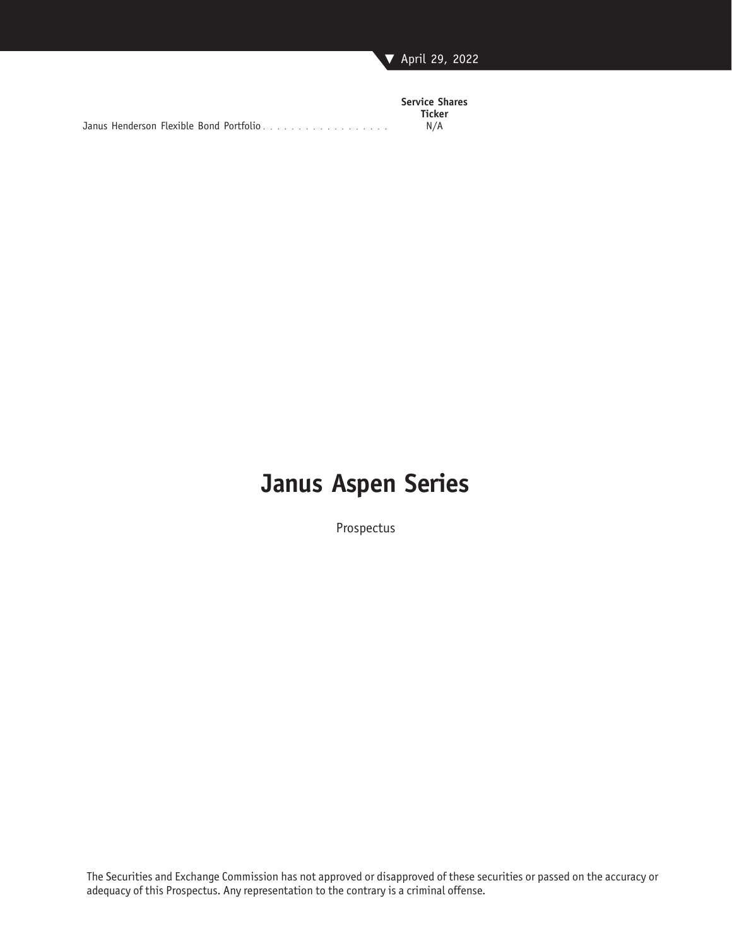

|                                         | <b>Service Shares</b> |
|-----------------------------------------|-----------------------|
|                                         | <b>Ticker</b>         |
| Janus Henderson Flexible Bond Portfolio | N/A                   |

# **Janus Aspen Series**

Prospectus

The Securities and Exchange Commission has not approved or disapproved of these securities or passed on the accuracy or adequacy of this Prospectus. Any representation to the contrary is a criminal offense.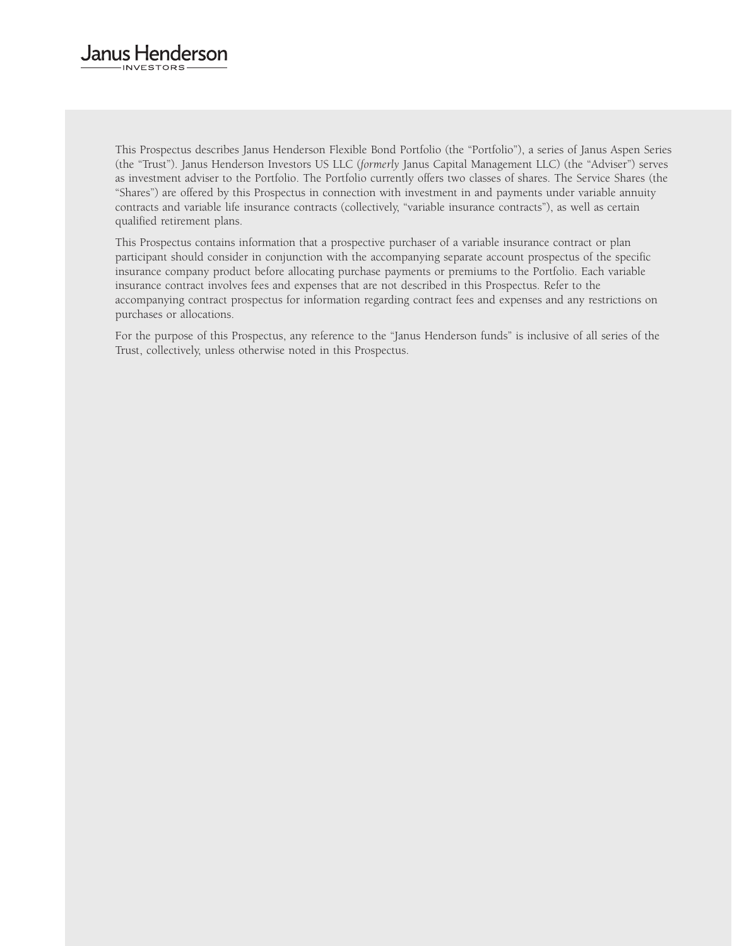#### Janus Henderson **INVESTORS**

This Prospectus describes Janus Henderson Flexible Bond Portfolio (the "Portfolio"), a series of Janus Aspen Series (the "Trust"). Janus Henderson Investors US LLC (*formerly* Janus Capital Management LLC) (the "Adviser") serves as investment adviser to the Portfolio. The Portfolio currently offers two classes of shares. The Service Shares (the "Shares") are offered by this Prospectus in connection with investment in and payments under variable annuity contracts and variable life insurance contracts (collectively, "variable insurance contracts"), as well as certain qualified retirement plans.

This Prospectus contains information that a prospective purchaser of a variable insurance contract or plan participant should consider in conjunction with the accompanying separate account prospectus of the specific insurance company product before allocating purchase payments or premiums to the Portfolio. Each variable insurance contract involves fees and expenses that are not described in this Prospectus. Refer to the accompanying contract prospectus for information regarding contract fees and expenses and any restrictions on purchases or allocations.

For the purpose of this Prospectus, any reference to the "Janus Henderson funds" is inclusive of all series of the Trust, collectively, unless otherwise noted in this Prospectus.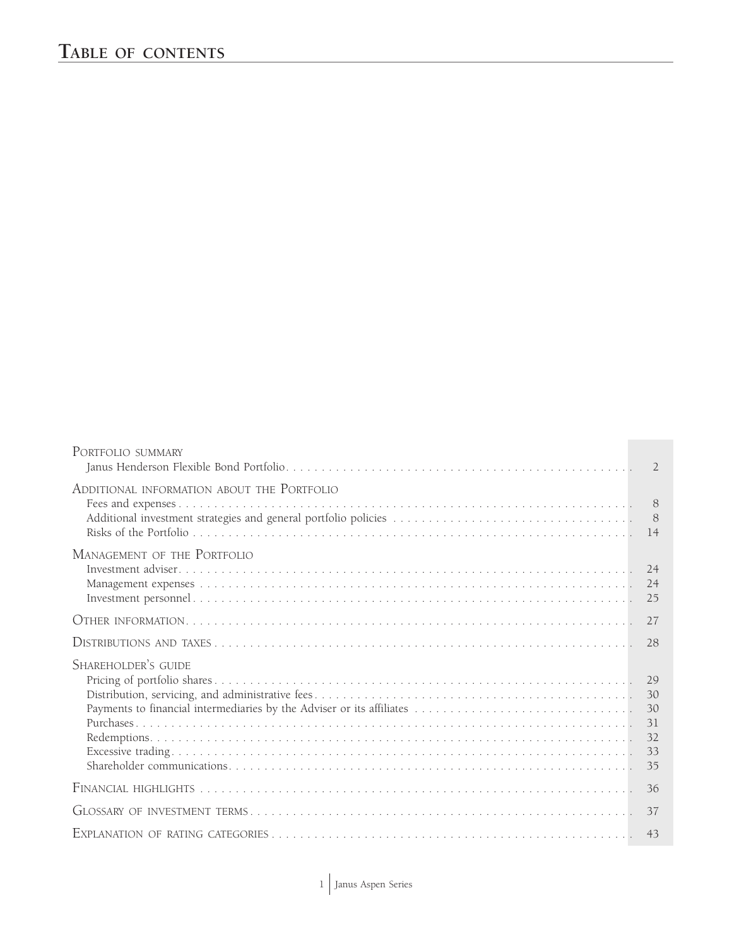| PORTFOLIO SUMMARY                          | $\mathcal{L}$              |
|--------------------------------------------|----------------------------|
| ADDITIONAL INFORMATION ABOUT THE PORTFOLIO | 8<br>8<br>14               |
| MANAGEMENT OF THE PORTFOLIO                | 25                         |
|                                            | 27                         |
|                                            | 28                         |
| SHAREHOLDER'S GUIDE                        | 30<br>31<br>32<br>33<br>35 |
|                                            | 36                         |
|                                            | 37                         |
|                                            | 43                         |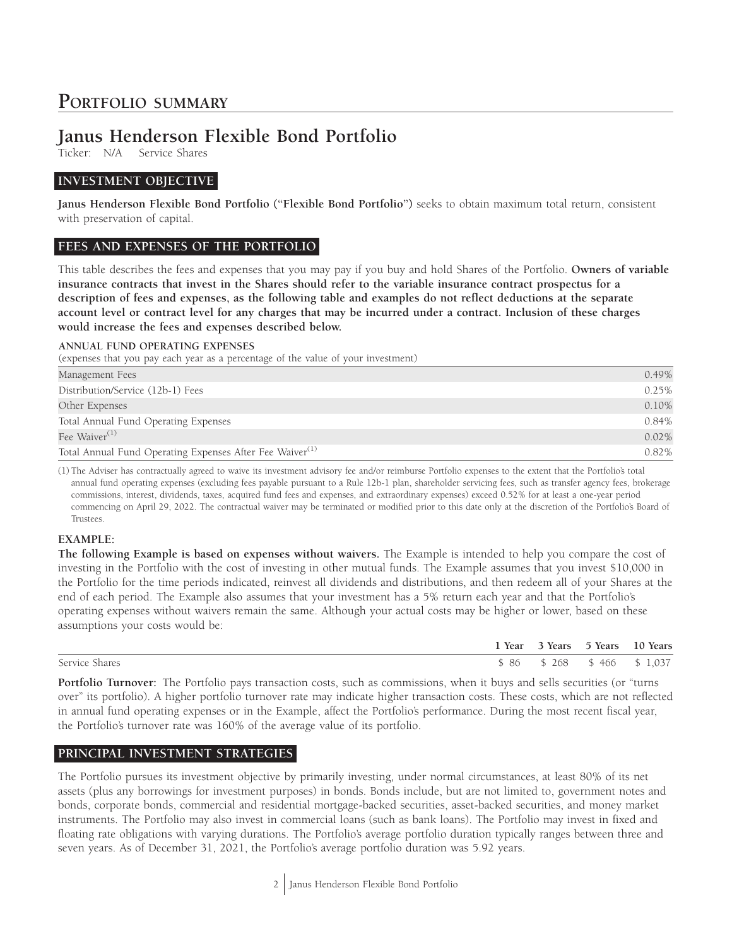## **PORTFOLIO SUMMARY**

# **Janus Henderson Flexible Bond Portfolio**<br>Ticker: N/A Service Shares

Service Shares

## **INVESTMENT OBJECTIVE**

**Janus Henderson Flexible Bond Portfolio ("Flexible Bond Portfolio")** seeks to obtain maximum total return, consistent with preservation of capital.

#### **FEES AND EXPENSES OF THE PORTFOLIO**

This table describes the fees and expenses that you may pay if you buy and hold Shares of the Portfolio. **Owners of variable insurance contracts that invest in the Shares should refer to the variable insurance contract prospectus for a description of fees and expenses, as the following table and examples do not reflect deductions at the separate account level or contract level for any charges that may be incurred under a contract. Inclusion of these charges would increase the fees and expenses described below.**

#### **ANNUAL FUND OPERATING EXPENSES**

(expenses that you pay each year as a percentage of the value of your investment)

| Management Fees                                                      | 0.49%    |
|----------------------------------------------------------------------|----------|
| Distribution/Service (12b-1) Fees                                    | 0.25%    |
| Other Expenses                                                       | 0.10%    |
| Total Annual Fund Operating Expenses                                 | 0.84%    |
| Fee Waiver <sup>(1)</sup>                                            | 0.02%    |
| Total Annual Fund Operating Expenses After Fee Waiver <sup>(1)</sup> | $0.82\%$ |

(1) The Adviser has contractually agreed to waive its investment advisory fee and/or reimburse Portfolio expenses to the extent that the Portfolio's total annual fund operating expenses (excluding fees payable pursuant to a Rule 12b-1 plan, shareholder servicing fees, such as transfer agency fees, brokerage commissions, interest, dividends, taxes, acquired fund fees and expenses, and extraordinary expenses) exceed 0.52% for at least a one-year period commencing on April 29, 2022. The contractual waiver may be terminated or modified prior to this date only at the discretion of the Portfolio's Board of Trustees.

#### **EXAMPLE:**

**The following Example is based on expenses without waivers.** The Example is intended to help you compare the cost of investing in the Portfolio with the cost of investing in other mutual funds. The Example assumes that you invest \$10,000 in the Portfolio for the time periods indicated, reinvest all dividends and distributions, and then redeem all of your Shares at the end of each period. The Example also assumes that your investment has a 5% return each year and that the Portfolio's operating expenses without waivers remain the same. Although your actual costs may be higher or lower, based on these assumptions your costs would be:

|                | 1 Year 3 Years 5 Years 10 Years |  |
|----------------|---------------------------------|--|
| Service Shares | \$86 \$268 \$466 \$1,037        |  |

**Portfolio Turnover:** The Portfolio pays transaction costs, such as commissions, when it buys and sells securities (or "turns over" its portfolio). A higher portfolio turnover rate may indicate higher transaction costs. These costs, which are not reflected in annual fund operating expenses or in the Example, affect the Portfolio's performance. During the most recent fiscal year, the Portfolio's turnover rate was 160% of the average value of its portfolio.

## **PRINCIPAL INVESTMENT STRATEGIES**

The Portfolio pursues its investment objective by primarily investing, under normal circumstances, at least 80% of its net assets (plus any borrowings for investment purposes) in bonds. Bonds include, but are not limited to, government notes and bonds, corporate bonds, commercial and residential mortgage-backed securities, asset-backed securities, and money market instruments. The Portfolio may also invest in commercial loans (such as bank loans). The Portfolio may invest in fixed and floating rate obligations with varying durations. The Portfolio's average portfolio duration typically ranges between three and seven years. As of December 31, 2021, the Portfolio's average portfolio duration was 5.92 years.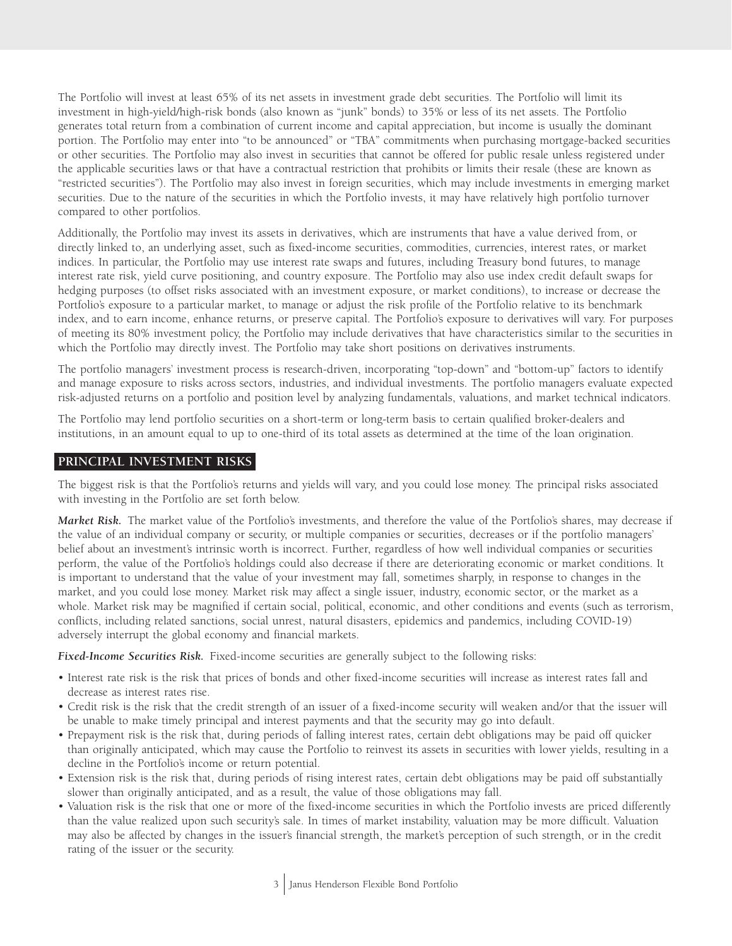The Portfolio will invest at least 65% of its net assets in investment grade debt securities. The Portfolio will limit its investment in high-yield/high-risk bonds (also known as "junk" bonds) to 35% or less of its net assets. The Portfolio generates total return from a combination of current income and capital appreciation, but income is usually the dominant portion. The Portfolio may enter into "to be announced" or "TBA" commitments when purchasing mortgage-backed securities or other securities. The Portfolio may also invest in securities that cannot be offered for public resale unless registered under the applicable securities laws or that have a contractual restriction that prohibits or limits their resale (these are known as "restricted securities"). The Portfolio may also invest in foreign securities, which may include investments in emerging market securities. Due to the nature of the securities in which the Portfolio invests, it may have relatively high portfolio turnover compared to other portfolios.

Additionally, the Portfolio may invest its assets in derivatives, which are instruments that have a value derived from, or directly linked to, an underlying asset, such as fixed-income securities, commodities, currencies, interest rates, or market indices. In particular, the Portfolio may use interest rate swaps and futures, including Treasury bond futures, to manage interest rate risk, yield curve positioning, and country exposure. The Portfolio may also use index credit default swaps for hedging purposes (to offset risks associated with an investment exposure, or market conditions), to increase or decrease the Portfolio's exposure to a particular market, to manage or adjust the risk profile of the Portfolio relative to its benchmark index, and to earn income, enhance returns, or preserve capital. The Portfolio's exposure to derivatives will vary. For purposes of meeting its 80% investment policy, the Portfolio may include derivatives that have characteristics similar to the securities in which the Portfolio may directly invest. The Portfolio may take short positions on derivatives instruments.

The portfolio managers' investment process is research-driven, incorporating "top-down" and "bottom-up" factors to identify and manage exposure to risks across sectors, industries, and individual investments. The portfolio managers evaluate expected risk-adjusted returns on a portfolio and position level by analyzing fundamentals, valuations, and market technical indicators.

The Portfolio may lend portfolio securities on a short-term or long-term basis to certain qualified broker-dealers and institutions, in an amount equal to up to one-third of its total assets as determined at the time of the loan origination.

#### **PRINCIPAL INVESTMENT RISKS**

The biggest risk is that the Portfolio's returns and yields will vary, and you could lose money. The principal risks associated with investing in the Portfolio are set forth below.

*Market Risk.* The market value of the Portfolio's investments, and therefore the value of the Portfolio's shares, may decrease if the value of an individual company or security, or multiple companies or securities, decreases or if the portfolio managers' belief about an investment's intrinsic worth is incorrect. Further, regardless of how well individual companies or securities perform, the value of the Portfolio's holdings could also decrease if there are deteriorating economic or market conditions. It is important to understand that the value of your investment may fall, sometimes sharply, in response to changes in the market, and you could lose money. Market risk may affect a single issuer, industry, economic sector, or the market as a whole. Market risk may be magnified if certain social, political, economic, and other conditions and events (such as terrorism, conflicts, including related sanctions, social unrest, natural disasters, epidemics and pandemics, including COVID-19) adversely interrupt the global economy and financial markets.

*Fixed-Income Securities Risk.* Fixed-income securities are generally subject to the following risks:

- Interest rate risk is the risk that prices of bonds and other fixed-income securities will increase as interest rates fall and decrease as interest rates rise.
- Credit risk is the risk that the credit strength of an issuer of a fixed-income security will weaken and/or that the issuer will be unable to make timely principal and interest payments and that the security may go into default.
- Prepayment risk is the risk that, during periods of falling interest rates, certain debt obligations may be paid off quicker than originally anticipated, which may cause the Portfolio to reinvest its assets in securities with lower yields, resulting in a decline in the Portfolio's income or return potential.
- Extension risk is the risk that, during periods of rising interest rates, certain debt obligations may be paid off substantially slower than originally anticipated, and as a result, the value of those obligations may fall.
- Valuation risk is the risk that one or more of the fixed-income securities in which the Portfolio invests are priced differently than the value realized upon such security's sale. In times of market instability, valuation may be more difficult. Valuation may also be affected by changes in the issuer's financial strength, the market's perception of such strength, or in the credit rating of the issuer or the security.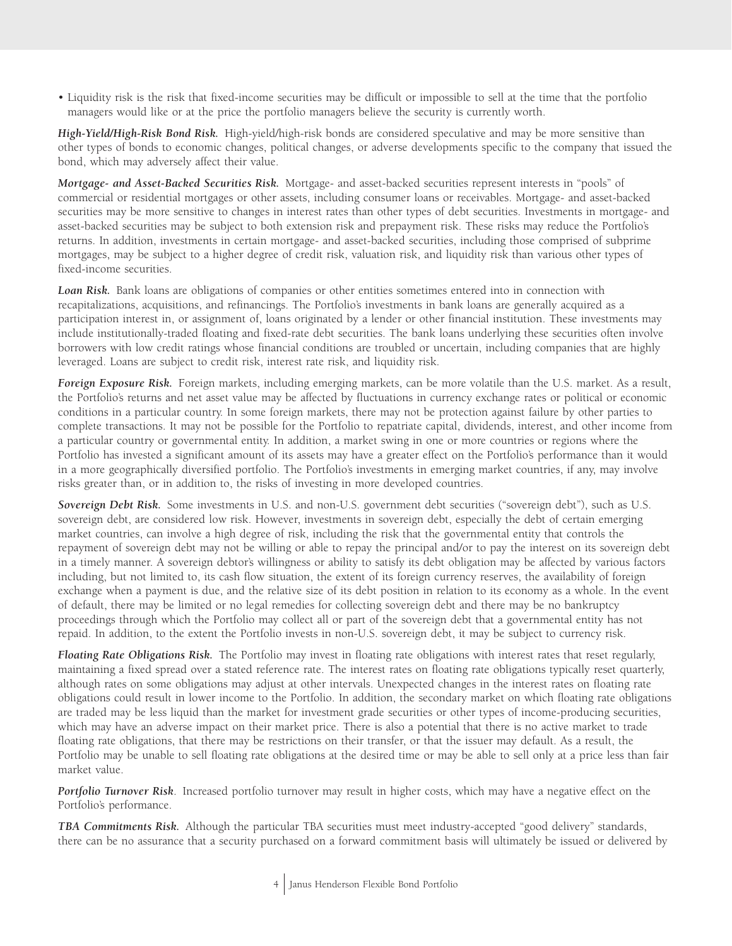• Liquidity risk is the risk that fixed-income securities may be difficult or impossible to sell at the time that the portfolio managers would like or at the price the portfolio managers believe the security is currently worth.

*High-Yield/High-Risk Bond Risk.* High-yield/high-risk bonds are considered speculative and may be more sensitive than other types of bonds to economic changes, political changes, or adverse developments specific to the company that issued the bond, which may adversely affect their value.

*Mortgage- and Asset-Backed Securities Risk.* Mortgage- and asset-backed securities represent interests in "pools" of commercial or residential mortgages or other assets, including consumer loans or receivables. Mortgage- and asset-backed securities may be more sensitive to changes in interest rates than other types of debt securities. Investments in mortgage- and asset-backed securities may be subject to both extension risk and prepayment risk. These risks may reduce the Portfolio's returns. In addition, investments in certain mortgage- and asset-backed securities, including those comprised of subprime mortgages, may be subject to a higher degree of credit risk, valuation risk, and liquidity risk than various other types of fixed-income securities.

*Loan Risk.* Bank loans are obligations of companies or other entities sometimes entered into in connection with recapitalizations, acquisitions, and refinancings. The Portfolio's investments in bank loans are generally acquired as a participation interest in, or assignment of, loans originated by a lender or other financial institution. These investments may include institutionally-traded floating and fixed-rate debt securities. The bank loans underlying these securities often involve borrowers with low credit ratings whose financial conditions are troubled or uncertain, including companies that are highly leveraged. Loans are subject to credit risk, interest rate risk, and liquidity risk.

*Foreign Exposure Risk.* Foreign markets, including emerging markets, can be more volatile than the U.S. market. As a result, the Portfolio's returns and net asset value may be affected by fluctuations in currency exchange rates or political or economic conditions in a particular country. In some foreign markets, there may not be protection against failure by other parties to complete transactions. It may not be possible for the Portfolio to repatriate capital, dividends, interest, and other income from a particular country or governmental entity. In addition, a market swing in one or more countries or regions where the Portfolio has invested a significant amount of its assets may have a greater effect on the Portfolio's performance than it would in a more geographically diversified portfolio. The Portfolio's investments in emerging market countries, if any, may involve risks greater than, or in addition to, the risks of investing in more developed countries.

*Sovereign Debt Risk.* Some investments in U.S. and non-U.S. government debt securities ("sovereign debt"), such as U.S. sovereign debt, are considered low risk. However, investments in sovereign debt, especially the debt of certain emerging market countries, can involve a high degree of risk, including the risk that the governmental entity that controls the repayment of sovereign debt may not be willing or able to repay the principal and/or to pay the interest on its sovereign debt in a timely manner. A sovereign debtor's willingness or ability to satisfy its debt obligation may be affected by various factors including, but not limited to, its cash flow situation, the extent of its foreign currency reserves, the availability of foreign exchange when a payment is due, and the relative size of its debt position in relation to its economy as a whole. In the event of default, there may be limited or no legal remedies for collecting sovereign debt and there may be no bankruptcy proceedings through which the Portfolio may collect all or part of the sovereign debt that a governmental entity has not repaid. In addition, to the extent the Portfolio invests in non-U.S. sovereign debt, it may be subject to currency risk.

*Floating Rate Obligations Risk.* The Portfolio may invest in floating rate obligations with interest rates that reset regularly, maintaining a fixed spread over a stated reference rate. The interest rates on floating rate obligations typically reset quarterly, although rates on some obligations may adjust at other intervals. Unexpected changes in the interest rates on floating rate obligations could result in lower income to the Portfolio. In addition, the secondary market on which floating rate obligations are traded may be less liquid than the market for investment grade securities or other types of income-producing securities, which may have an adverse impact on their market price. There is also a potential that there is no active market to trade floating rate obligations, that there may be restrictions on their transfer, or that the issuer may default. As a result, the Portfolio may be unable to sell floating rate obligations at the desired time or may be able to sell only at a price less than fair market value.

*Portfolio Turnover Risk*. Increased portfolio turnover may result in higher costs, which may have a negative effect on the Portfolio's performance.

*TBA Commitments Risk.* Although the particular TBA securities must meet industry-accepted "good delivery" standards, there can be no assurance that a security purchased on a forward commitment basis will ultimately be issued or delivered by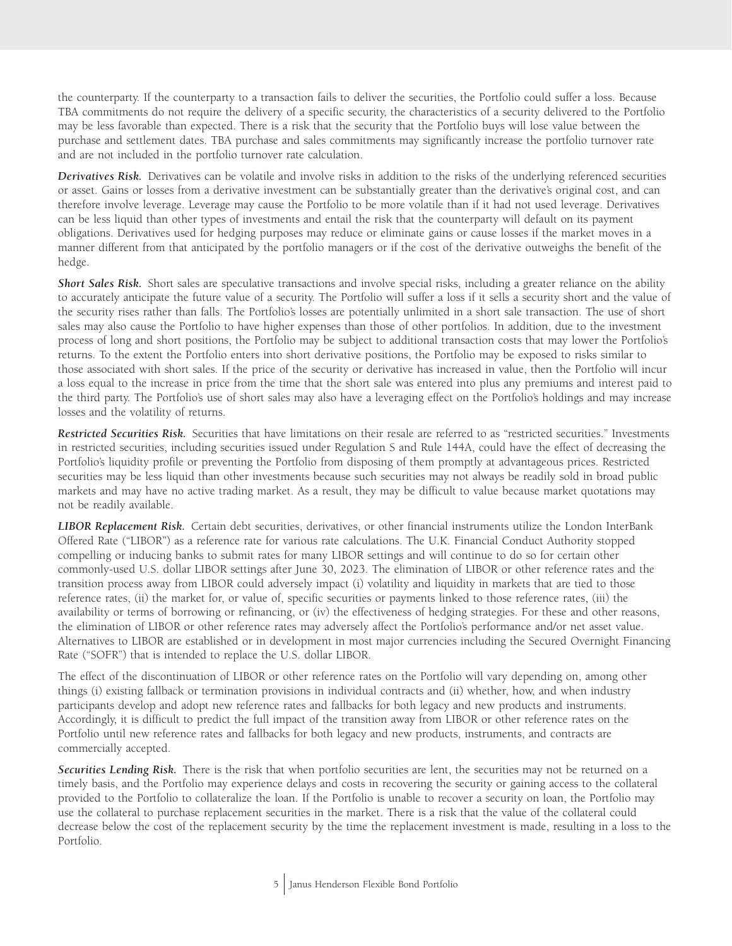the counterparty. If the counterparty to a transaction fails to deliver the securities, the Portfolio could suffer a loss. Because TBA commitments do not require the delivery of a specific security, the characteristics of a security delivered to the Portfolio may be less favorable than expected. There is a risk that the security that the Portfolio buys will lose value between the purchase and settlement dates. TBA purchase and sales commitments may significantly increase the portfolio turnover rate and are not included in the portfolio turnover rate calculation.

*Derivatives Risk.* Derivatives can be volatile and involve risks in addition to the risks of the underlying referenced securities or asset. Gains or losses from a derivative investment can be substantially greater than the derivative's original cost, and can therefore involve leverage. Leverage may cause the Portfolio to be more volatile than if it had not used leverage. Derivatives can be less liquid than other types of investments and entail the risk that the counterparty will default on its payment obligations. Derivatives used for hedging purposes may reduce or eliminate gains or cause losses if the market moves in a manner different from that anticipated by the portfolio managers or if the cost of the derivative outweighs the benefit of the hedge.

**Short Sales Risk.** Short sales are speculative transactions and involve special risks, including a greater reliance on the ability to accurately anticipate the future value of a security. The Portfolio will suffer a loss if it sells a security short and the value of the security rises rather than falls. The Portfolio's losses are potentially unlimited in a short sale transaction. The use of short sales may also cause the Portfolio to have higher expenses than those of other portfolios. In addition, due to the investment process of long and short positions, the Portfolio may be subject to additional transaction costs that may lower the Portfolio's returns. To the extent the Portfolio enters into short derivative positions, the Portfolio may be exposed to risks similar to those associated with short sales. If the price of the security or derivative has increased in value, then the Portfolio will incur a loss equal to the increase in price from the time that the short sale was entered into plus any premiums and interest paid to the third party. The Portfolio's use of short sales may also have a leveraging effect on the Portfolio's holdings and may increase losses and the volatility of returns.

*Restricted Securities Risk.* Securities that have limitations on their resale are referred to as "restricted securities." Investments in restricted securities, including securities issued under Regulation S and Rule 144A, could have the effect of decreasing the Portfolio's liquidity profile or preventing the Portfolio from disposing of them promptly at advantageous prices. Restricted securities may be less liquid than other investments because such securities may not always be readily sold in broad public markets and may have no active trading market. As a result, they may be difficult to value because market quotations may not be readily available.

*LIBOR Replacement Risk.* Certain debt securities, derivatives, or other financial instruments utilize the London InterBank Offered Rate ("LIBOR") as a reference rate for various rate calculations. The U.K. Financial Conduct Authority stopped compelling or inducing banks to submit rates for many LIBOR settings and will continue to do so for certain other commonly-used U.S. dollar LIBOR settings after June 30, 2023. The elimination of LIBOR or other reference rates and the transition process away from LIBOR could adversely impact (i) volatility and liquidity in markets that are tied to those reference rates, (ii) the market for, or value of, specific securities or payments linked to those reference rates, (iii) the availability or terms of borrowing or refinancing, or (iv) the effectiveness of hedging strategies. For these and other reasons, the elimination of LIBOR or other reference rates may adversely affect the Portfolio's performance and/or net asset value. Alternatives to LIBOR are established or in development in most major currencies including the Secured Overnight Financing Rate ("SOFR") that is intended to replace the U.S. dollar LIBOR.

The effect of the discontinuation of LIBOR or other reference rates on the Portfolio will vary depending on, among other things (i) existing fallback or termination provisions in individual contracts and (ii) whether, how, and when industry participants develop and adopt new reference rates and fallbacks for both legacy and new products and instruments. Accordingly, it is difficult to predict the full impact of the transition away from LIBOR or other reference rates on the Portfolio until new reference rates and fallbacks for both legacy and new products, instruments, and contracts are commercially accepted.

Securities Lending Risk. There is the risk that when portfolio securities are lent, the securities may not be returned on a timely basis, and the Portfolio may experience delays and costs in recovering the security or gaining access to the collateral provided to the Portfolio to collateralize the loan. If the Portfolio is unable to recover a security on loan, the Portfolio may use the collateral to purchase replacement securities in the market. There is a risk that the value of the collateral could decrease below the cost of the replacement security by the time the replacement investment is made, resulting in a loss to the Portfolio.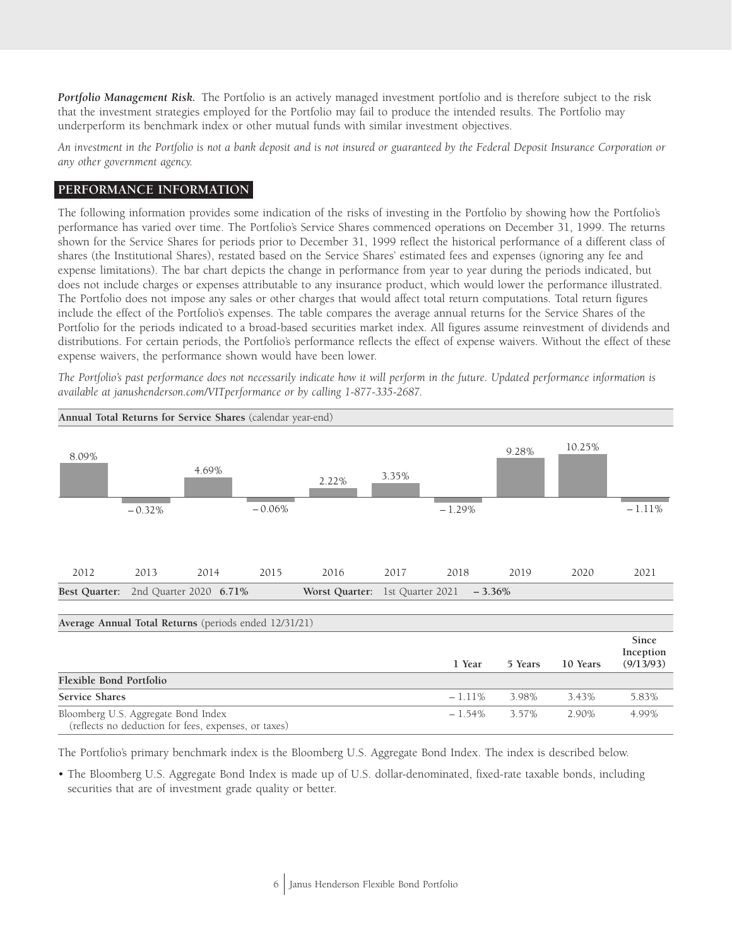*Portfolio Management Risk.* The Portfolio is an actively managed investment portfolio and is therefore subject to the risk that the investment strategies employed for the Portfolio may fail to produce the intended results. The Portfolio may underperform its benchmark index or other mutual funds with similar investment objectives.

*An investment in the Portfolio is not a bank deposit and is not insured or guaranteed by the Federal Deposit Insurance Corporation or any other government agency.*

## **PERFORMANCE INFORMATION**

The following information provides some indication of the risks of investing in the Portfolio by showing how the Portfolio's performance has varied over time. The Portfolio's Service Shares commenced operations on December 31, 1999. The returns shown for the Service Shares for periods prior to December 31, 1999 reflect the historical performance of a different class of shares (the Institutional Shares), restated based on the Service Shares' estimated fees and expenses (ignoring any fee and expense limitations). The bar chart depicts the change in performance from year to year during the periods indicated, but does not include charges or expenses attributable to any insurance product, which would lower the performance illustrated. The Portfolio does not impose any sales or other charges that would affect total return computations. Total return figures include the effect of the Portfolio's expenses. The table compares the average annual returns for the Service Shares of the Portfolio for the periods indicated to a broad-based securities market index. All figures assume reinvestment of dividends and distributions. For certain periods, the Portfolio's performance reflects the effect of expense waivers. Without the effect of these expense waivers, the performance shown would have been lower.

*The Portfolio's past performance does not necessarily indicate how it will perform in the future. Updated performance information is available at janushenderson.com/VITperformance or by calling 1-877-335-2687.*



The Portfolio's primary benchmark index is the Bloomberg U.S. Aggregate Bond Index. The index is described below.

• The Bloomberg U.S. Aggregate Bond Index is made up of U.S. dollar-denominated, fixed-rate taxable bonds, including securities that are of investment grade quality or better.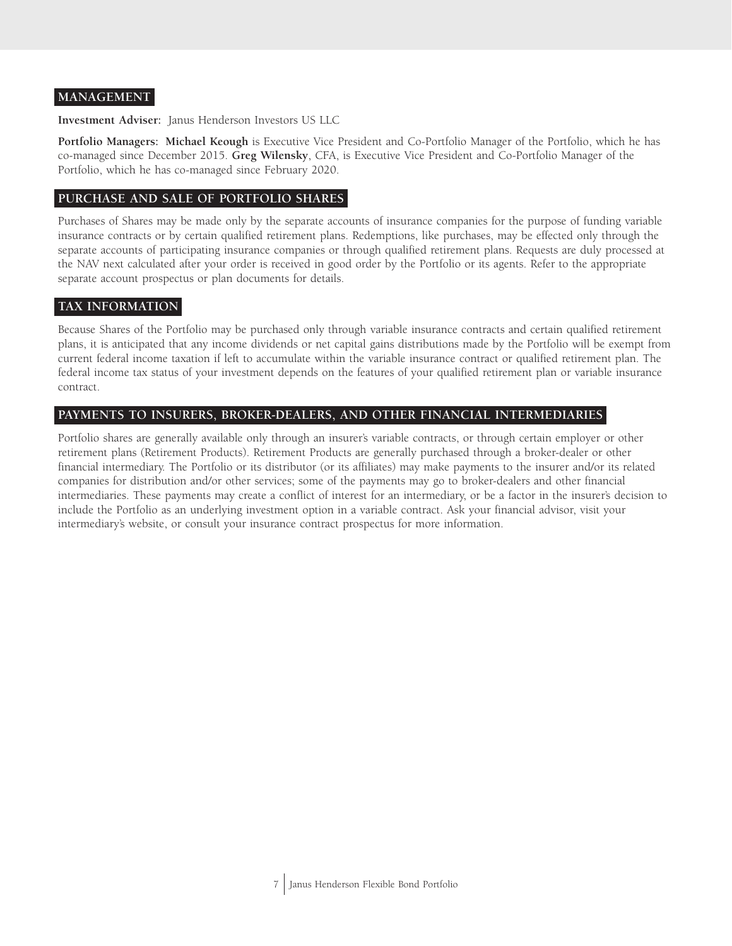#### **MANAGEMENT**

**Investment Adviser:** Janus Henderson Investors US LLC

**Portfolio Managers: Michael Keough** is Executive Vice President and Co-Portfolio Manager of the Portfolio, which he has co-managed since December 2015. **Greg Wilensky**, CFA, is Executive Vice President and Co-Portfolio Manager of the Portfolio, which he has co-managed since February 2020.

## **PURCHASE AND SALE OF PORTFOLIO SHARES**

Purchases of Shares may be made only by the separate accounts of insurance companies for the purpose of funding variable insurance contracts or by certain qualified retirement plans. Redemptions, like purchases, may be effected only through the separate accounts of participating insurance companies or through qualified retirement plans. Requests are duly processed at the NAV next calculated after your order is received in good order by the Portfolio or its agents. Refer to the appropriate separate account prospectus or plan documents for details.

## **TAX INFORMATION**

Because Shares of the Portfolio may be purchased only through variable insurance contracts and certain qualified retirement plans, it is anticipated that any income dividends or net capital gains distributions made by the Portfolio will be exempt from current federal income taxation if left to accumulate within the variable insurance contract or qualified retirement plan. The federal income tax status of your investment depends on the features of your qualified retirement plan or variable insurance contract.

## **PAYMENTS TO INSURERS, BROKER-DEALERS, AND OTHER FINANCIAL INTERMEDIARIES**

Portfolio shares are generally available only through an insurer's variable contracts, or through certain employer or other retirement plans (Retirement Products). Retirement Products are generally purchased through a broker-dealer or other financial intermediary. The Portfolio or its distributor (or its affiliates) may make payments to the insurer and/or its related companies for distribution and/or other services; some of the payments may go to broker-dealers and other financial intermediaries. These payments may create a conflict of interest for an intermediary, or be a factor in the insurer's decision to include the Portfolio as an underlying investment option in a variable contract. Ask your financial advisor, visit your intermediary's website, or consult your insurance contract prospectus for more information.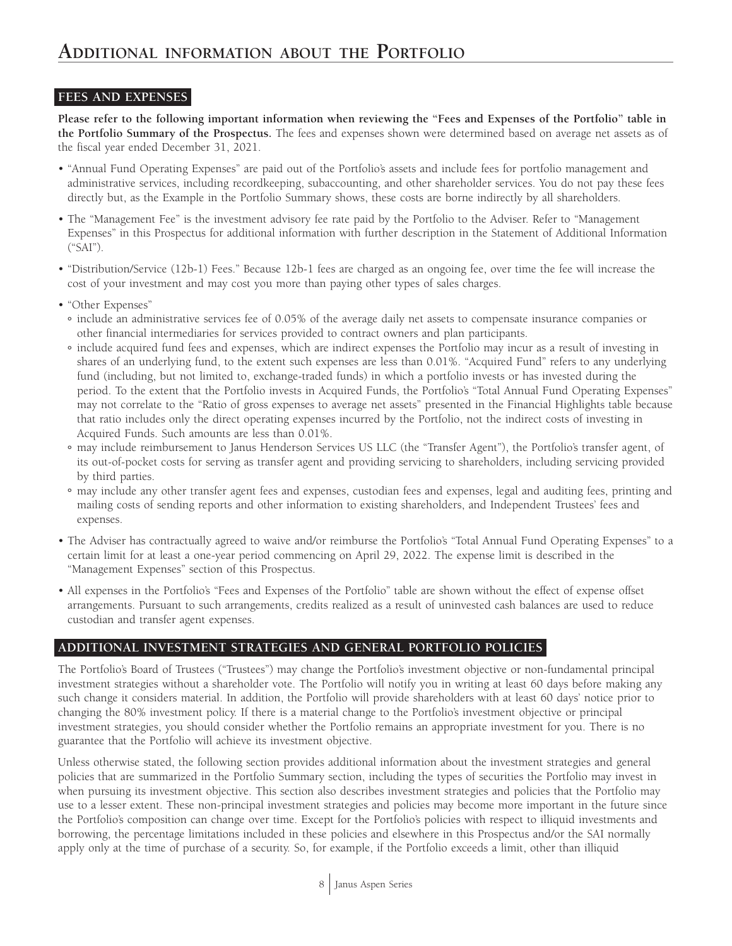## **FEES AND EXPENSES**

**Please refer to the following important information when reviewing the "Fees and Expenses of the Portfolio" table in the Portfolio Summary of the Prospectus.** The fees and expenses shown were determined based on average net assets as of the fiscal year ended December 31, 2021.

- "Annual Fund Operating Expenses" are paid out of the Portfolio's assets and include fees for portfolio management and administrative services, including recordkeeping, subaccounting, and other shareholder services. You do not pay these fees directly but, as the Example in the Portfolio Summary shows, these costs are borne indirectly by all shareholders.
- The "Management Fee" is the investment advisory fee rate paid by the Portfolio to the Adviser. Refer to "Management Expenses" in this Prospectus for additional information with further description in the Statement of Additional Information ("SAI").
- "Distribution/Service (12b-1) Fees." Because 12b-1 fees are charged as an ongoing fee, over time the fee will increase the cost of your investment and may cost you more than paying other types of sales charges.
- "Other Expenses"
	- **°** include an administrative services fee of 0.05% of the average daily net assets to compensate insurance companies or other financial intermediaries for services provided to contract owners and plan participants.
	- **°** include acquired fund fees and expenses, which are indirect expenses the Portfolio may incur as a result of investing in shares of an underlying fund, to the extent such expenses are less than 0.01%. "Acquired Fund" refers to any underlying fund (including, but not limited to, exchange-traded funds) in which a portfolio invests or has invested during the period. To the extent that the Portfolio invests in Acquired Funds, the Portfolio's "Total Annual Fund Operating Expenses" may not correlate to the "Ratio of gross expenses to average net assets" presented in the Financial Highlights table because that ratio includes only the direct operating expenses incurred by the Portfolio, not the indirect costs of investing in Acquired Funds. Such amounts are less than 0.01%.
	- **°** may include reimbursement to Janus Henderson Services US LLC (the "Transfer Agent"), the Portfolio's transfer agent, of its out-of-pocket costs for serving as transfer agent and providing servicing to shareholders, including servicing provided by third parties.
	- **°** may include any other transfer agent fees and expenses, custodian fees and expenses, legal and auditing fees, printing and mailing costs of sending reports and other information to existing shareholders, and Independent Trustees' fees and expenses.
- The Adviser has contractually agreed to waive and/or reimburse the Portfolio's "Total Annual Fund Operating Expenses" to a certain limit for at least a one-year period commencing on April 29, 2022. The expense limit is described in the "Management Expenses" section of this Prospectus.
- All expenses in the Portfolio's "Fees and Expenses of the Portfolio" table are shown without the effect of expense offset arrangements. Pursuant to such arrangements, credits realized as a result of uninvested cash balances are used to reduce custodian and transfer agent expenses.

## **ADDITIONAL INVESTMENT STRATEGIES AND GENERAL PORTFOLIO POLICIES**

The Portfolio's Board of Trustees ("Trustees") may change the Portfolio's investment objective or non-fundamental principal investment strategies without a shareholder vote. The Portfolio will notify you in writing at least 60 days before making any such change it considers material. In addition, the Portfolio will provide shareholders with at least 60 days' notice prior to changing the 80% investment policy. If there is a material change to the Portfolio's investment objective or principal investment strategies, you should consider whether the Portfolio remains an appropriate investment for you. There is no guarantee that the Portfolio will achieve its investment objective.

Unless otherwise stated, the following section provides additional information about the investment strategies and general policies that are summarized in the Portfolio Summary section, including the types of securities the Portfolio may invest in when pursuing its investment objective. This section also describes investment strategies and policies that the Portfolio may use to a lesser extent. These non-principal investment strategies and policies may become more important in the future since the Portfolio's composition can change over time. Except for the Portfolio's policies with respect to illiquid investments and borrowing, the percentage limitations included in these policies and elsewhere in this Prospectus and/or the SAI normally apply only at the time of purchase of a security. So, for example, if the Portfolio exceeds a limit, other than illiquid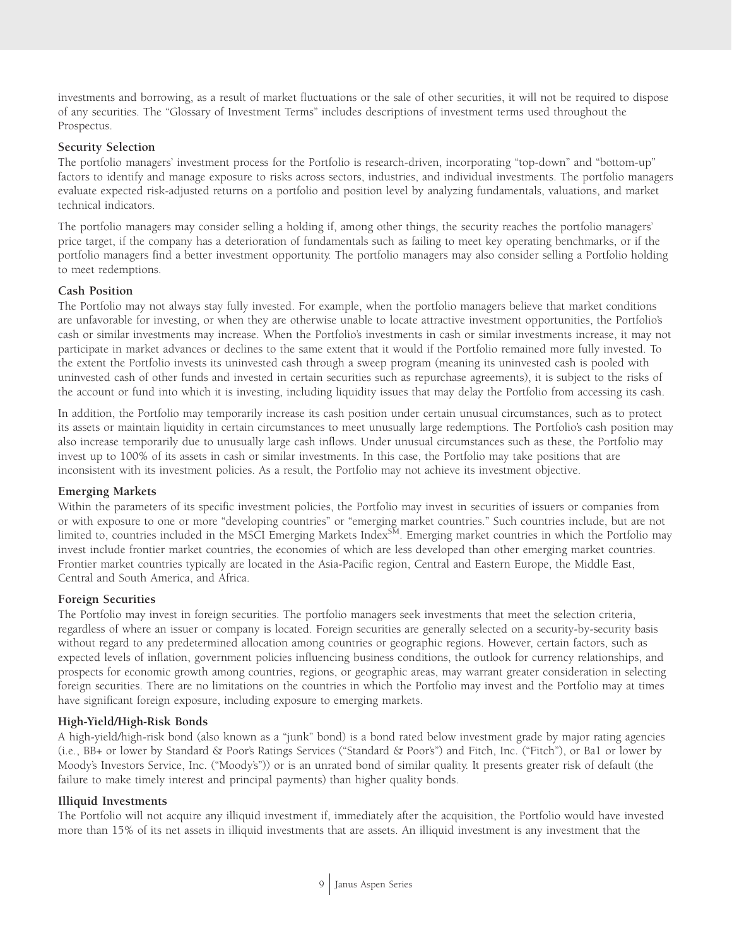investments and borrowing, as a result of market fluctuations or the sale of other securities, it will not be required to dispose of any securities. The "Glossary of Investment Terms" includes descriptions of investment terms used throughout the Prospectus.

#### **Security Selection**

The portfolio managers' investment process for the Portfolio is research-driven, incorporating "top-down" and "bottom-up" factors to identify and manage exposure to risks across sectors, industries, and individual investments. The portfolio managers evaluate expected risk-adjusted returns on a portfolio and position level by analyzing fundamentals, valuations, and market technical indicators.

The portfolio managers may consider selling a holding if, among other things, the security reaches the portfolio managers' price target, if the company has a deterioration of fundamentals such as failing to meet key operating benchmarks, or if the portfolio managers find a better investment opportunity. The portfolio managers may also consider selling a Portfolio holding to meet redemptions.

#### **Cash Position**

The Portfolio may not always stay fully invested. For example, when the portfolio managers believe that market conditions are unfavorable for investing, or when they are otherwise unable to locate attractive investment opportunities, the Portfolio's cash or similar investments may increase. When the Portfolio's investments in cash or similar investments increase, it may not participate in market advances or declines to the same extent that it would if the Portfolio remained more fully invested. To the extent the Portfolio invests its uninvested cash through a sweep program (meaning its uninvested cash is pooled with uninvested cash of other funds and invested in certain securities such as repurchase agreements), it is subject to the risks of the account or fund into which it is investing, including liquidity issues that may delay the Portfolio from accessing its cash.

In addition, the Portfolio may temporarily increase its cash position under certain unusual circumstances, such as to protect its assets or maintain liquidity in certain circumstances to meet unusually large redemptions. The Portfolio's cash position may also increase temporarily due to unusually large cash inflows. Under unusual circumstances such as these, the Portfolio may invest up to 100% of its assets in cash or similar investments. In this case, the Portfolio may take positions that are inconsistent with its investment policies. As a result, the Portfolio may not achieve its investment objective.

#### **Emerging Markets**

Within the parameters of its specific investment policies, the Portfolio may invest in securities of issuers or companies from or with exposure to one or more "developing countries" or "emerging market countries." Such countries include, but are not limited to, countries included in the MSCI Emerging Markets Index $^{\text{SM}}$ . Emerging market countries in which the Portfolio may invest include frontier market countries, the economies of which are less developed than other emerging market countries. Frontier market countries typically are located in the Asia-Pacific region, Central and Eastern Europe, the Middle East, Central and South America, and Africa.

#### **Foreign Securities**

The Portfolio may invest in foreign securities. The portfolio managers seek investments that meet the selection criteria, regardless of where an issuer or company is located. Foreign securities are generally selected on a security-by-security basis without regard to any predetermined allocation among countries or geographic regions. However, certain factors, such as expected levels of inflation, government policies influencing business conditions, the outlook for currency relationships, and prospects for economic growth among countries, regions, or geographic areas, may warrant greater consideration in selecting foreign securities. There are no limitations on the countries in which the Portfolio may invest and the Portfolio may at times have significant foreign exposure, including exposure to emerging markets.

#### **High-Yield/High-Risk Bonds**

A high-yield/high-risk bond (also known as a "junk" bond) is a bond rated below investment grade by major rating agencies (i.e., BB+ or lower by Standard & Poor's Ratings Services ("Standard & Poor's") and Fitch, Inc. ("Fitch"), or Ba1 or lower by Moody's Investors Service, Inc. ("Moody's")) or is an unrated bond of similar quality. It presents greater risk of default (the failure to make timely interest and principal payments) than higher quality bonds.

#### **Illiquid Investments**

The Portfolio will not acquire any illiquid investment if, immediately after the acquisition, the Portfolio would have invested more than 15% of its net assets in illiquid investments that are assets. An illiquid investment is any investment that the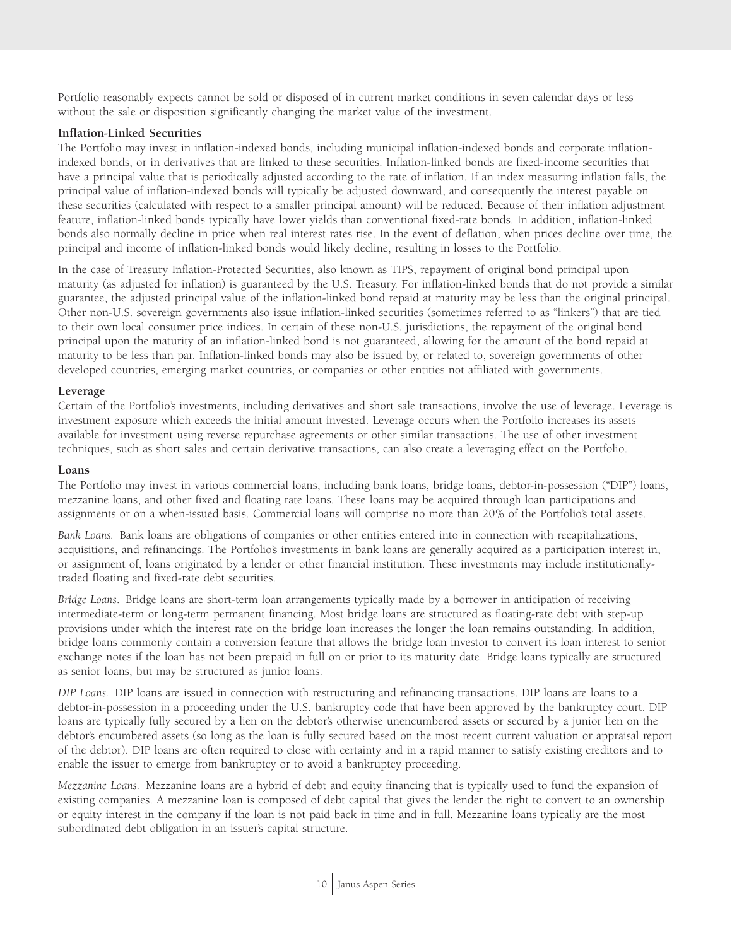Portfolio reasonably expects cannot be sold or disposed of in current market conditions in seven calendar days or less without the sale or disposition significantly changing the market value of the investment.

#### **Inflation-Linked Securities**

The Portfolio may invest in inflation-indexed bonds, including municipal inflation-indexed bonds and corporate inflationindexed bonds, or in derivatives that are linked to these securities. Inflation-linked bonds are fixed-income securities that have a principal value that is periodically adjusted according to the rate of inflation. If an index measuring inflation falls, the principal value of inflation-indexed bonds will typically be adjusted downward, and consequently the interest payable on these securities (calculated with respect to a smaller principal amount) will be reduced. Because of their inflation adjustment feature, inflation-linked bonds typically have lower yields than conventional fixed-rate bonds. In addition, inflation-linked bonds also normally decline in price when real interest rates rise. In the event of deflation, when prices decline over time, the principal and income of inflation-linked bonds would likely decline, resulting in losses to the Portfolio.

In the case of Treasury Inflation-Protected Securities, also known as TIPS, repayment of original bond principal upon maturity (as adjusted for inflation) is guaranteed by the U.S. Treasury. For inflation-linked bonds that do not provide a similar guarantee, the adjusted principal value of the inflation-linked bond repaid at maturity may be less than the original principal. Other non-U.S. sovereign governments also issue inflation-linked securities (sometimes referred to as "linkers") that are tied to their own local consumer price indices. In certain of these non-U.S. jurisdictions, the repayment of the original bond principal upon the maturity of an inflation-linked bond is not guaranteed, allowing for the amount of the bond repaid at maturity to be less than par. Inflation-linked bonds may also be issued by, or related to, sovereign governments of other developed countries, emerging market countries, or companies or other entities not affiliated with governments.

#### **Leverage**

Certain of the Portfolio's investments, including derivatives and short sale transactions, involve the use of leverage. Leverage is investment exposure which exceeds the initial amount invested. Leverage occurs when the Portfolio increases its assets available for investment using reverse repurchase agreements or other similar transactions. The use of other investment techniques, such as short sales and certain derivative transactions, can also create a leveraging effect on the Portfolio.

#### **Loans**

The Portfolio may invest in various commercial loans, including bank loans, bridge loans, debtor-in-possession ("DIP") loans, mezzanine loans, and other fixed and floating rate loans. These loans may be acquired through loan participations and assignments or on a when-issued basis. Commercial loans will comprise no more than 20% of the Portfolio's total assets.

*Bank Loans.* Bank loans are obligations of companies or other entities entered into in connection with recapitalizations, acquisitions, and refinancings. The Portfolio's investments in bank loans are generally acquired as a participation interest in, or assignment of, loans originated by a lender or other financial institution. These investments may include institutionallytraded floating and fixed-rate debt securities.

*Bridge Loans*. Bridge loans are short-term loan arrangements typically made by a borrower in anticipation of receiving intermediate-term or long-term permanent financing. Most bridge loans are structured as floating-rate debt with step-up provisions under which the interest rate on the bridge loan increases the longer the loan remains outstanding. In addition, bridge loans commonly contain a conversion feature that allows the bridge loan investor to convert its loan interest to senior exchange notes if the loan has not been prepaid in full on or prior to its maturity date. Bridge loans typically are structured as senior loans, but may be structured as junior loans.

*DIP Loans.* DIP loans are issued in connection with restructuring and refinancing transactions. DIP loans are loans to a debtor-in-possession in a proceeding under the U.S. bankruptcy code that have been approved by the bankruptcy court. DIP loans are typically fully secured by a lien on the debtor's otherwise unencumbered assets or secured by a junior lien on the debtor's encumbered assets (so long as the loan is fully secured based on the most recent current valuation or appraisal report of the debtor). DIP loans are often required to close with certainty and in a rapid manner to satisfy existing creditors and to enable the issuer to emerge from bankruptcy or to avoid a bankruptcy proceeding.

*Mezzanine Loans.* Mezzanine loans are a hybrid of debt and equity financing that is typically used to fund the expansion of existing companies. A mezzanine loan is composed of debt capital that gives the lender the right to convert to an ownership or equity interest in the company if the loan is not paid back in time and in full. Mezzanine loans typically are the most subordinated debt obligation in an issuer's capital structure.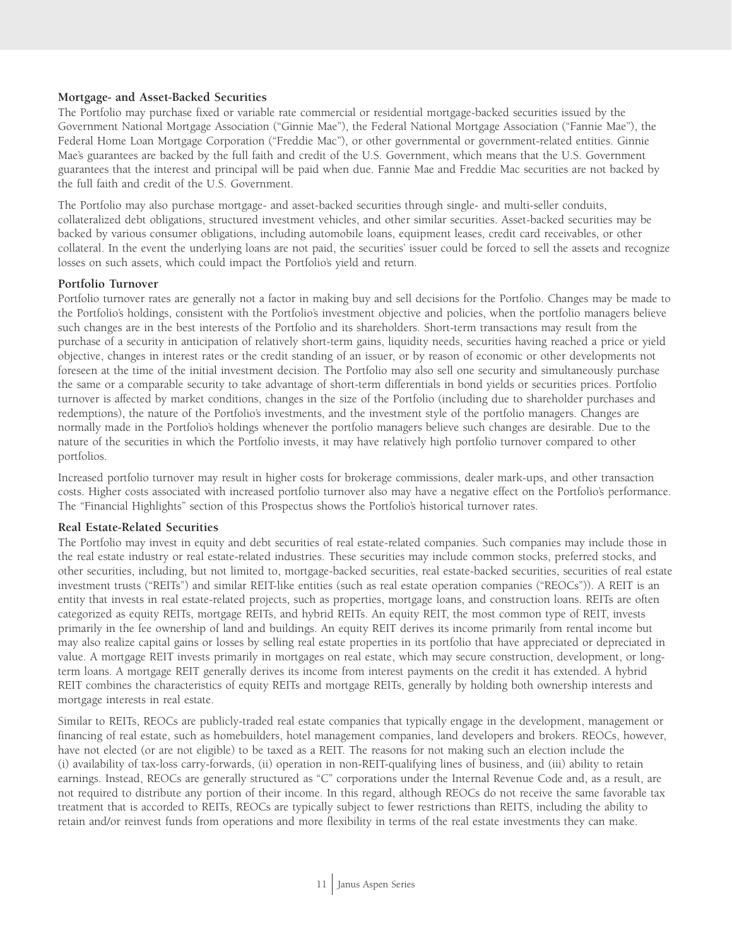#### **Mortgage- and Asset-Backed Securities**

The Portfolio may purchase fixed or variable rate commercial or residential mortgage-backed securities issued by the Government National Mortgage Association ("Ginnie Mae"), the Federal National Mortgage Association ("Fannie Mae"), the Federal Home Loan Mortgage Corporation ("Freddie Mac"), or other governmental or government-related entities. Ginnie Mae's guarantees are backed by the full faith and credit of the U.S. Government, which means that the U.S. Government guarantees that the interest and principal will be paid when due. Fannie Mae and Freddie Mac securities are not backed by the full faith and credit of the U.S. Government.

The Portfolio may also purchase mortgage- and asset-backed securities through single- and multi-seller conduits, collateralized debt obligations, structured investment vehicles, and other similar securities. Asset-backed securities may be backed by various consumer obligations, including automobile loans, equipment leases, credit card receivables, or other collateral. In the event the underlying loans are not paid, the securities' issuer could be forced to sell the assets and recognize losses on such assets, which could impact the Portfolio's yield and return.

#### **Portfolio Turnover**

Portfolio turnover rates are generally not a factor in making buy and sell decisions for the Portfolio. Changes may be made to the Portfolio's holdings, consistent with the Portfolio's investment objective and policies, when the portfolio managers believe such changes are in the best interests of the Portfolio and its shareholders. Short-term transactions may result from the purchase of a security in anticipation of relatively short-term gains, liquidity needs, securities having reached a price or yield objective, changes in interest rates or the credit standing of an issuer, or by reason of economic or other developments not foreseen at the time of the initial investment decision. The Portfolio may also sell one security and simultaneously purchase the same or a comparable security to take advantage of short-term differentials in bond yields or securities prices. Portfolio turnover is affected by market conditions, changes in the size of the Portfolio (including due to shareholder purchases and redemptions), the nature of the Portfolio's investments, and the investment style of the portfolio managers. Changes are normally made in the Portfolio's holdings whenever the portfolio managers believe such changes are desirable. Due to the nature of the securities in which the Portfolio invests, it may have relatively high portfolio turnover compared to other portfolios.

Increased portfolio turnover may result in higher costs for brokerage commissions, dealer mark-ups, and other transaction costs. Higher costs associated with increased portfolio turnover also may have a negative effect on the Portfolio's performance. The "Financial Highlights" section of this Prospectus shows the Portfolio's historical turnover rates.

#### **Real Estate-Related Securities**

The Portfolio may invest in equity and debt securities of real estate-related companies. Such companies may include those in the real estate industry or real estate-related industries. These securities may include common stocks, preferred stocks, and other securities, including, but not limited to, mortgage-backed securities, real estate-backed securities, securities of real estate investment trusts ("REITs") and similar REIT-like entities (such as real estate operation companies ("REOCs")). A REIT is an entity that invests in real estate-related projects, such as properties, mortgage loans, and construction loans. REITs are often categorized as equity REITs, mortgage REITs, and hybrid REITs. An equity REIT, the most common type of REIT, invests primarily in the fee ownership of land and buildings. An equity REIT derives its income primarily from rental income but may also realize capital gains or losses by selling real estate properties in its portfolio that have appreciated or depreciated in value. A mortgage REIT invests primarily in mortgages on real estate, which may secure construction, development, or longterm loans. A mortgage REIT generally derives its income from interest payments on the credit it has extended. A hybrid REIT combines the characteristics of equity REITs and mortgage REITs, generally by holding both ownership interests and mortgage interests in real estate.

Similar to REITs, REOCs are publicly-traded real estate companies that typically engage in the development, management or financing of real estate, such as homebuilders, hotel management companies, land developers and brokers. REOCs, however, have not elected (or are not eligible) to be taxed as a REIT. The reasons for not making such an election include the (i) availability of tax-loss carry-forwards, (ii) operation in non-REIT-qualifying lines of business, and (iii) ability to retain earnings. Instead, REOCs are generally structured as "C" corporations under the Internal Revenue Code and, as a result, are not required to distribute any portion of their income. In this regard, although REOCs do not receive the same favorable tax treatment that is accorded to REITs, REOCs are typically subject to fewer restrictions than REITS, including the ability to retain and/or reinvest funds from operations and more flexibility in terms of the real estate investments they can make.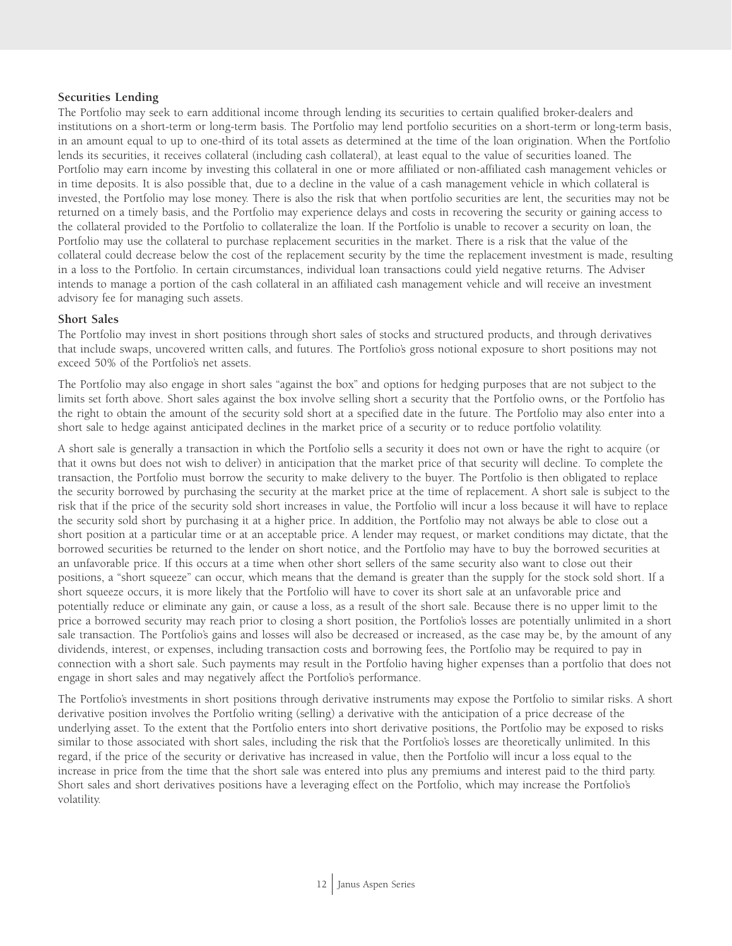#### **Securities Lending**

The Portfolio may seek to earn additional income through lending its securities to certain qualified broker-dealers and institutions on a short-term or long-term basis. The Portfolio may lend portfolio securities on a short-term or long-term basis, in an amount equal to up to one-third of its total assets as determined at the time of the loan origination. When the Portfolio lends its securities, it receives collateral (including cash collateral), at least equal to the value of securities loaned. The Portfolio may earn income by investing this collateral in one or more affiliated or non-affiliated cash management vehicles or in time deposits. It is also possible that, due to a decline in the value of a cash management vehicle in which collateral is invested, the Portfolio may lose money. There is also the risk that when portfolio securities are lent, the securities may not be returned on a timely basis, and the Portfolio may experience delays and costs in recovering the security or gaining access to the collateral provided to the Portfolio to collateralize the loan. If the Portfolio is unable to recover a security on loan, the Portfolio may use the collateral to purchase replacement securities in the market. There is a risk that the value of the collateral could decrease below the cost of the replacement security by the time the replacement investment is made, resulting in a loss to the Portfolio. In certain circumstances, individual loan transactions could yield negative returns. The Adviser intends to manage a portion of the cash collateral in an affiliated cash management vehicle and will receive an investment advisory fee for managing such assets.

#### **Short Sales**

The Portfolio may invest in short positions through short sales of stocks and structured products, and through derivatives that include swaps, uncovered written calls, and futures. The Portfolio's gross notional exposure to short positions may not exceed 50% of the Portfolio's net assets.

The Portfolio may also engage in short sales "against the box" and options for hedging purposes that are not subject to the limits set forth above. Short sales against the box involve selling short a security that the Portfolio owns, or the Portfolio has the right to obtain the amount of the security sold short at a specified date in the future. The Portfolio may also enter into a short sale to hedge against anticipated declines in the market price of a security or to reduce portfolio volatility.

A short sale is generally a transaction in which the Portfolio sells a security it does not own or have the right to acquire (or that it owns but does not wish to deliver) in anticipation that the market price of that security will decline. To complete the transaction, the Portfolio must borrow the security to make delivery to the buyer. The Portfolio is then obligated to replace the security borrowed by purchasing the security at the market price at the time of replacement. A short sale is subject to the risk that if the price of the security sold short increases in value, the Portfolio will incur a loss because it will have to replace the security sold short by purchasing it at a higher price. In addition, the Portfolio may not always be able to close out a short position at a particular time or at an acceptable price. A lender may request, or market conditions may dictate, that the borrowed securities be returned to the lender on short notice, and the Portfolio may have to buy the borrowed securities at an unfavorable price. If this occurs at a time when other short sellers of the same security also want to close out their positions, a "short squeeze" can occur, which means that the demand is greater than the supply for the stock sold short. If a short squeeze occurs, it is more likely that the Portfolio will have to cover its short sale at an unfavorable price and potentially reduce or eliminate any gain, or cause a loss, as a result of the short sale. Because there is no upper limit to the price a borrowed security may reach prior to closing a short position, the Portfolio's losses are potentially unlimited in a short sale transaction. The Portfolio's gains and losses will also be decreased or increased, as the case may be, by the amount of any dividends, interest, or expenses, including transaction costs and borrowing fees, the Portfolio may be required to pay in connection with a short sale. Such payments may result in the Portfolio having higher expenses than a portfolio that does not engage in short sales and may negatively affect the Portfolio's performance.

The Portfolio's investments in short positions through derivative instruments may expose the Portfolio to similar risks. A short derivative position involves the Portfolio writing (selling) a derivative with the anticipation of a price decrease of the underlying asset. To the extent that the Portfolio enters into short derivative positions, the Portfolio may be exposed to risks similar to those associated with short sales, including the risk that the Portfolio's losses are theoretically unlimited. In this regard, if the price of the security or derivative has increased in value, then the Portfolio will incur a loss equal to the increase in price from the time that the short sale was entered into plus any premiums and interest paid to the third party. Short sales and short derivatives positions have a leveraging effect on the Portfolio, which may increase the Portfolio's volatility.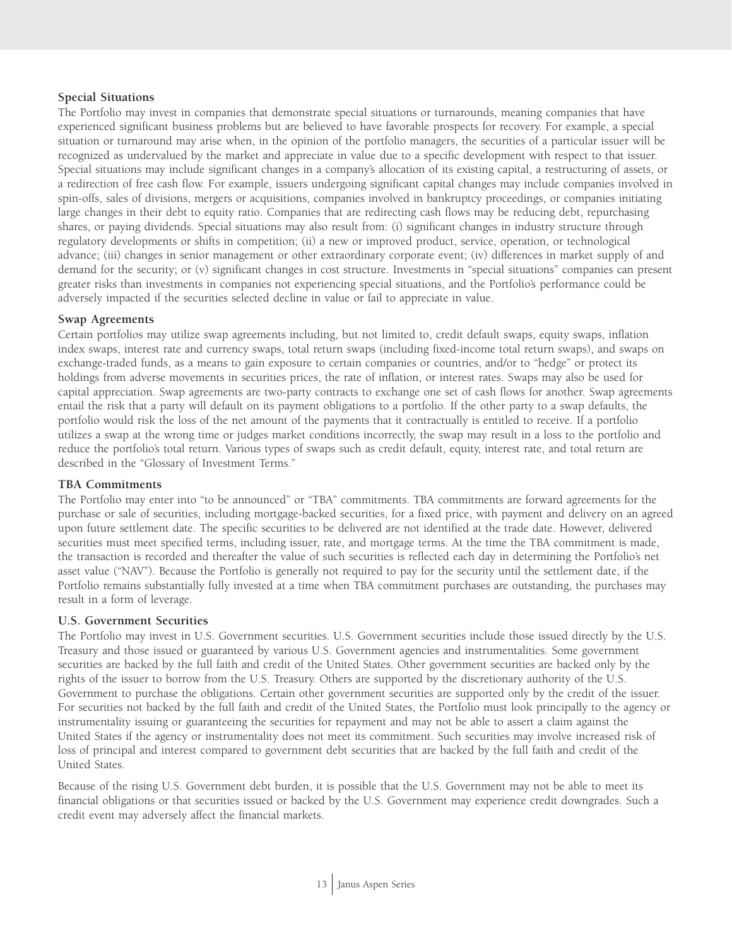#### **Special Situations**

The Portfolio may invest in companies that demonstrate special situations or turnarounds, meaning companies that have experienced significant business problems but are believed to have favorable prospects for recovery. For example, a special situation or turnaround may arise when, in the opinion of the portfolio managers, the securities of a particular issuer will be recognized as undervalued by the market and appreciate in value due to a specific development with respect to that issuer. Special situations may include significant changes in a company's allocation of its existing capital, a restructuring of assets, or a redirection of free cash flow. For example, issuers undergoing significant capital changes may include companies involved in spin-offs, sales of divisions, mergers or acquisitions, companies involved in bankruptcy proceedings, or companies initiating large changes in their debt to equity ratio. Companies that are redirecting cash flows may be reducing debt, repurchasing shares, or paying dividends. Special situations may also result from: (i) significant changes in industry structure through regulatory developments or shifts in competition; (ii) a new or improved product, service, operation, or technological advance; (iii) changes in senior management or other extraordinary corporate event; (iv) differences in market supply of and demand for the security; or (v) significant changes in cost structure. Investments in "special situations" companies can present greater risks than investments in companies not experiencing special situations, and the Portfolio's performance could be adversely impacted if the securities selected decline in value or fail to appreciate in value.

#### **Swap Agreements**

Certain portfolios may utilize swap agreements including, but not limited to, credit default swaps, equity swaps, inflation index swaps, interest rate and currency swaps, total return swaps (including fixed-income total return swaps), and swaps on exchange-traded funds, as a means to gain exposure to certain companies or countries, and/or to "hedge" or protect its holdings from adverse movements in securities prices, the rate of inflation, or interest rates. Swaps may also be used for capital appreciation. Swap agreements are two-party contracts to exchange one set of cash flows for another. Swap agreements entail the risk that a party will default on its payment obligations to a portfolio. If the other party to a swap defaults, the portfolio would risk the loss of the net amount of the payments that it contractually is entitled to receive. If a portfolio utilizes a swap at the wrong time or judges market conditions incorrectly, the swap may result in a loss to the portfolio and reduce the portfolio's total return. Various types of swaps such as credit default, equity, interest rate, and total return are described in the "Glossary of Investment Terms."

#### **TBA Commitments**

The Portfolio may enter into "to be announced" or "TBA" commitments. TBA commitments are forward agreements for the purchase or sale of securities, including mortgage-backed securities, for a fixed price, with payment and delivery on an agreed upon future settlement date. The specific securities to be delivered are not identified at the trade date. However, delivered securities must meet specified terms, including issuer, rate, and mortgage terms. At the time the TBA commitment is made, the transaction is recorded and thereafter the value of such securities is reflected each day in determining the Portfolio's net asset value ("NAV"). Because the Portfolio is generally not required to pay for the security until the settlement date, if the Portfolio remains substantially fully invested at a time when TBA commitment purchases are outstanding, the purchases may result in a form of leverage.

## **U.S. Government Securities**

The Portfolio may invest in U.S. Government securities. U.S. Government securities include those issued directly by the U.S. Treasury and those issued or guaranteed by various U.S. Government agencies and instrumentalities. Some government securities are backed by the full faith and credit of the United States. Other government securities are backed only by the rights of the issuer to borrow from the U.S. Treasury. Others are supported by the discretionary authority of the U.S. Government to purchase the obligations. Certain other government securities are supported only by the credit of the issuer. For securities not backed by the full faith and credit of the United States, the Portfolio must look principally to the agency or instrumentality issuing or guaranteeing the securities for repayment and may not be able to assert a claim against the United States if the agency or instrumentality does not meet its commitment. Such securities may involve increased risk of loss of principal and interest compared to government debt securities that are backed by the full faith and credit of the United States.

Because of the rising U.S. Government debt burden, it is possible that the U.S. Government may not be able to meet its financial obligations or that securities issued or backed by the U.S. Government may experience credit downgrades. Such a credit event may adversely affect the financial markets.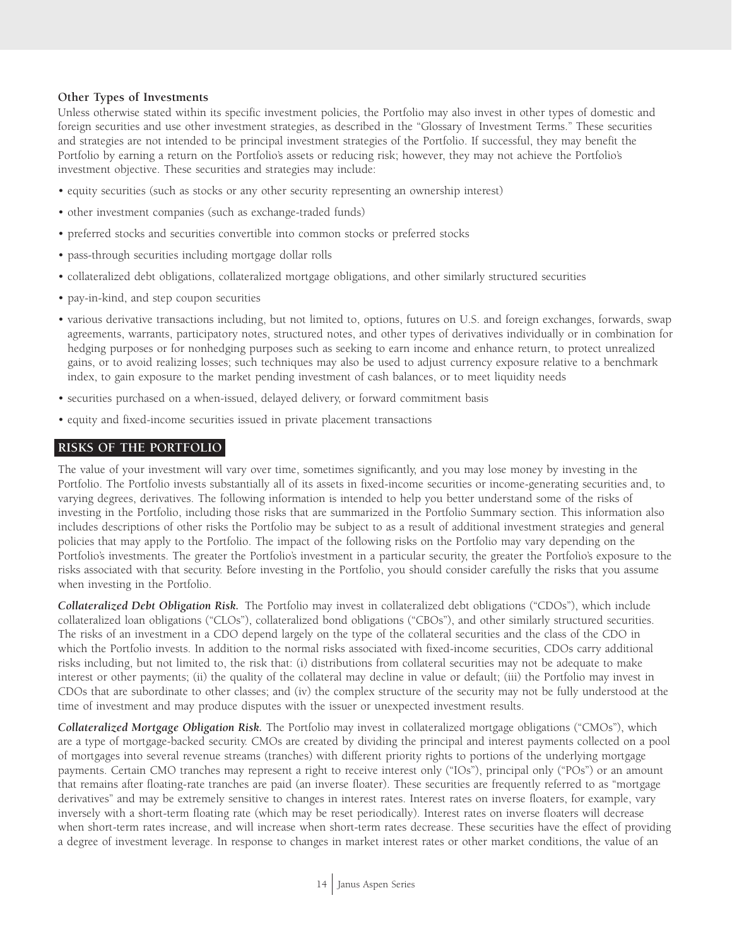#### **Other Types of Investments**

Unless otherwise stated within its specific investment policies, the Portfolio may also invest in other types of domestic and foreign securities and use other investment strategies, as described in the "Glossary of Investment Terms." These securities and strategies are not intended to be principal investment strategies of the Portfolio. If successful, they may benefit the Portfolio by earning a return on the Portfolio's assets or reducing risk; however, they may not achieve the Portfolio's investment objective. These securities and strategies may include:

- equity securities (such as stocks or any other security representing an ownership interest)
- other investment companies (such as exchange-traded funds)
- preferred stocks and securities convertible into common stocks or preferred stocks
- pass-through securities including mortgage dollar rolls
- collateralized debt obligations, collateralized mortgage obligations, and other similarly structured securities
- pay-in-kind, and step coupon securities
- various derivative transactions including, but not limited to, options, futures on U.S. and foreign exchanges, forwards, swap agreements, warrants, participatory notes, structured notes, and other types of derivatives individually or in combination for hedging purposes or for nonhedging purposes such as seeking to earn income and enhance return, to protect unrealized gains, or to avoid realizing losses; such techniques may also be used to adjust currency exposure relative to a benchmark index, to gain exposure to the market pending investment of cash balances, or to meet liquidity needs
- securities purchased on a when-issued, delayed delivery, or forward commitment basis
- equity and fixed-income securities issued in private placement transactions

## **RISKS OF THE PORTFOLIO**

The value of your investment will vary over time, sometimes significantly, and you may lose money by investing in the Portfolio. The Portfolio invests substantially all of its assets in fixed-income securities or income-generating securities and, to varying degrees, derivatives. The following information is intended to help you better understand some of the risks of investing in the Portfolio, including those risks that are summarized in the Portfolio Summary section. This information also includes descriptions of other risks the Portfolio may be subject to as a result of additional investment strategies and general policies that may apply to the Portfolio. The impact of the following risks on the Portfolio may vary depending on the Portfolio's investments. The greater the Portfolio's investment in a particular security, the greater the Portfolio's exposure to the risks associated with that security. Before investing in the Portfolio, you should consider carefully the risks that you assume when investing in the Portfolio.

*Collateralized Debt Obligation Risk.* The Portfolio may invest in collateralized debt obligations ("CDOs"), which include collateralized loan obligations ("CLOs"), collateralized bond obligations ("CBOs"), and other similarly structured securities. The risks of an investment in a CDO depend largely on the type of the collateral securities and the class of the CDO in which the Portfolio invests. In addition to the normal risks associated with fixed-income securities, CDOs carry additional risks including, but not limited to, the risk that: (i) distributions from collateral securities may not be adequate to make interest or other payments; (ii) the quality of the collateral may decline in value or default; (iii) the Portfolio may invest in CDOs that are subordinate to other classes; and (iv) the complex structure of the security may not be fully understood at the time of investment and may produce disputes with the issuer or unexpected investment results.

*Collateralized Mortgage Obligation Risk.* The Portfolio may invest in collateralized mortgage obligations ("CMOs"), which are a type of mortgage-backed security. CMOs are created by dividing the principal and interest payments collected on a pool of mortgages into several revenue streams (tranches) with different priority rights to portions of the underlying mortgage payments. Certain CMO tranches may represent a right to receive interest only ("IOs"), principal only ("POs") or an amount that remains after floating-rate tranches are paid (an inverse floater). These securities are frequently referred to as "mortgage derivatives" and may be extremely sensitive to changes in interest rates. Interest rates on inverse floaters, for example, vary inversely with a short-term floating rate (which may be reset periodically). Interest rates on inverse floaters will decrease when short-term rates increase, and will increase when short-term rates decrease. These securities have the effect of providing a degree of investment leverage. In response to changes in market interest rates or other market conditions, the value of an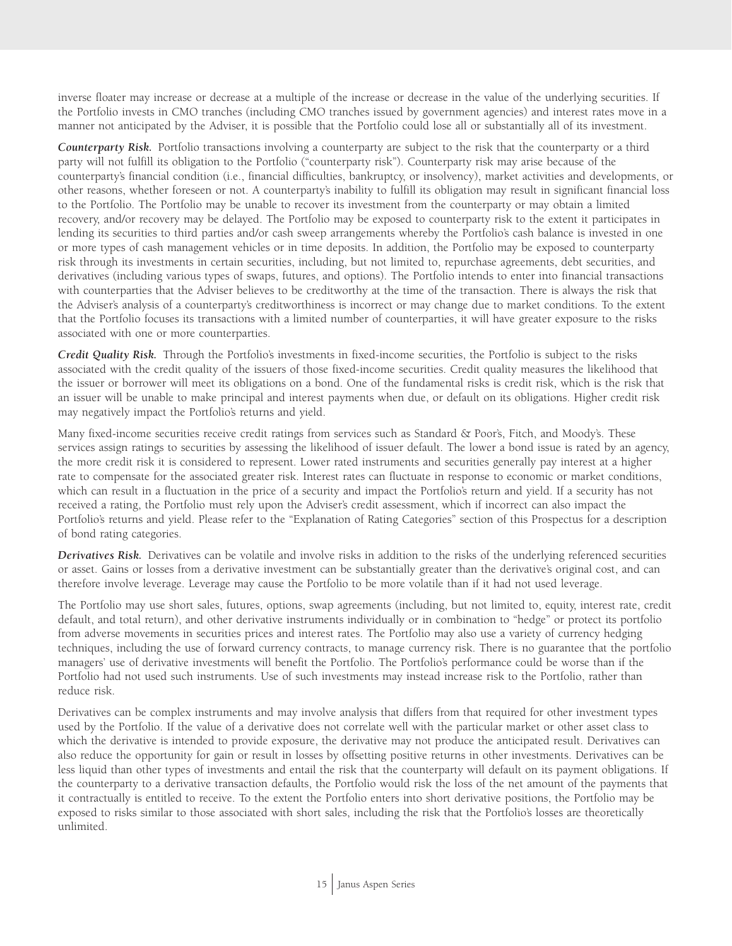inverse floater may increase or decrease at a multiple of the increase or decrease in the value of the underlying securities. If the Portfolio invests in CMO tranches (including CMO tranches issued by government agencies) and interest rates move in a manner not anticipated by the Adviser, it is possible that the Portfolio could lose all or substantially all of its investment.

*Counterparty Risk.* Portfolio transactions involving a counterparty are subject to the risk that the counterparty or a third party will not fulfill its obligation to the Portfolio ("counterparty risk"). Counterparty risk may arise because of the counterparty's financial condition (i.e., financial difficulties, bankruptcy, or insolvency), market activities and developments, or other reasons, whether foreseen or not. A counterparty's inability to fulfill its obligation may result in significant financial loss to the Portfolio. The Portfolio may be unable to recover its investment from the counterparty or may obtain a limited recovery, and/or recovery may be delayed. The Portfolio may be exposed to counterparty risk to the extent it participates in lending its securities to third parties and/or cash sweep arrangements whereby the Portfolio's cash balance is invested in one or more types of cash management vehicles or in time deposits. In addition, the Portfolio may be exposed to counterparty risk through its investments in certain securities, including, but not limited to, repurchase agreements, debt securities, and derivatives (including various types of swaps, futures, and options). The Portfolio intends to enter into financial transactions with counterparties that the Adviser believes to be creditworthy at the time of the transaction. There is always the risk that the Adviser's analysis of a counterparty's creditworthiness is incorrect or may change due to market conditions. To the extent that the Portfolio focuses its transactions with a limited number of counterparties, it will have greater exposure to the risks associated with one or more counterparties.

*Credit Quality Risk.* Through the Portfolio's investments in fixed-income securities, the Portfolio is subject to the risks associated with the credit quality of the issuers of those fixed-income securities. Credit quality measures the likelihood that the issuer or borrower will meet its obligations on a bond. One of the fundamental risks is credit risk, which is the risk that an issuer will be unable to make principal and interest payments when due, or default on its obligations. Higher credit risk may negatively impact the Portfolio's returns and yield.

Many fixed-income securities receive credit ratings from services such as Standard & Poor's, Fitch, and Moody's. These services assign ratings to securities by assessing the likelihood of issuer default. The lower a bond issue is rated by an agency, the more credit risk it is considered to represent. Lower rated instruments and securities generally pay interest at a higher rate to compensate for the associated greater risk. Interest rates can fluctuate in response to economic or market conditions, which can result in a fluctuation in the price of a security and impact the Portfolio's return and yield. If a security has not received a rating, the Portfolio must rely upon the Adviser's credit assessment, which if incorrect can also impact the Portfolio's returns and yield. Please refer to the "Explanation of Rating Categories" section of this Prospectus for a description of bond rating categories.

*Derivatives Risk.* Derivatives can be volatile and involve risks in addition to the risks of the underlying referenced securities or asset. Gains or losses from a derivative investment can be substantially greater than the derivative's original cost, and can therefore involve leverage. Leverage may cause the Portfolio to be more volatile than if it had not used leverage.

The Portfolio may use short sales, futures, options, swap agreements (including, but not limited to, equity, interest rate, credit default, and total return), and other derivative instruments individually or in combination to "hedge" or protect its portfolio from adverse movements in securities prices and interest rates. The Portfolio may also use a variety of currency hedging techniques, including the use of forward currency contracts, to manage currency risk. There is no guarantee that the portfolio managers' use of derivative investments will benefit the Portfolio. The Portfolio's performance could be worse than if the Portfolio had not used such instruments. Use of such investments may instead increase risk to the Portfolio, rather than reduce risk.

Derivatives can be complex instruments and may involve analysis that differs from that required for other investment types used by the Portfolio. If the value of a derivative does not correlate well with the particular market or other asset class to which the derivative is intended to provide exposure, the derivative may not produce the anticipated result. Derivatives can also reduce the opportunity for gain or result in losses by offsetting positive returns in other investments. Derivatives can be less liquid than other types of investments and entail the risk that the counterparty will default on its payment obligations. If the counterparty to a derivative transaction defaults, the Portfolio would risk the loss of the net amount of the payments that it contractually is entitled to receive. To the extent the Portfolio enters into short derivative positions, the Portfolio may be exposed to risks similar to those associated with short sales, including the risk that the Portfolio's losses are theoretically unlimited.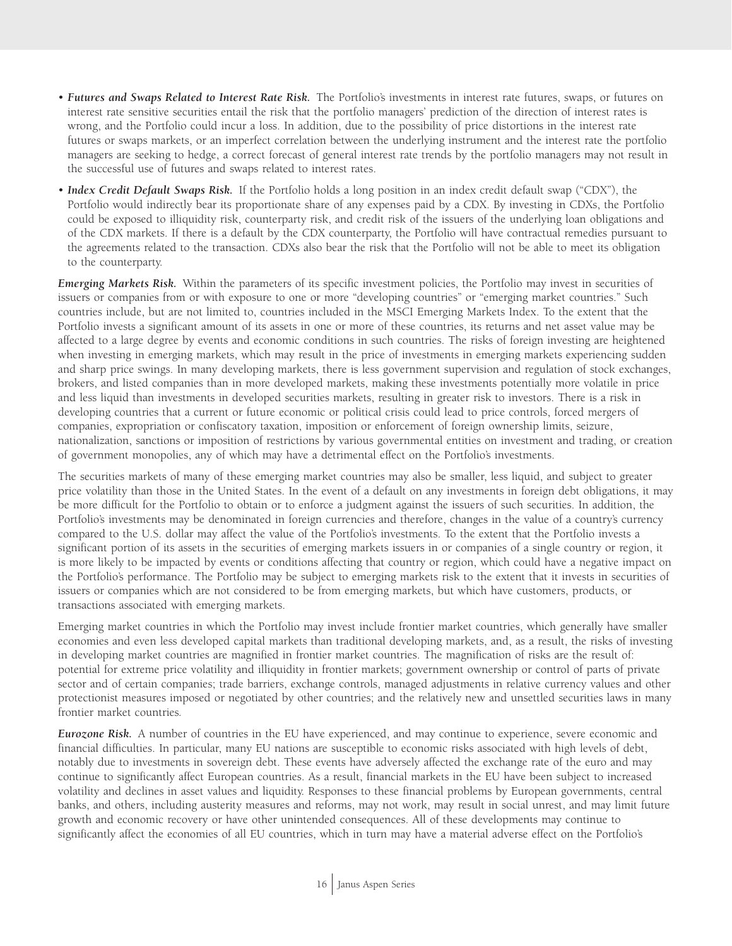- *Futures and Swaps Related to Interest Rate Risk.* The Portfolio's investments in interest rate futures, swaps, or futures on interest rate sensitive securities entail the risk that the portfolio managers' prediction of the direction of interest rates is wrong, and the Portfolio could incur a loss. In addition, due to the possibility of price distortions in the interest rate futures or swaps markets, or an imperfect correlation between the underlying instrument and the interest rate the portfolio managers are seeking to hedge, a correct forecast of general interest rate trends by the portfolio managers may not result in the successful use of futures and swaps related to interest rates.
- *Index Credit Default Swaps Risk.* If the Portfolio holds a long position in an index credit default swap ("CDX"), the Portfolio would indirectly bear its proportionate share of any expenses paid by a CDX. By investing in CDXs, the Portfolio could be exposed to illiquidity risk, counterparty risk, and credit risk of the issuers of the underlying loan obligations and of the CDX markets. If there is a default by the CDX counterparty, the Portfolio will have contractual remedies pursuant to the agreements related to the transaction. CDXs also bear the risk that the Portfolio will not be able to meet its obligation to the counterparty.

*Emerging Markets Risk.* Within the parameters of its specific investment policies, the Portfolio may invest in securities of issuers or companies from or with exposure to one or more "developing countries" or "emerging market countries." Such countries include, but are not limited to, countries included in the MSCI Emerging Markets Index. To the extent that the Portfolio invests a significant amount of its assets in one or more of these countries, its returns and net asset value may be affected to a large degree by events and economic conditions in such countries. The risks of foreign investing are heightened when investing in emerging markets, which may result in the price of investments in emerging markets experiencing sudden and sharp price swings. In many developing markets, there is less government supervision and regulation of stock exchanges, brokers, and listed companies than in more developed markets, making these investments potentially more volatile in price and less liquid than investments in developed securities markets, resulting in greater risk to investors. There is a risk in developing countries that a current or future economic or political crisis could lead to price controls, forced mergers of companies, expropriation or confiscatory taxation, imposition or enforcement of foreign ownership limits, seizure, nationalization, sanctions or imposition of restrictions by various governmental entities on investment and trading, or creation of government monopolies, any of which may have a detrimental effect on the Portfolio's investments.

The securities markets of many of these emerging market countries may also be smaller, less liquid, and subject to greater price volatility than those in the United States. In the event of a default on any investments in foreign debt obligations, it may be more difficult for the Portfolio to obtain or to enforce a judgment against the issuers of such securities. In addition, the Portfolio's investments may be denominated in foreign currencies and therefore, changes in the value of a country's currency compared to the U.S. dollar may affect the value of the Portfolio's investments. To the extent that the Portfolio invests a significant portion of its assets in the securities of emerging markets issuers in or companies of a single country or region, it is more likely to be impacted by events or conditions affecting that country or region, which could have a negative impact on the Portfolio's performance. The Portfolio may be subject to emerging markets risk to the extent that it invests in securities of issuers or companies which are not considered to be from emerging markets, but which have customers, products, or transactions associated with emerging markets.

Emerging market countries in which the Portfolio may invest include frontier market countries, which generally have smaller economies and even less developed capital markets than traditional developing markets, and, as a result, the risks of investing in developing market countries are magnified in frontier market countries. The magnification of risks are the result of: potential for extreme price volatility and illiquidity in frontier markets; government ownership or control of parts of private sector and of certain companies; trade barriers, exchange controls, managed adjustments in relative currency values and other protectionist measures imposed or negotiated by other countries; and the relatively new and unsettled securities laws in many frontier market countries*.*

*Eurozone Risk.* A number of countries in the EU have experienced, and may continue to experience, severe economic and financial difficulties. In particular, many EU nations are susceptible to economic risks associated with high levels of debt, notably due to investments in sovereign debt. These events have adversely affected the exchange rate of the euro and may continue to significantly affect European countries. As a result, financial markets in the EU have been subject to increased volatility and declines in asset values and liquidity. Responses to these financial problems by European governments, central banks, and others, including austerity measures and reforms, may not work, may result in social unrest, and may limit future growth and economic recovery or have other unintended consequences. All of these developments may continue to significantly affect the economies of all EU countries, which in turn may have a material adverse effect on the Portfolio's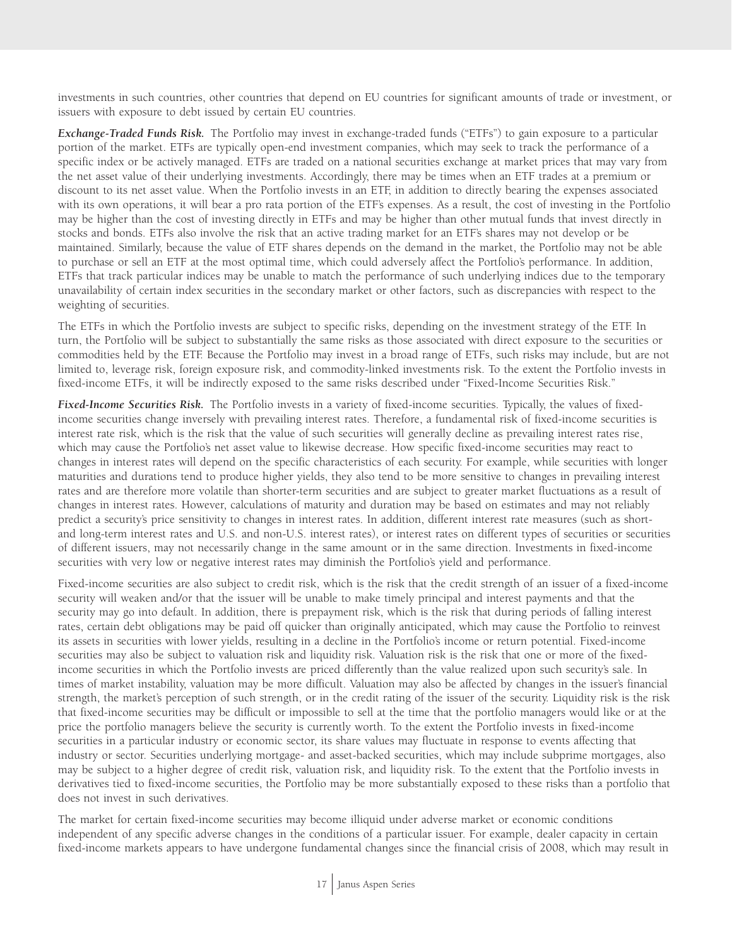investments in such countries, other countries that depend on EU countries for significant amounts of trade or investment, or issuers with exposure to debt issued by certain EU countries.

*Exchange-Traded Funds Risk.* The Portfolio may invest in exchange-traded funds ("ETFs") to gain exposure to a particular portion of the market. ETFs are typically open-end investment companies, which may seek to track the performance of a specific index or be actively managed. ETFs are traded on a national securities exchange at market prices that may vary from the net asset value of their underlying investments. Accordingly, there may be times when an ETF trades at a premium or discount to its net asset value. When the Portfolio invests in an ETF, in addition to directly bearing the expenses associated with its own operations, it will bear a pro rata portion of the ETF's expenses. As a result, the cost of investing in the Portfolio may be higher than the cost of investing directly in ETFs and may be higher than other mutual funds that invest directly in stocks and bonds. ETFs also involve the risk that an active trading market for an ETF's shares may not develop or be maintained. Similarly, because the value of ETF shares depends on the demand in the market, the Portfolio may not be able to purchase or sell an ETF at the most optimal time, which could adversely affect the Portfolio's performance. In addition, ETFs that track particular indices may be unable to match the performance of such underlying indices due to the temporary unavailability of certain index securities in the secondary market or other factors, such as discrepancies with respect to the weighting of securities.

The ETFs in which the Portfolio invests are subject to specific risks, depending on the investment strategy of the ETF. In turn, the Portfolio will be subject to substantially the same risks as those associated with direct exposure to the securities or commodities held by the ETF. Because the Portfolio may invest in a broad range of ETFs, such risks may include, but are not limited to, leverage risk, foreign exposure risk, and commodity-linked investments risk. To the extent the Portfolio invests in fixed-income ETFs, it will be indirectly exposed to the same risks described under "Fixed-Income Securities Risk."

*Fixed-Income Securities Risk.* The Portfolio invests in a variety of fixed-income securities. Typically, the values of fixedincome securities change inversely with prevailing interest rates. Therefore, a fundamental risk of fixed-income securities is interest rate risk, which is the risk that the value of such securities will generally decline as prevailing interest rates rise, which may cause the Portfolio's net asset value to likewise decrease. How specific fixed-income securities may react to changes in interest rates will depend on the specific characteristics of each security. For example, while securities with longer maturities and durations tend to produce higher yields, they also tend to be more sensitive to changes in prevailing interest rates and are therefore more volatile than shorter-term securities and are subject to greater market fluctuations as a result of changes in interest rates. However, calculations of maturity and duration may be based on estimates and may not reliably predict a security's price sensitivity to changes in interest rates. In addition, different interest rate measures (such as shortand long-term interest rates and U.S. and non-U.S. interest rates), or interest rates on different types of securities or securities of different issuers, may not necessarily change in the same amount or in the same direction. Investments in fixed-income securities with very low or negative interest rates may diminish the Portfolio's yield and performance.

Fixed-income securities are also subject to credit risk, which is the risk that the credit strength of an issuer of a fixed-income security will weaken and/or that the issuer will be unable to make timely principal and interest payments and that the security may go into default. In addition, there is prepayment risk, which is the risk that during periods of falling interest rates, certain debt obligations may be paid off quicker than originally anticipated, which may cause the Portfolio to reinvest its assets in securities with lower yields, resulting in a decline in the Portfolio's income or return potential. Fixed-income securities may also be subject to valuation risk and liquidity risk. Valuation risk is the risk that one or more of the fixedincome securities in which the Portfolio invests are priced differently than the value realized upon such security's sale. In times of market instability, valuation may be more difficult. Valuation may also be affected by changes in the issuer's financial strength, the market's perception of such strength, or in the credit rating of the issuer of the security. Liquidity risk is the risk that fixed-income securities may be difficult or impossible to sell at the time that the portfolio managers would like or at the price the portfolio managers believe the security is currently worth. To the extent the Portfolio invests in fixed-income securities in a particular industry or economic sector, its share values may fluctuate in response to events affecting that industry or sector. Securities underlying mortgage- and asset-backed securities, which may include subprime mortgages, also may be subject to a higher degree of credit risk, valuation risk, and liquidity risk. To the extent that the Portfolio invests in derivatives tied to fixed-income securities, the Portfolio may be more substantially exposed to these risks than a portfolio that does not invest in such derivatives.

The market for certain fixed-income securities may become illiquid under adverse market or economic conditions independent of any specific adverse changes in the conditions of a particular issuer. For example, dealer capacity in certain fixed-income markets appears to have undergone fundamental changes since the financial crisis of 2008, which may result in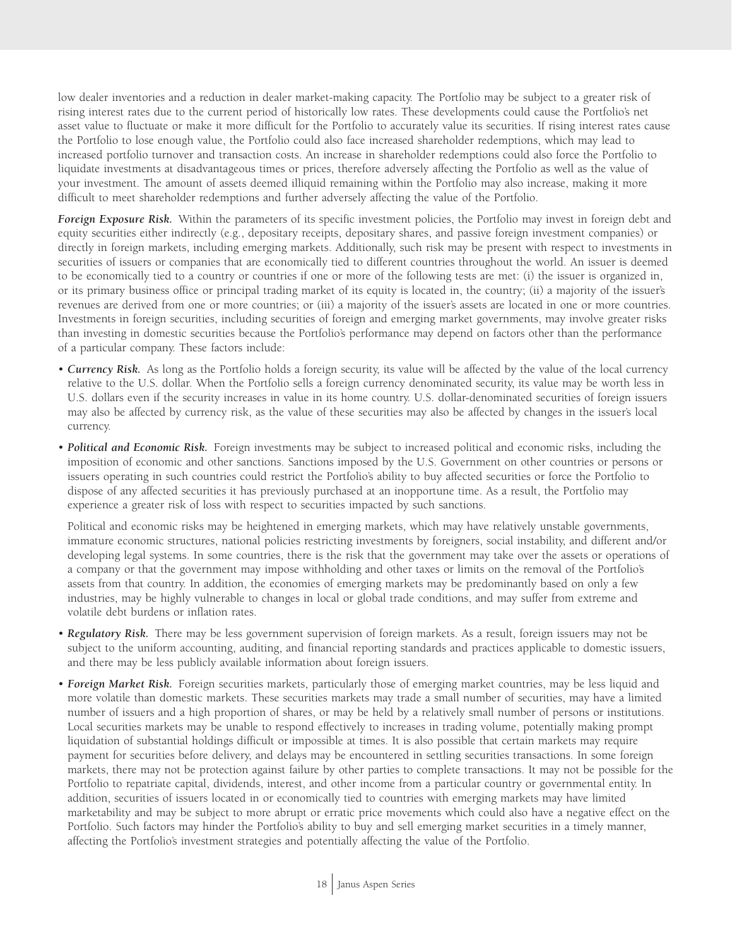low dealer inventories and a reduction in dealer market-making capacity. The Portfolio may be subject to a greater risk of rising interest rates due to the current period of historically low rates. These developments could cause the Portfolio's net asset value to fluctuate or make it more difficult for the Portfolio to accurately value its securities. If rising interest rates cause the Portfolio to lose enough value, the Portfolio could also face increased shareholder redemptions, which may lead to increased portfolio turnover and transaction costs. An increase in shareholder redemptions could also force the Portfolio to liquidate investments at disadvantageous times or prices, therefore adversely affecting the Portfolio as well as the value of your investment. The amount of assets deemed illiquid remaining within the Portfolio may also increase, making it more difficult to meet shareholder redemptions and further adversely affecting the value of the Portfolio.

*Foreign Exposure Risk.* Within the parameters of its specific investment policies, the Portfolio may invest in foreign debt and equity securities either indirectly (e.g., depositary receipts, depositary shares, and passive foreign investment companies) or directly in foreign markets, including emerging markets. Additionally, such risk may be present with respect to investments in securities of issuers or companies that are economically tied to different countries throughout the world. An issuer is deemed to be economically tied to a country or countries if one or more of the following tests are met: (i) the issuer is organized in, or its primary business office or principal trading market of its equity is located in, the country; (ii) a majority of the issuer's revenues are derived from one or more countries; or (iii) a majority of the issuer's assets are located in one or more countries. Investments in foreign securities, including securities of foreign and emerging market governments, may involve greater risks than investing in domestic securities because the Portfolio's performance may depend on factors other than the performance of a particular company. These factors include:

- *Currency Risk.* As long as the Portfolio holds a foreign security, its value will be affected by the value of the local currency relative to the U.S. dollar. When the Portfolio sells a foreign currency denominated security, its value may be worth less in U.S. dollars even if the security increases in value in its home country. U.S. dollar-denominated securities of foreign issuers may also be affected by currency risk, as the value of these securities may also be affected by changes in the issuer's local currency.
- *Political and Economic Risk.* Foreign investments may be subject to increased political and economic risks, including the imposition of economic and other sanctions. Sanctions imposed by the U.S. Government on other countries or persons or issuers operating in such countries could restrict the Portfolio's ability to buy affected securities or force the Portfolio to dispose of any affected securities it has previously purchased at an inopportune time. As a result, the Portfolio may experience a greater risk of loss with respect to securities impacted by such sanctions.

Political and economic risks may be heightened in emerging markets, which may have relatively unstable governments, immature economic structures, national policies restricting investments by foreigners, social instability, and different and/or developing legal systems. In some countries, there is the risk that the government may take over the assets or operations of a company or that the government may impose withholding and other taxes or limits on the removal of the Portfolio's assets from that country. In addition, the economies of emerging markets may be predominantly based on only a few industries, may be highly vulnerable to changes in local or global trade conditions, and may suffer from extreme and volatile debt burdens or inflation rates.

- *Regulatory Risk.* There may be less government supervision of foreign markets. As a result, foreign issuers may not be subject to the uniform accounting, auditing, and financial reporting standards and practices applicable to domestic issuers, and there may be less publicly available information about foreign issuers.
- *Foreign Market Risk.* Foreign securities markets, particularly those of emerging market countries, may be less liquid and more volatile than domestic markets. These securities markets may trade a small number of securities, may have a limited number of issuers and a high proportion of shares, or may be held by a relatively small number of persons or institutions. Local securities markets may be unable to respond effectively to increases in trading volume, potentially making prompt liquidation of substantial holdings difficult or impossible at times. It is also possible that certain markets may require payment for securities before delivery, and delays may be encountered in settling securities transactions. In some foreign markets, there may not be protection against failure by other parties to complete transactions. It may not be possible for the Portfolio to repatriate capital, dividends, interest, and other income from a particular country or governmental entity. In addition, securities of issuers located in or economically tied to countries with emerging markets may have limited marketability and may be subject to more abrupt or erratic price movements which could also have a negative effect on the Portfolio. Such factors may hinder the Portfolio's ability to buy and sell emerging market securities in a timely manner, affecting the Portfolio's investment strategies and potentially affecting the value of the Portfolio.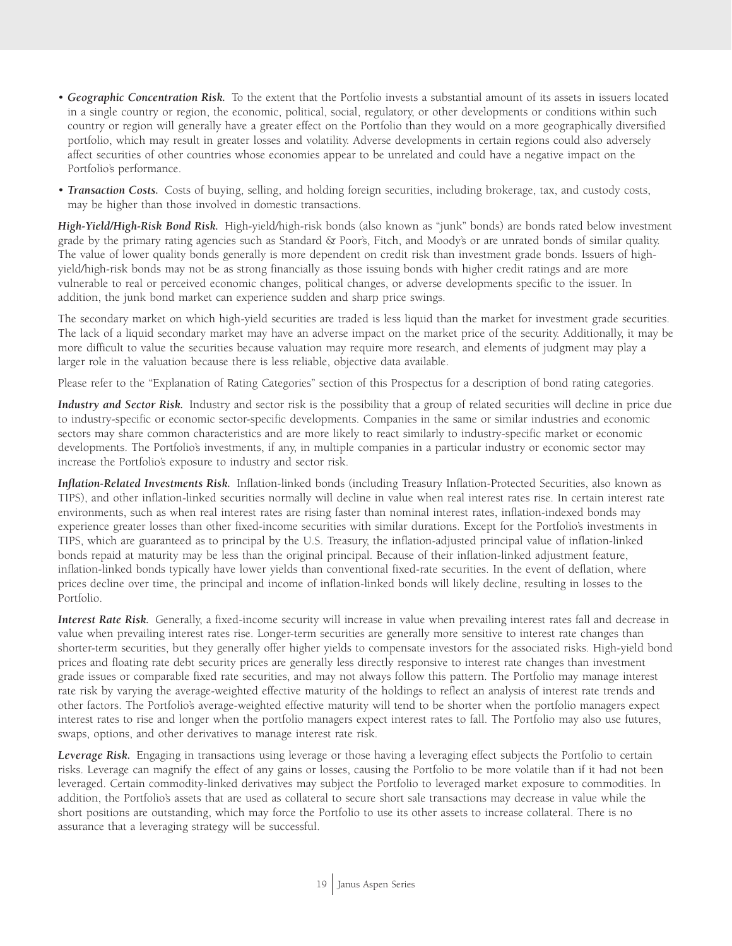- *Geographic Concentration Risk.* To the extent that the Portfolio invests a substantial amount of its assets in issuers located in a single country or region, the economic, political, social, regulatory, or other developments or conditions within such country or region will generally have a greater effect on the Portfolio than they would on a more geographically diversified portfolio, which may result in greater losses and volatility. Adverse developments in certain regions could also adversely affect securities of other countries whose economies appear to be unrelated and could have a negative impact on the Portfolio's performance.
- *Transaction Costs.* Costs of buying, selling, and holding foreign securities, including brokerage, tax, and custody costs, may be higher than those involved in domestic transactions.

*High-Yield/High-Risk Bond Risk.* High-yield/high-risk bonds (also known as "junk" bonds) are bonds rated below investment grade by the primary rating agencies such as Standard & Poor's, Fitch, and Moody's or are unrated bonds of similar quality. The value of lower quality bonds generally is more dependent on credit risk than investment grade bonds. Issuers of highyield/high-risk bonds may not be as strong financially as those issuing bonds with higher credit ratings and are more vulnerable to real or perceived economic changes, political changes, or adverse developments specific to the issuer. In addition, the junk bond market can experience sudden and sharp price swings.

The secondary market on which high-yield securities are traded is less liquid than the market for investment grade securities. The lack of a liquid secondary market may have an adverse impact on the market price of the security. Additionally, it may be more difficult to value the securities because valuation may require more research, and elements of judgment may play a larger role in the valuation because there is less reliable, objective data available.

Please refer to the "Explanation of Rating Categories" section of this Prospectus for a description of bond rating categories.

*Industry and Sector Risk.* Industry and sector risk is the possibility that a group of related securities will decline in price due to industry-specific or economic sector-specific developments. Companies in the same or similar industries and economic sectors may share common characteristics and are more likely to react similarly to industry-specific market or economic developments. The Portfolio's investments, if any, in multiple companies in a particular industry or economic sector may increase the Portfolio's exposure to industry and sector risk.

*Inflation-Related Investments Risk.* Inflation-linked bonds (including Treasury Inflation-Protected Securities, also known as TIPS), and other inflation-linked securities normally will decline in value when real interest rates rise. In certain interest rate environments, such as when real interest rates are rising faster than nominal interest rates, inflation-indexed bonds may experience greater losses than other fixed-income securities with similar durations. Except for the Portfolio's investments in TIPS, which are guaranteed as to principal by the U.S. Treasury, the inflation-adjusted principal value of inflation-linked bonds repaid at maturity may be less than the original principal. Because of their inflation-linked adjustment feature, inflation-linked bonds typically have lower yields than conventional fixed-rate securities. In the event of deflation, where prices decline over time, the principal and income of inflation-linked bonds will likely decline, resulting in losses to the Portfolio.

*Interest Rate Risk.* Generally, a fixed-income security will increase in value when prevailing interest rates fall and decrease in value when prevailing interest rates rise. Longer-term securities are generally more sensitive to interest rate changes than shorter-term securities, but they generally offer higher yields to compensate investors for the associated risks. High-yield bond prices and floating rate debt security prices are generally less directly responsive to interest rate changes than investment grade issues or comparable fixed rate securities, and may not always follow this pattern. The Portfolio may manage interest rate risk by varying the average-weighted effective maturity of the holdings to reflect an analysis of interest rate trends and other factors. The Portfolio's average-weighted effective maturity will tend to be shorter when the portfolio managers expect interest rates to rise and longer when the portfolio managers expect interest rates to fall. The Portfolio may also use futures, swaps, options, and other derivatives to manage interest rate risk.

*Leverage Risk.* Engaging in transactions using leverage or those having a leveraging effect subjects the Portfolio to certain risks. Leverage can magnify the effect of any gains or losses, causing the Portfolio to be more volatile than if it had not been leveraged. Certain commodity-linked derivatives may subject the Portfolio to leveraged market exposure to commodities. In addition, the Portfolio's assets that are used as collateral to secure short sale transactions may decrease in value while the short positions are outstanding, which may force the Portfolio to use its other assets to increase collateral. There is no assurance that a leveraging strategy will be successful.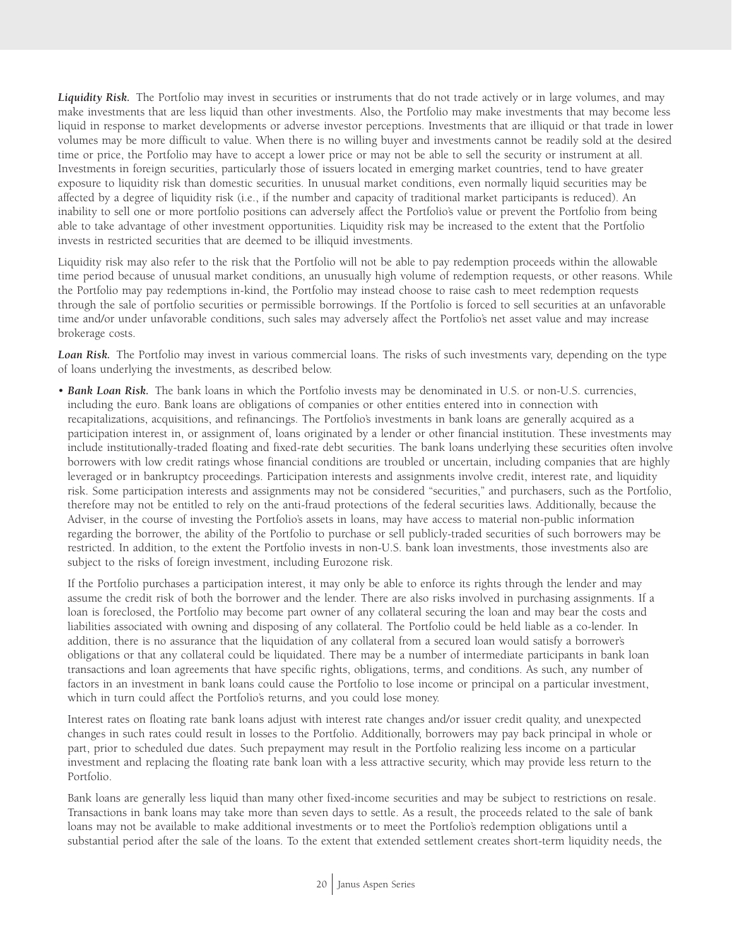Liquidity Risk. The Portfolio may invest in securities or instruments that do not trade actively or in large volumes, and may make investments that are less liquid than other investments. Also, the Portfolio may make investments that may become less liquid in response to market developments or adverse investor perceptions. Investments that are illiquid or that trade in lower volumes may be more difficult to value. When there is no willing buyer and investments cannot be readily sold at the desired time or price, the Portfolio may have to accept a lower price or may not be able to sell the security or instrument at all. Investments in foreign securities, particularly those of issuers located in emerging market countries, tend to have greater exposure to liquidity risk than domestic securities. In unusual market conditions, even normally liquid securities may be affected by a degree of liquidity risk (i.e., if the number and capacity of traditional market participants is reduced). An inability to sell one or more portfolio positions can adversely affect the Portfolio's value or prevent the Portfolio from being able to take advantage of other investment opportunities. Liquidity risk may be increased to the extent that the Portfolio invests in restricted securities that are deemed to be illiquid investments.

Liquidity risk may also refer to the risk that the Portfolio will not be able to pay redemption proceeds within the allowable time period because of unusual market conditions, an unusually high volume of redemption requests, or other reasons. While the Portfolio may pay redemptions in-kind, the Portfolio may instead choose to raise cash to meet redemption requests through the sale of portfolio securities or permissible borrowings. If the Portfolio is forced to sell securities at an unfavorable time and/or under unfavorable conditions, such sales may adversely affect the Portfolio's net asset value and may increase brokerage costs.

*Loan Risk.* The Portfolio may invest in various commercial loans. The risks of such investments vary, depending on the type of loans underlying the investments, as described below.

• *Bank Loan Risk.* The bank loans in which the Portfolio invests may be denominated in U.S. or non-U.S. currencies, including the euro. Bank loans are obligations of companies or other entities entered into in connection with recapitalizations, acquisitions, and refinancings. The Portfolio's investments in bank loans are generally acquired as a participation interest in, or assignment of, loans originated by a lender or other financial institution. These investments may include institutionally-traded floating and fixed-rate debt securities. The bank loans underlying these securities often involve borrowers with low credit ratings whose financial conditions are troubled or uncertain, including companies that are highly leveraged or in bankruptcy proceedings. Participation interests and assignments involve credit, interest rate, and liquidity risk. Some participation interests and assignments may not be considered "securities," and purchasers, such as the Portfolio, therefore may not be entitled to rely on the anti-fraud protections of the federal securities laws. Additionally, because the Adviser, in the course of investing the Portfolio's assets in loans, may have access to material non-public information regarding the borrower, the ability of the Portfolio to purchase or sell publicly-traded securities of such borrowers may be restricted. In addition, to the extent the Portfolio invests in non-U.S. bank loan investments, those investments also are subject to the risks of foreign investment, including Eurozone risk.

If the Portfolio purchases a participation interest, it may only be able to enforce its rights through the lender and may assume the credit risk of both the borrower and the lender. There are also risks involved in purchasing assignments. If a loan is foreclosed, the Portfolio may become part owner of any collateral securing the loan and may bear the costs and liabilities associated with owning and disposing of any collateral. The Portfolio could be held liable as a co-lender. In addition, there is no assurance that the liquidation of any collateral from a secured loan would satisfy a borrower's obligations or that any collateral could be liquidated. There may be a number of intermediate participants in bank loan transactions and loan agreements that have specific rights, obligations, terms, and conditions. As such, any number of factors in an investment in bank loans could cause the Portfolio to lose income or principal on a particular investment, which in turn could affect the Portfolio's returns, and you could lose money.

Interest rates on floating rate bank loans adjust with interest rate changes and/or issuer credit quality, and unexpected changes in such rates could result in losses to the Portfolio. Additionally, borrowers may pay back principal in whole or part, prior to scheduled due dates. Such prepayment may result in the Portfolio realizing less income on a particular investment and replacing the floating rate bank loan with a less attractive security, which may provide less return to the Portfolio.

Bank loans are generally less liquid than many other fixed-income securities and may be subject to restrictions on resale. Transactions in bank loans may take more than seven days to settle. As a result, the proceeds related to the sale of bank loans may not be available to make additional investments or to meet the Portfolio's redemption obligations until a substantial period after the sale of the loans. To the extent that extended settlement creates short-term liquidity needs, the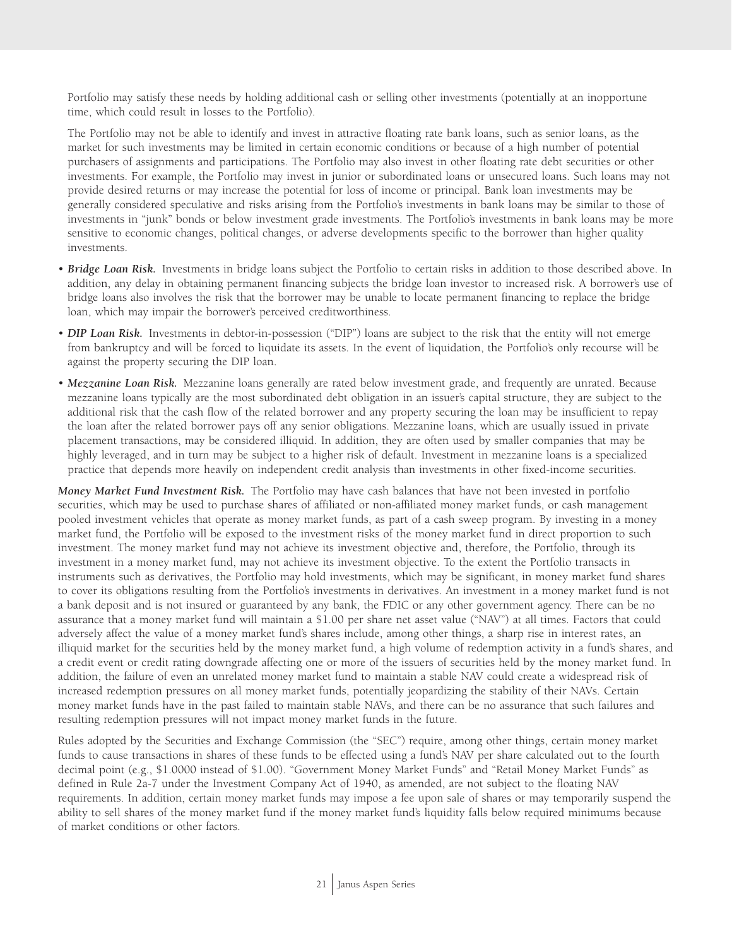Portfolio may satisfy these needs by holding additional cash or selling other investments (potentially at an inopportune time, which could result in losses to the Portfolio).

The Portfolio may not be able to identify and invest in attractive floating rate bank loans, such as senior loans, as the market for such investments may be limited in certain economic conditions or because of a high number of potential purchasers of assignments and participations. The Portfolio may also invest in other floating rate debt securities or other investments. For example, the Portfolio may invest in junior or subordinated loans or unsecured loans. Such loans may not provide desired returns or may increase the potential for loss of income or principal. Bank loan investments may be generally considered speculative and risks arising from the Portfolio's investments in bank loans may be similar to those of investments in "junk" bonds or below investment grade investments. The Portfolio's investments in bank loans may be more sensitive to economic changes, political changes, or adverse developments specific to the borrower than higher quality investments.

- *Bridge Loan Risk.* Investments in bridge loans subject the Portfolio to certain risks in addition to those described above. In addition, any delay in obtaining permanent financing subjects the bridge loan investor to increased risk. A borrower's use of bridge loans also involves the risk that the borrower may be unable to locate permanent financing to replace the bridge loan, which may impair the borrower's perceived creditworthiness.
- *DIP Loan Risk.* Investments in debtor-in-possession ("DIP") loans are subject to the risk that the entity will not emerge from bankruptcy and will be forced to liquidate its assets. In the event of liquidation, the Portfolio's only recourse will be against the property securing the DIP loan.
- *Mezzanine Loan Risk.* Mezzanine loans generally are rated below investment grade, and frequently are unrated. Because mezzanine loans typically are the most subordinated debt obligation in an issuer's capital structure, they are subject to the additional risk that the cash flow of the related borrower and any property securing the loan may be insufficient to repay the loan after the related borrower pays off any senior obligations. Mezzanine loans, which are usually issued in private placement transactions, may be considered illiquid. In addition, they are often used by smaller companies that may be highly leveraged, and in turn may be subject to a higher risk of default. Investment in mezzanine loans is a specialized practice that depends more heavily on independent credit analysis than investments in other fixed-income securities.

*Money Market Fund Investment Risk.* The Portfolio may have cash balances that have not been invested in portfolio securities, which may be used to purchase shares of affiliated or non-affiliated money market funds, or cash management pooled investment vehicles that operate as money market funds, as part of a cash sweep program. By investing in a money market fund, the Portfolio will be exposed to the investment risks of the money market fund in direct proportion to such investment. The money market fund may not achieve its investment objective and, therefore, the Portfolio, through its investment in a money market fund, may not achieve its investment objective. To the extent the Portfolio transacts in instruments such as derivatives, the Portfolio may hold investments, which may be significant, in money market fund shares to cover its obligations resulting from the Portfolio's investments in derivatives. An investment in a money market fund is not a bank deposit and is not insured or guaranteed by any bank, the FDIC or any other government agency. There can be no assurance that a money market fund will maintain a \$1.00 per share net asset value ("NAV") at all times. Factors that could adversely affect the value of a money market fund's shares include, among other things, a sharp rise in interest rates, an illiquid market for the securities held by the money market fund, a high volume of redemption activity in a fund's shares, and a credit event or credit rating downgrade affecting one or more of the issuers of securities held by the money market fund. In addition, the failure of even an unrelated money market fund to maintain a stable NAV could create a widespread risk of increased redemption pressures on all money market funds, potentially jeopardizing the stability of their NAVs. Certain money market funds have in the past failed to maintain stable NAVs, and there can be no assurance that such failures and resulting redemption pressures will not impact money market funds in the future.

Rules adopted by the Securities and Exchange Commission (the "SEC") require, among other things, certain money market funds to cause transactions in shares of these funds to be effected using a fund's NAV per share calculated out to the fourth decimal point (e.g., \$1.0000 instead of \$1.00). "Government Money Market Funds" and "Retail Money Market Funds" as defined in Rule 2a-7 under the Investment Company Act of 1940, as amended, are not subject to the floating NAV requirements. In addition, certain money market funds may impose a fee upon sale of shares or may temporarily suspend the ability to sell shares of the money market fund if the money market fund's liquidity falls below required minimums because of market conditions or other factors.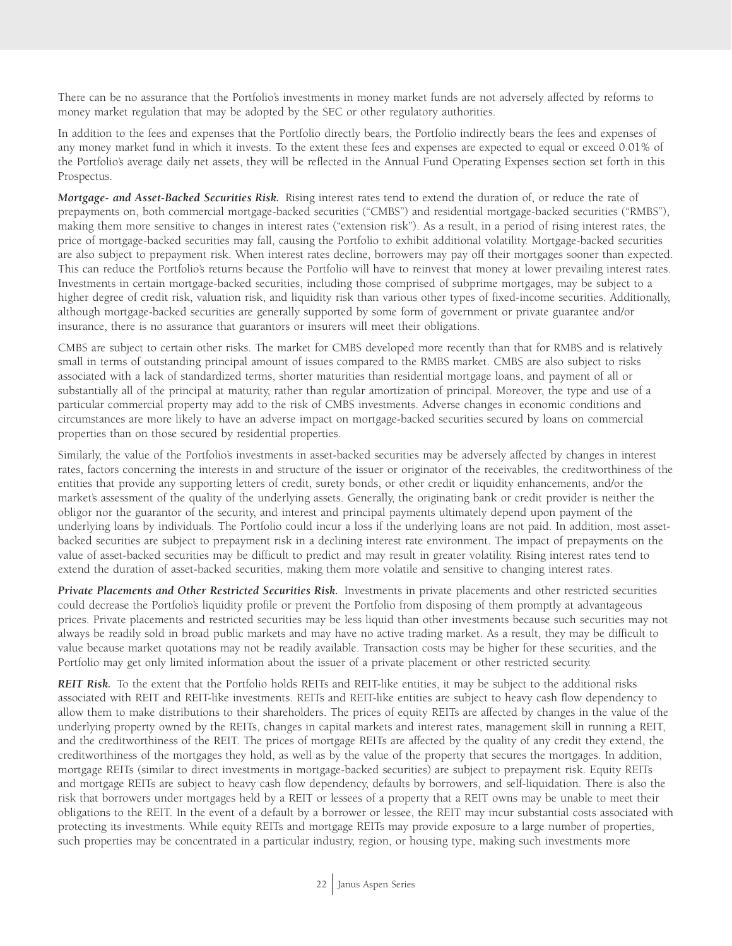There can be no assurance that the Portfolio's investments in money market funds are not adversely affected by reforms to money market regulation that may be adopted by the SEC or other regulatory authorities.

In addition to the fees and expenses that the Portfolio directly bears, the Portfolio indirectly bears the fees and expenses of any money market fund in which it invests. To the extent these fees and expenses are expected to equal or exceed 0.01% of the Portfolio's average daily net assets, they will be reflected in the Annual Fund Operating Expenses section set forth in this Prospectus.

*Mortgage- and Asset-Backed Securities Risk.* Rising interest rates tend to extend the duration of, or reduce the rate of prepayments on, both commercial mortgage-backed securities ("CMBS") and residential mortgage-backed securities ("RMBS"), making them more sensitive to changes in interest rates ("extension risk"). As a result, in a period of rising interest rates, the price of mortgage-backed securities may fall, causing the Portfolio to exhibit additional volatility. Mortgage-backed securities are also subject to prepayment risk. When interest rates decline, borrowers may pay off their mortgages sooner than expected. This can reduce the Portfolio's returns because the Portfolio will have to reinvest that money at lower prevailing interest rates. Investments in certain mortgage-backed securities, including those comprised of subprime mortgages, may be subject to a higher degree of credit risk, valuation risk, and liquidity risk than various other types of fixed-income securities. Additionally, although mortgage-backed securities are generally supported by some form of government or private guarantee and/or insurance, there is no assurance that guarantors or insurers will meet their obligations.

CMBS are subject to certain other risks. The market for CMBS developed more recently than that for RMBS and is relatively small in terms of outstanding principal amount of issues compared to the RMBS market. CMBS are also subject to risks associated with a lack of standardized terms, shorter maturities than residential mortgage loans, and payment of all or substantially all of the principal at maturity, rather than regular amortization of principal. Moreover, the type and use of a particular commercial property may add to the risk of CMBS investments. Adverse changes in economic conditions and circumstances are more likely to have an adverse impact on mortgage-backed securities secured by loans on commercial properties than on those secured by residential properties.

Similarly, the value of the Portfolio's investments in asset-backed securities may be adversely affected by changes in interest rates, factors concerning the interests in and structure of the issuer or originator of the receivables, the creditworthiness of the entities that provide any supporting letters of credit, surety bonds, or other credit or liquidity enhancements, and/or the market's assessment of the quality of the underlying assets. Generally, the originating bank or credit provider is neither the obligor nor the guarantor of the security, and interest and principal payments ultimately depend upon payment of the underlying loans by individuals. The Portfolio could incur a loss if the underlying loans are not paid. In addition, most assetbacked securities are subject to prepayment risk in a declining interest rate environment. The impact of prepayments on the value of asset-backed securities may be difficult to predict and may result in greater volatility. Rising interest rates tend to extend the duration of asset-backed securities, making them more volatile and sensitive to changing interest rates.

*Private Placements and Other Restricted Securities Risk.* Investments in private placements and other restricted securities could decrease the Portfolio's liquidity profile or prevent the Portfolio from disposing of them promptly at advantageous prices. Private placements and restricted securities may be less liquid than other investments because such securities may not always be readily sold in broad public markets and may have no active trading market. As a result, they may be difficult to value because market quotations may not be readily available. Transaction costs may be higher for these securities, and the Portfolio may get only limited information about the issuer of a private placement or other restricted security.

*REIT Risk.* To the extent that the Portfolio holds REITs and REIT-like entities, it may be subject to the additional risks associated with REIT and REIT-like investments. REITs and REIT-like entities are subject to heavy cash flow dependency to allow them to make distributions to their shareholders. The prices of equity REITs are affected by changes in the value of the underlying property owned by the REITs, changes in capital markets and interest rates, management skill in running a REIT, and the creditworthiness of the REIT. The prices of mortgage REITs are affected by the quality of any credit they extend, the creditworthiness of the mortgages they hold, as well as by the value of the property that secures the mortgages. In addition, mortgage REITs (similar to direct investments in mortgage-backed securities) are subject to prepayment risk. Equity REITs and mortgage REITs are subject to heavy cash flow dependency, defaults by borrowers, and self-liquidation. There is also the risk that borrowers under mortgages held by a REIT or lessees of a property that a REIT owns may be unable to meet their obligations to the REIT. In the event of a default by a borrower or lessee, the REIT may incur substantial costs associated with protecting its investments. While equity REITs and mortgage REITs may provide exposure to a large number of properties, such properties may be concentrated in a particular industry, region, or housing type, making such investments more

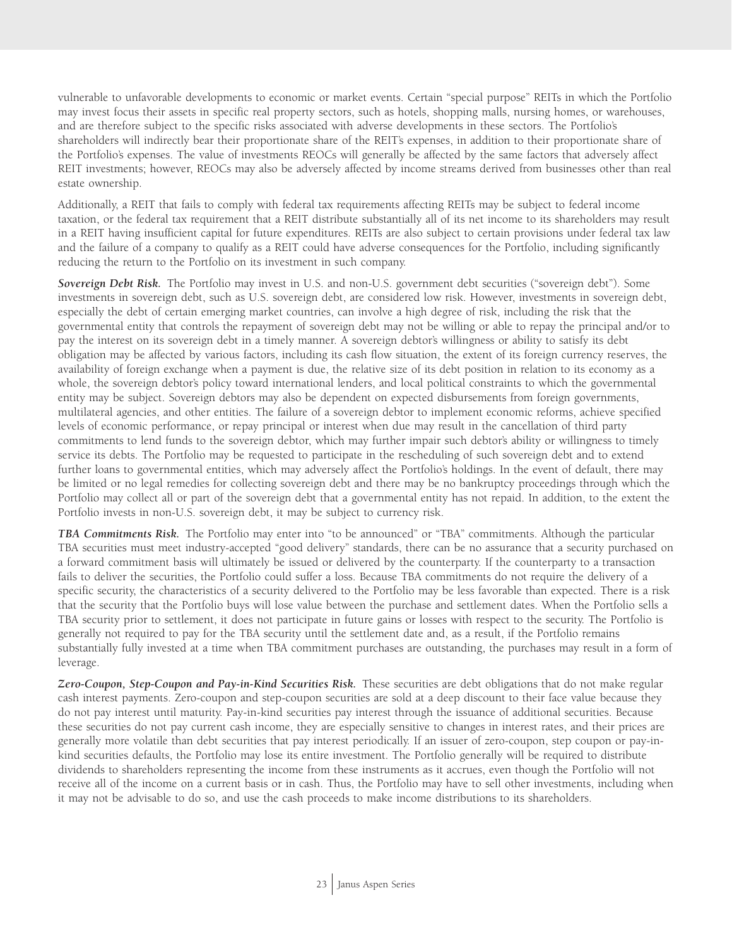vulnerable to unfavorable developments to economic or market events. Certain "special purpose" REITs in which the Portfolio may invest focus their assets in specific real property sectors, such as hotels, shopping malls, nursing homes, or warehouses, and are therefore subject to the specific risks associated with adverse developments in these sectors. The Portfolio's shareholders will indirectly bear their proportionate share of the REIT's expenses, in addition to their proportionate share of the Portfolio's expenses. The value of investments REOCs will generally be affected by the same factors that adversely affect REIT investments; however, REOCs may also be adversely affected by income streams derived from businesses other than real estate ownership.

Additionally, a REIT that fails to comply with federal tax requirements affecting REITs may be subject to federal income taxation, or the federal tax requirement that a REIT distribute substantially all of its net income to its shareholders may result in a REIT having insufficient capital for future expenditures. REITs are also subject to certain provisions under federal tax law and the failure of a company to qualify as a REIT could have adverse consequences for the Portfolio, including significantly reducing the return to the Portfolio on its investment in such company.

*Sovereign Debt Risk.* The Portfolio may invest in U.S. and non-U.S. government debt securities ("sovereign debt"). Some investments in sovereign debt, such as U.S. sovereign debt, are considered low risk. However, investments in sovereign debt, especially the debt of certain emerging market countries, can involve a high degree of risk, including the risk that the governmental entity that controls the repayment of sovereign debt may not be willing or able to repay the principal and/or to pay the interest on its sovereign debt in a timely manner. A sovereign debtor's willingness or ability to satisfy its debt obligation may be affected by various factors, including its cash flow situation, the extent of its foreign currency reserves, the availability of foreign exchange when a payment is due, the relative size of its debt position in relation to its economy as a whole, the sovereign debtor's policy toward international lenders, and local political constraints to which the governmental entity may be subject. Sovereign debtors may also be dependent on expected disbursements from foreign governments, multilateral agencies, and other entities. The failure of a sovereign debtor to implement economic reforms, achieve specified levels of economic performance, or repay principal or interest when due may result in the cancellation of third party commitments to lend funds to the sovereign debtor, which may further impair such debtor's ability or willingness to timely service its debts. The Portfolio may be requested to participate in the rescheduling of such sovereign debt and to extend further loans to governmental entities, which may adversely affect the Portfolio's holdings. In the event of default, there may be limited or no legal remedies for collecting sovereign debt and there may be no bankruptcy proceedings through which the Portfolio may collect all or part of the sovereign debt that a governmental entity has not repaid. In addition, to the extent the Portfolio invests in non-U.S. sovereign debt, it may be subject to currency risk.

*TBA Commitments Risk.* The Portfolio may enter into "to be announced" or "TBA" commitments. Although the particular TBA securities must meet industry-accepted "good delivery" standards, there can be no assurance that a security purchased on a forward commitment basis will ultimately be issued or delivered by the counterparty. If the counterparty to a transaction fails to deliver the securities, the Portfolio could suffer a loss. Because TBA commitments do not require the delivery of a specific security, the characteristics of a security delivered to the Portfolio may be less favorable than expected. There is a risk that the security that the Portfolio buys will lose value between the purchase and settlement dates. When the Portfolio sells a TBA security prior to settlement, it does not participate in future gains or losses with respect to the security. The Portfolio is generally not required to pay for the TBA security until the settlement date and, as a result, if the Portfolio remains substantially fully invested at a time when TBA commitment purchases are outstanding, the purchases may result in a form of leverage.

*Zero-Coupon, Step-Coupon and Pay-in-Kind Securities Risk.* These securities are debt obligations that do not make regular cash interest payments. Zero-coupon and step-coupon securities are sold at a deep discount to their face value because they do not pay interest until maturity. Pay-in-kind securities pay interest through the issuance of additional securities. Because these securities do not pay current cash income, they are especially sensitive to changes in interest rates, and their prices are generally more volatile than debt securities that pay interest periodically. If an issuer of zero-coupon, step coupon or pay-inkind securities defaults, the Portfolio may lose its entire investment. The Portfolio generally will be required to distribute dividends to shareholders representing the income from these instruments as it accrues, even though the Portfolio will not receive all of the income on a current basis or in cash. Thus, the Portfolio may have to sell other investments, including when it may not be advisable to do so, and use the cash proceeds to make income distributions to its shareholders.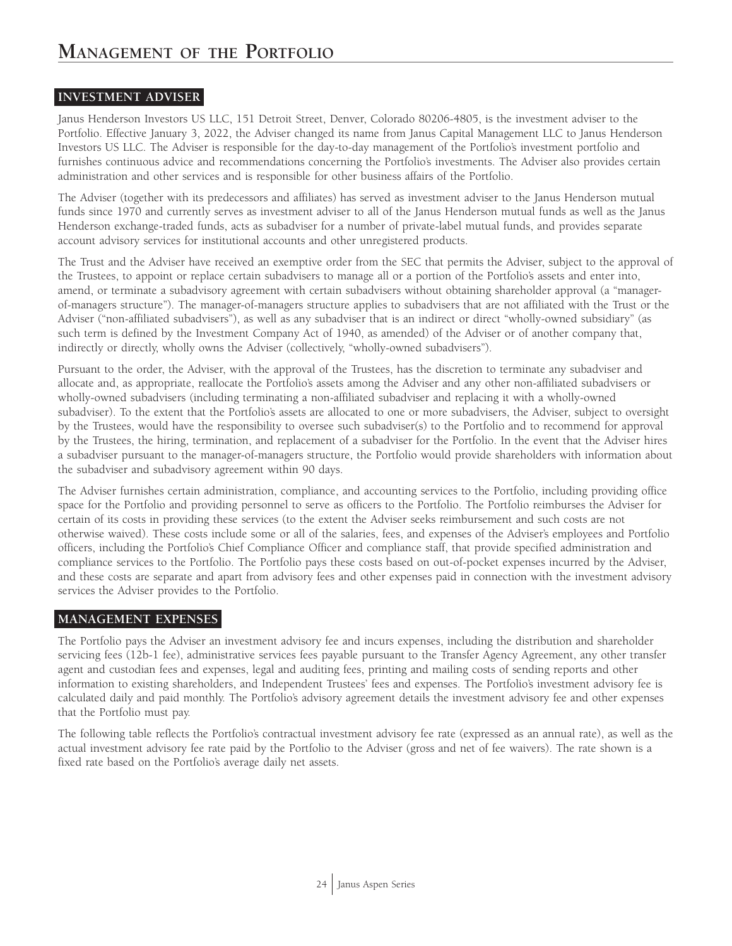## **INVESTMENT ADVISER**

Janus Henderson Investors US LLC, 151 Detroit Street, Denver, Colorado 80206-4805, is the investment adviser to the Portfolio. Effective January 3, 2022, the Adviser changed its name from Janus Capital Management LLC to Janus Henderson Investors US LLC. The Adviser is responsible for the day-to-day management of the Portfolio's investment portfolio and furnishes continuous advice and recommendations concerning the Portfolio's investments. The Adviser also provides certain administration and other services and is responsible for other business affairs of the Portfolio.

The Adviser (together with its predecessors and affiliates) has served as investment adviser to the Janus Henderson mutual funds since 1970 and currently serves as investment adviser to all of the Janus Henderson mutual funds as well as the Janus Henderson exchange-traded funds, acts as subadviser for a number of private-label mutual funds, and provides separate account advisory services for institutional accounts and other unregistered products.

The Trust and the Adviser have received an exemptive order from the SEC that permits the Adviser, subject to the approval of the Trustees, to appoint or replace certain subadvisers to manage all or a portion of the Portfolio's assets and enter into, amend, or terminate a subadvisory agreement with certain subadvisers without obtaining shareholder approval (a "managerof-managers structure"). The manager-of-managers structure applies to subadvisers that are not affiliated with the Trust or the Adviser ("non-affiliated subadvisers"), as well as any subadviser that is an indirect or direct "wholly-owned subsidiary" (as such term is defined by the Investment Company Act of 1940, as amended) of the Adviser or of another company that, indirectly or directly, wholly owns the Adviser (collectively, "wholly-owned subadvisers").

Pursuant to the order, the Adviser, with the approval of the Trustees, has the discretion to terminate any subadviser and allocate and, as appropriate, reallocate the Portfolio's assets among the Adviser and any other non-affiliated subadvisers or wholly-owned subadvisers (including terminating a non-affiliated subadviser and replacing it with a wholly-owned subadviser). To the extent that the Portfolio's assets are allocated to one or more subadvisers, the Adviser, subject to oversight by the Trustees, would have the responsibility to oversee such subadviser(s) to the Portfolio and to recommend for approval by the Trustees, the hiring, termination, and replacement of a subadviser for the Portfolio. In the event that the Adviser hires a subadviser pursuant to the manager-of-managers structure, the Portfolio would provide shareholders with information about the subadviser and subadvisory agreement within 90 days.

The Adviser furnishes certain administration, compliance, and accounting services to the Portfolio, including providing office space for the Portfolio and providing personnel to serve as officers to the Portfolio. The Portfolio reimburses the Adviser for certain of its costs in providing these services (to the extent the Adviser seeks reimbursement and such costs are not otherwise waived). These costs include some or all of the salaries, fees, and expenses of the Adviser's employees and Portfolio officers, including the Portfolio's Chief Compliance Officer and compliance staff, that provide specified administration and compliance services to the Portfolio. The Portfolio pays these costs based on out-of-pocket expenses incurred by the Adviser, and these costs are separate and apart from advisory fees and other expenses paid in connection with the investment advisory services the Adviser provides to the Portfolio.

## **MANAGEMENT EXPENSES**

The Portfolio pays the Adviser an investment advisory fee and incurs expenses, including the distribution and shareholder servicing fees (12b-1 fee), administrative services fees payable pursuant to the Transfer Agency Agreement, any other transfer agent and custodian fees and expenses, legal and auditing fees, printing and mailing costs of sending reports and other information to existing shareholders, and Independent Trustees' fees and expenses. The Portfolio's investment advisory fee is calculated daily and paid monthly. The Portfolio's advisory agreement details the investment advisory fee and other expenses that the Portfolio must pay.

The following table reflects the Portfolio's contractual investment advisory fee rate (expressed as an annual rate), as well as the actual investment advisory fee rate paid by the Portfolio to the Adviser (gross and net of fee waivers). The rate shown is a fixed rate based on the Portfolio's average daily net assets.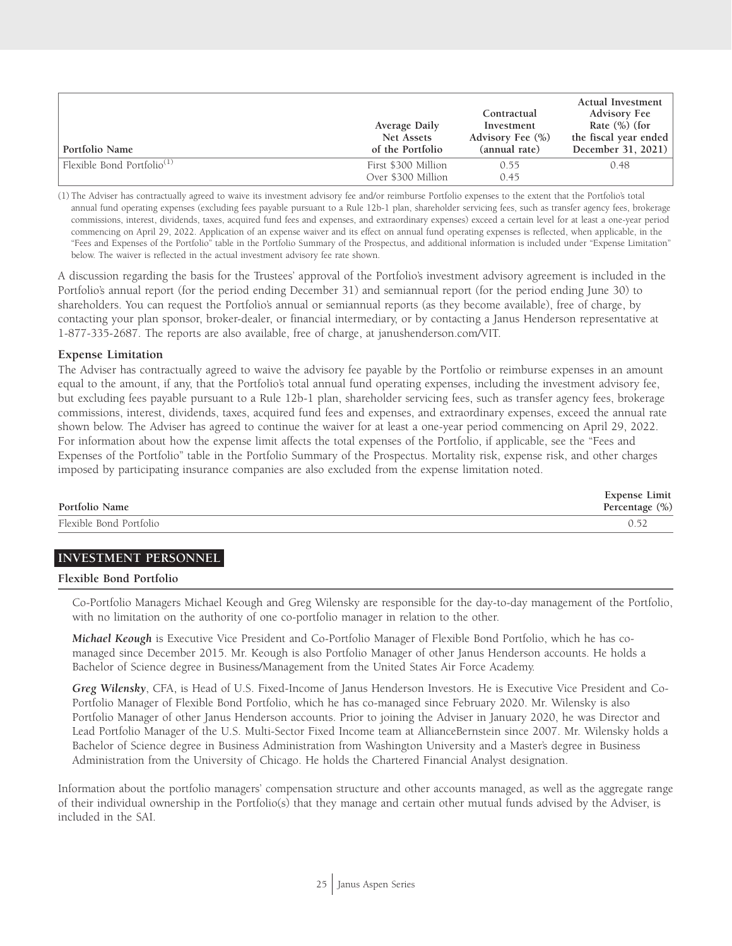| Portfolio Name                         | Average Daily<br>Net Assets<br>of the Portfolio | Contractual<br>Investment<br>Advisory Fee $(\% )$<br>(annual rate) | Actual Investment<br><b>Advisory Fee</b><br>Rate $(\%)$ (for<br>the fiscal year ended<br>December 31, 2021) |
|----------------------------------------|-------------------------------------------------|--------------------------------------------------------------------|-------------------------------------------------------------------------------------------------------------|
| Flexible Bond Portfolio <sup>(1)</sup> | First \$300 Million<br>Over \$300 Million       | 0.55<br>0.45                                                       | 0.48                                                                                                        |

(1) The Adviser has contractually agreed to waive its investment advisory fee and/or reimburse Portfolio expenses to the extent that the Portfolio's total annual fund operating expenses (excluding fees payable pursuant to a Rule 12b-1 plan, shareholder servicing fees, such as transfer agency fees, brokerage commissions, interest, dividends, taxes, acquired fund fees and expenses, and extraordinary expenses) exceed a certain level for at least a one-year period commencing on April 29, 2022. Application of an expense waiver and its effect on annual fund operating expenses is reflected, when applicable, in the "Fees and Expenses of the Portfolio" table in the Portfolio Summary of the Prospectus, and additional information is included under "Expense Limitation" below. The waiver is reflected in the actual investment advisory fee rate shown.

A discussion regarding the basis for the Trustees' approval of the Portfolio's investment advisory agreement is included in the Portfolio's annual report (for the period ending December 31) and semiannual report (for the period ending June 30) to shareholders. You can request the Portfolio's annual or semiannual reports (as they become available), free of charge, by contacting your plan sponsor, broker-dealer, or financial intermediary, or by contacting a Janus Henderson representative at 1-877-335-2687. The reports are also available, free of charge, at janushenderson.com/VIT.

#### **Expense Limitation**

The Adviser has contractually agreed to waive the advisory fee payable by the Portfolio or reimburse expenses in an amount equal to the amount, if any, that the Portfolio's total annual fund operating expenses, including the investment advisory fee, but excluding fees payable pursuant to a Rule 12b-1 plan, shareholder servicing fees, such as transfer agency fees, brokerage commissions, interest, dividends, taxes, acquired fund fees and expenses, and extraordinary expenses, exceed the annual rate shown below. The Adviser has agreed to continue the waiver for at least a one-year period commencing on April 29, 2022. For information about how the expense limit affects the total expenses of the Portfolio, if applicable, see the "Fees and Expenses of the Portfolio" table in the Portfolio Summary of the Prospectus. Mortality risk, expense risk, and other charges imposed by participating insurance companies are also excluded from the expense limitation noted.

| Portfolio Name          | Expense Limit<br>Percentage (%) |
|-------------------------|---------------------------------|
| Flexible Bond Portfolio | 0.52                            |

#### **INVESTMENT PERSONNEL**

#### **Flexible Bond Portfolio**

Co-Portfolio Managers Michael Keough and Greg Wilensky are responsible for the day-to-day management of the Portfolio, with no limitation on the authority of one co-portfolio manager in relation to the other.

*Michael Keough* is Executive Vice President and Co-Portfolio Manager of Flexible Bond Portfolio, which he has comanaged since December 2015. Mr. Keough is also Portfolio Manager of other Janus Henderson accounts. He holds a Bachelor of Science degree in Business/Management from the United States Air Force Academy.

*Greg Wilensky*, CFA, is Head of U.S. Fixed-Income of Janus Henderson Investors. He is Executive Vice President and Co-Portfolio Manager of Flexible Bond Portfolio, which he has co-managed since February 2020. Mr. Wilensky is also Portfolio Manager of other Janus Henderson accounts. Prior to joining the Adviser in January 2020, he was Director and Lead Portfolio Manager of the U.S. Multi-Sector Fixed Income team at AllianceBernstein since 2007. Mr. Wilensky holds a Bachelor of Science degree in Business Administration from Washington University and a Master's degree in Business Administration from the University of Chicago. He holds the Chartered Financial Analyst designation.

Information about the portfolio managers' compensation structure and other accounts managed, as well as the aggregate range of their individual ownership in the Portfolio(s) that they manage and certain other mutual funds advised by the Adviser, is included in the SAI.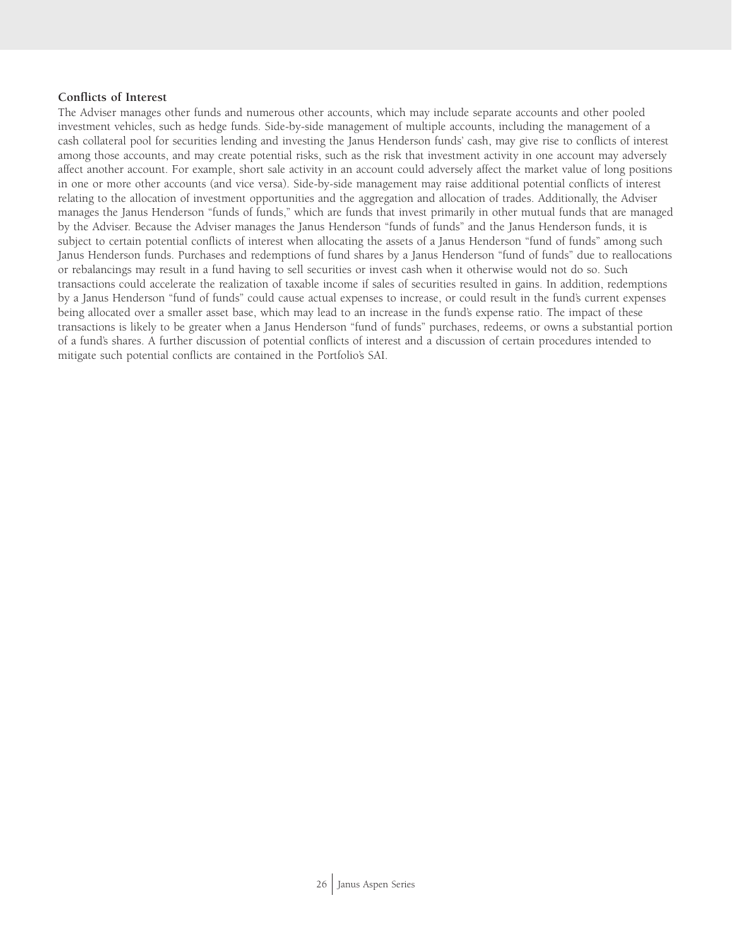#### **Conflicts of Interest**

The Adviser manages other funds and numerous other accounts, which may include separate accounts and other pooled investment vehicles, such as hedge funds. Side-by-side management of multiple accounts, including the management of a cash collateral pool for securities lending and investing the Janus Henderson funds' cash, may give rise to conflicts of interest among those accounts, and may create potential risks, such as the risk that investment activity in one account may adversely affect another account. For example, short sale activity in an account could adversely affect the market value of long positions in one or more other accounts (and vice versa). Side-by-side management may raise additional potential conflicts of interest relating to the allocation of investment opportunities and the aggregation and allocation of trades. Additionally, the Adviser manages the Janus Henderson "funds of funds," which are funds that invest primarily in other mutual funds that are managed by the Adviser. Because the Adviser manages the Janus Henderson "funds of funds" and the Janus Henderson funds, it is subject to certain potential conflicts of interest when allocating the assets of a Janus Henderson "fund of funds" among such Janus Henderson funds. Purchases and redemptions of fund shares by a Janus Henderson "fund of funds" due to reallocations or rebalancings may result in a fund having to sell securities or invest cash when it otherwise would not do so. Such transactions could accelerate the realization of taxable income if sales of securities resulted in gains. In addition, redemptions by a Janus Henderson "fund of funds" could cause actual expenses to increase, or could result in the fund's current expenses being allocated over a smaller asset base, which may lead to an increase in the fund's expense ratio. The impact of these transactions is likely to be greater when a Janus Henderson "fund of funds" purchases, redeems, or owns a substantial portion of a fund's shares. A further discussion of potential conflicts of interest and a discussion of certain procedures intended to mitigate such potential conflicts are contained in the Portfolio's SAI.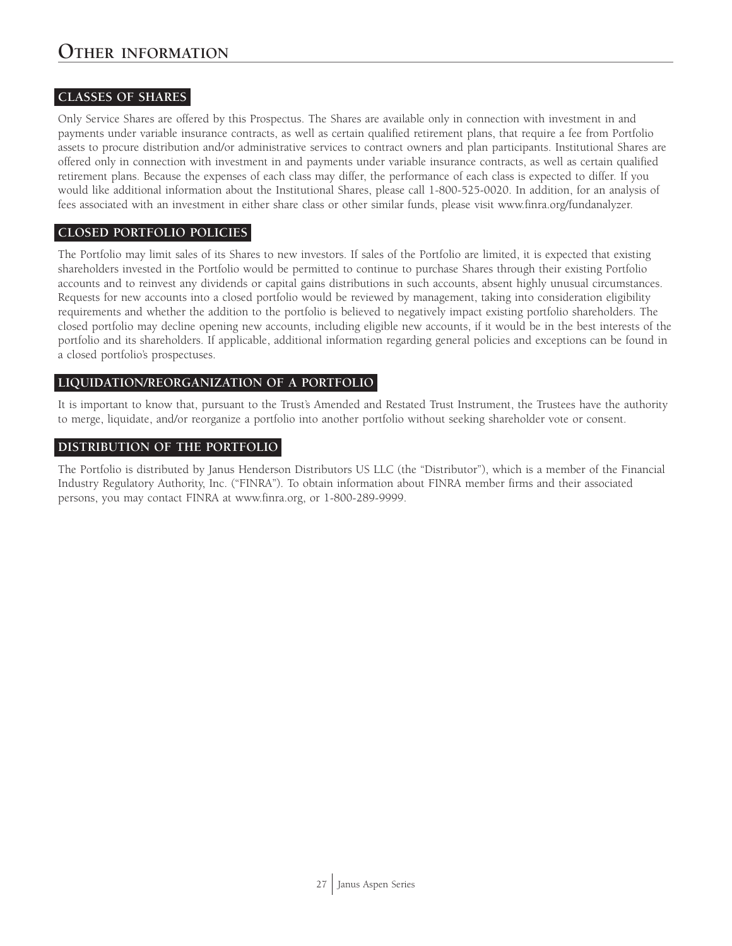## **CLASSES OF SHARES**

Only Service Shares are offered by this Prospectus. The Shares are available only in connection with investment in and payments under variable insurance contracts, as well as certain qualified retirement plans, that require a fee from Portfolio assets to procure distribution and/or administrative services to contract owners and plan participants. Institutional Shares are offered only in connection with investment in and payments under variable insurance contracts, as well as certain qualified retirement plans. Because the expenses of each class may differ, the performance of each class is expected to differ. If you would like additional information about the Institutional Shares, please call 1-800-525-0020. In addition, for an analysis of fees associated with an investment in either share class or other similar funds, please visit www.finra.org/fundanalyzer.

## **CLOSED PORTFOLIO POLICIES**

The Portfolio may limit sales of its Shares to new investors. If sales of the Portfolio are limited, it is expected that existing shareholders invested in the Portfolio would be permitted to continue to purchase Shares through their existing Portfolio accounts and to reinvest any dividends or capital gains distributions in such accounts, absent highly unusual circumstances. Requests for new accounts into a closed portfolio would be reviewed by management, taking into consideration eligibility requirements and whether the addition to the portfolio is believed to negatively impact existing portfolio shareholders. The closed portfolio may decline opening new accounts, including eligible new accounts, if it would be in the best interests of the portfolio and its shareholders. If applicable, additional information regarding general policies and exceptions can be found in a closed portfolio's prospectuses.

## **LIQUIDATION/REORGANIZATION OF A PORTFOLIO**

It is important to know that, pursuant to the Trust's Amended and Restated Trust Instrument, the Trustees have the authority to merge, liquidate, and/or reorganize a portfolio into another portfolio without seeking shareholder vote or consent.

## **DISTRIBUTION OF THE PORTFOLIO**

The Portfolio is distributed by Janus Henderson Distributors US LLC (the "Distributor"), which is a member of the Financial Industry Regulatory Authority, Inc. ("FINRA"). To obtain information about FINRA member firms and their associated persons, you may contact FINRA at www.finra.org, or 1-800-289-9999.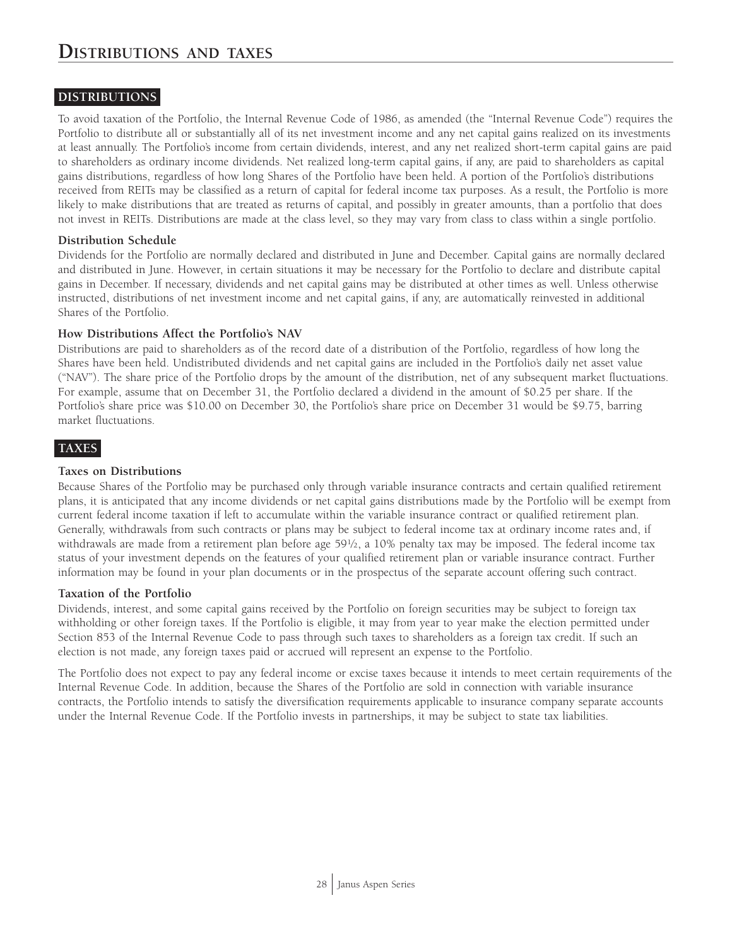## **DISTRIBUTIONS**

To avoid taxation of the Portfolio, the Internal Revenue Code of 1986, as amended (the "Internal Revenue Code") requires the Portfolio to distribute all or substantially all of its net investment income and any net capital gains realized on its investments at least annually. The Portfolio's income from certain dividends, interest, and any net realized short-term capital gains are paid to shareholders as ordinary income dividends. Net realized long-term capital gains, if any, are paid to shareholders as capital gains distributions, regardless of how long Shares of the Portfolio have been held. A portion of the Portfolio's distributions received from REITs may be classified as a return of capital for federal income tax purposes. As a result, the Portfolio is more likely to make distributions that are treated as returns of capital, and possibly in greater amounts, than a portfolio that does not invest in REITs. Distributions are made at the class level, so they may vary from class to class within a single portfolio.

#### **Distribution Schedule**

Dividends for the Portfolio are normally declared and distributed in June and December. Capital gains are normally declared and distributed in June. However, in certain situations it may be necessary for the Portfolio to declare and distribute capital gains in December. If necessary, dividends and net capital gains may be distributed at other times as well. Unless otherwise instructed, distributions of net investment income and net capital gains, if any, are automatically reinvested in additional Shares of the Portfolio.

#### **How Distributions Affect the Portfolio's NAV**

Distributions are paid to shareholders as of the record date of a distribution of the Portfolio, regardless of how long the Shares have been held. Undistributed dividends and net capital gains are included in the Portfolio's daily net asset value ("NAV"). The share price of the Portfolio drops by the amount of the distribution, net of any subsequent market fluctuations. For example, assume that on December 31, the Portfolio declared a dividend in the amount of \$0.25 per share. If the Portfolio's share price was \$10.00 on December 30, the Portfolio's share price on December 31 would be \$9.75, barring market fluctuations.

## **TAXES**

#### **Taxes on Distributions**

Because Shares of the Portfolio may be purchased only through variable insurance contracts and certain qualified retirement plans, it is anticipated that any income dividends or net capital gains distributions made by the Portfolio will be exempt from current federal income taxation if left to accumulate within the variable insurance contract or qualified retirement plan. Generally, withdrawals from such contracts or plans may be subject to federal income tax at ordinary income rates and, if withdrawals are made from a retirement plan before age 59½, a 10% penalty tax may be imposed. The federal income tax status of your investment depends on the features of your qualified retirement plan or variable insurance contract. Further information may be found in your plan documents or in the prospectus of the separate account offering such contract.

#### **Taxation of the Portfolio**

Dividends, interest, and some capital gains received by the Portfolio on foreign securities may be subject to foreign tax withholding or other foreign taxes. If the Portfolio is eligible, it may from year to year make the election permitted under Section 853 of the Internal Revenue Code to pass through such taxes to shareholders as a foreign tax credit. If such an election is not made, any foreign taxes paid or accrued will represent an expense to the Portfolio.

The Portfolio does not expect to pay any federal income or excise taxes because it intends to meet certain requirements of the Internal Revenue Code. In addition, because the Shares of the Portfolio are sold in connection with variable insurance contracts, the Portfolio intends to satisfy the diversification requirements applicable to insurance company separate accounts under the Internal Revenue Code. If the Portfolio invests in partnerships, it may be subject to state tax liabilities.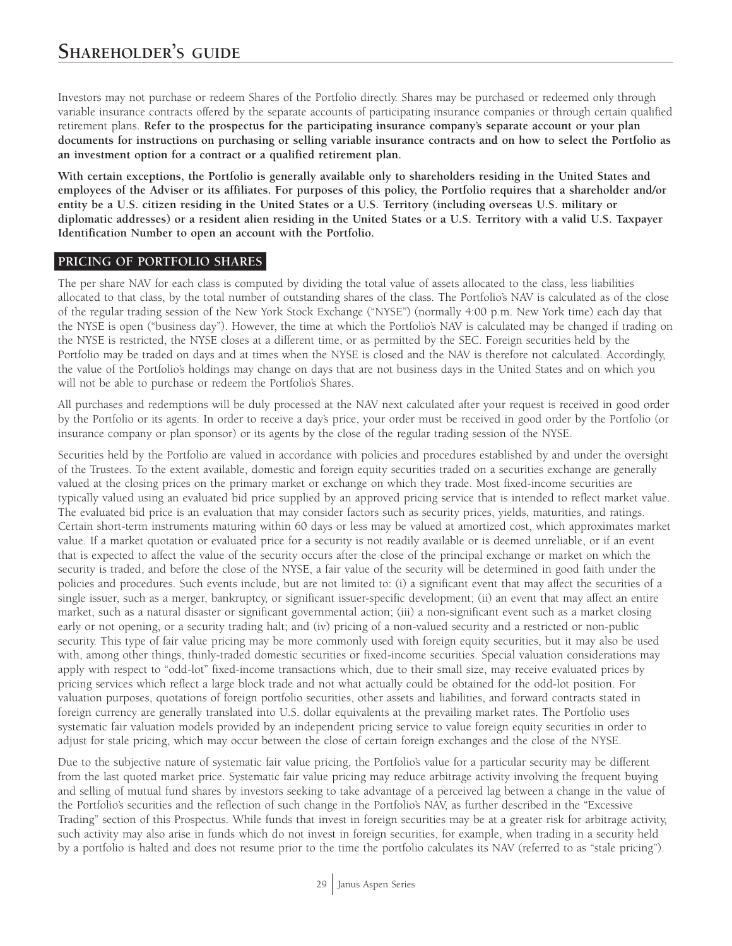Investors may not purchase or redeem Shares of the Portfolio directly. Shares may be purchased or redeemed only through variable insurance contracts offered by the separate accounts of participating insurance companies or through certain qualified retirement plans. **Refer to the prospectus for the participating insurance company's separate account or your plan documents for instructions on purchasing or selling variable insurance contracts and on how to select the Portfolio as an investment option for a contract or a qualified retirement plan.**

**With certain exceptions, the Portfolio is generally available only to shareholders residing in the United States and employees of the Adviser or its affiliates. For purposes of this policy, the Portfolio requires that a shareholder and/or entity be a U.S. citizen residing in the United States or a U.S. Territory (including overseas U.S. military or diplomatic addresses) or a resident alien residing in the United States or a U.S. Territory with a valid U.S. Taxpayer Identification Number to open an account with the Portfolio.**

## **PRICING OF PORTFOLIO SHARES**

The per share NAV for each class is computed by dividing the total value of assets allocated to the class, less liabilities allocated to that class, by the total number of outstanding shares of the class. The Portfolio's NAV is calculated as of the close of the regular trading session of the New York Stock Exchange ("NYSE") (normally 4:00 p.m. New York time) each day that the NYSE is open ("business day"). However, the time at which the Portfolio's NAV is calculated may be changed if trading on the NYSE is restricted, the NYSE closes at a different time, or as permitted by the SEC. Foreign securities held by the Portfolio may be traded on days and at times when the NYSE is closed and the NAV is therefore not calculated. Accordingly, the value of the Portfolio's holdings may change on days that are not business days in the United States and on which you will not be able to purchase or redeem the Portfolio's Shares.

All purchases and redemptions will be duly processed at the NAV next calculated after your request is received in good order by the Portfolio or its agents. In order to receive a day's price, your order must be received in good order by the Portfolio (or insurance company or plan sponsor) or its agents by the close of the regular trading session of the NYSE.

Securities held by the Portfolio are valued in accordance with policies and procedures established by and under the oversight of the Trustees. To the extent available, domestic and foreign equity securities traded on a securities exchange are generally valued at the closing prices on the primary market or exchange on which they trade. Most fixed-income securities are typically valued using an evaluated bid price supplied by an approved pricing service that is intended to reflect market value. The evaluated bid price is an evaluation that may consider factors such as security prices, yields, maturities, and ratings. Certain short-term instruments maturing within 60 days or less may be valued at amortized cost, which approximates market value. If a market quotation or evaluated price for a security is not readily available or is deemed unreliable, or if an event that is expected to affect the value of the security occurs after the close of the principal exchange or market on which the security is traded, and before the close of the NYSE, a fair value of the security will be determined in good faith under the policies and procedures. Such events include, but are not limited to: (i) a significant event that may affect the securities of a single issuer, such as a merger, bankruptcy, or significant issuer-specific development; (ii) an event that may affect an entire market, such as a natural disaster or significant governmental action; (iii) a non-significant event such as a market closing early or not opening, or a security trading halt; and (iv) pricing of a non-valued security and a restricted or non-public security. This type of fair value pricing may be more commonly used with foreign equity securities, but it may also be used with, among other things, thinly-traded domestic securities or fixed-income securities. Special valuation considerations may apply with respect to "odd-lot" fixed-income transactions which, due to their small size, may receive evaluated prices by pricing services which reflect a large block trade and not what actually could be obtained for the odd-lot position. For valuation purposes, quotations of foreign portfolio securities, other assets and liabilities, and forward contracts stated in foreign currency are generally translated into U.S. dollar equivalents at the prevailing market rates. The Portfolio uses systematic fair valuation models provided by an independent pricing service to value foreign equity securities in order to adjust for stale pricing, which may occur between the close of certain foreign exchanges and the close of the NYSE.

Due to the subjective nature of systematic fair value pricing, the Portfolio's value for a particular security may be different from the last quoted market price. Systematic fair value pricing may reduce arbitrage activity involving the frequent buying and selling of mutual fund shares by investors seeking to take advantage of a perceived lag between a change in the value of the Portfolio's securities and the reflection of such change in the Portfolio's NAV, as further described in the "Excessive Trading" section of this Prospectus. While funds that invest in foreign securities may be at a greater risk for arbitrage activity, such activity may also arise in funds which do not invest in foreign securities, for example, when trading in a security held by a portfolio is halted and does not resume prior to the time the portfolio calculates its NAV (referred to as "stale pricing").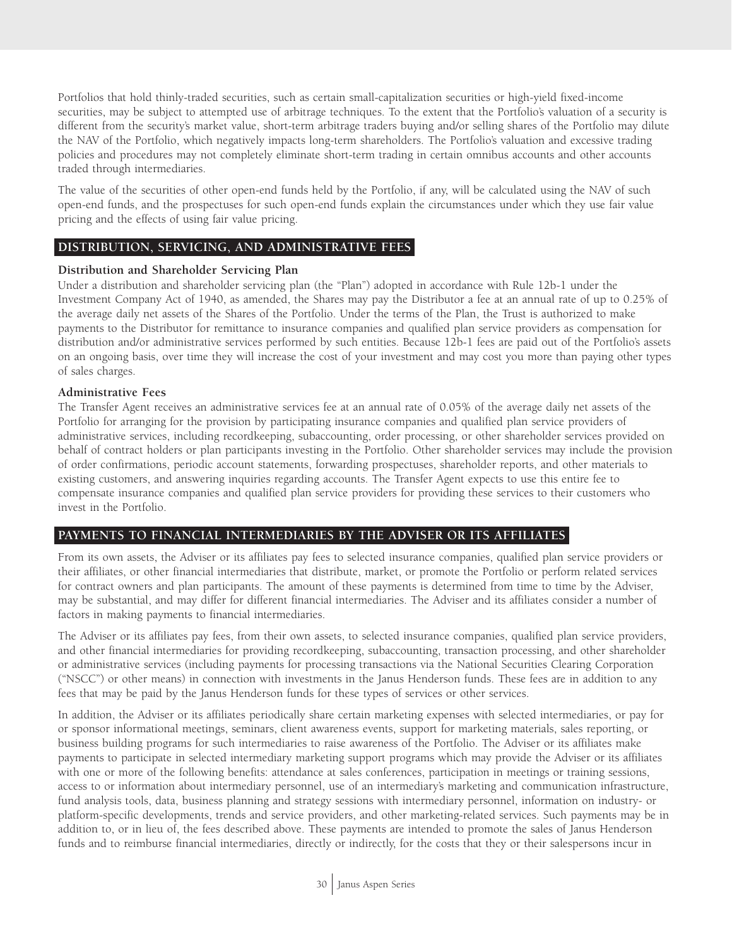Portfolios that hold thinly-traded securities, such as certain small-capitalization securities or high-yield fixed-income securities, may be subject to attempted use of arbitrage techniques. To the extent that the Portfolio's valuation of a security is different from the security's market value, short-term arbitrage traders buying and/or selling shares of the Portfolio may dilute the NAV of the Portfolio, which negatively impacts long-term shareholders. The Portfolio's valuation and excessive trading policies and procedures may not completely eliminate short-term trading in certain omnibus accounts and other accounts traded through intermediaries.

The value of the securities of other open-end funds held by the Portfolio, if any, will be calculated using the NAV of such open-end funds, and the prospectuses for such open-end funds explain the circumstances under which they use fair value pricing and the effects of using fair value pricing.

## **DISTRIBUTION, SERVICING, AND ADMINISTRATIVE FEES**

#### **Distribution and Shareholder Servicing Plan**

Under a distribution and shareholder servicing plan (the "Plan") adopted in accordance with Rule 12b-1 under the Investment Company Act of 1940, as amended, the Shares may pay the Distributor a fee at an annual rate of up to 0.25% of the average daily net assets of the Shares of the Portfolio. Under the terms of the Plan, the Trust is authorized to make payments to the Distributor for remittance to insurance companies and qualified plan service providers as compensation for distribution and/or administrative services performed by such entities. Because 12b-1 fees are paid out of the Portfolio's assets on an ongoing basis, over time they will increase the cost of your investment and may cost you more than paying other types of sales charges.

#### **Administrative Fees**

The Transfer Agent receives an administrative services fee at an annual rate of 0.05% of the average daily net assets of the Portfolio for arranging for the provision by participating insurance companies and qualified plan service providers of administrative services, including recordkeeping, subaccounting, order processing, or other shareholder services provided on behalf of contract holders or plan participants investing in the Portfolio. Other shareholder services may include the provision of order confirmations, periodic account statements, forwarding prospectuses, shareholder reports, and other materials to existing customers, and answering inquiries regarding accounts. The Transfer Agent expects to use this entire fee to compensate insurance companies and qualified plan service providers for providing these services to their customers who invest in the Portfolio.

## **PAYMENTS TO FINANCIAL INTERMEDIARIES BY THE ADVISER OR ITS AFFILIATES**

From its own assets, the Adviser or its affiliates pay fees to selected insurance companies, qualified plan service providers or their affiliates, or other financial intermediaries that distribute, market, or promote the Portfolio or perform related services for contract owners and plan participants. The amount of these payments is determined from time to time by the Adviser, may be substantial, and may differ for different financial intermediaries. The Adviser and its affiliates consider a number of factors in making payments to financial intermediaries.

The Adviser or its affiliates pay fees, from their own assets, to selected insurance companies, qualified plan service providers, and other financial intermediaries for providing recordkeeping, subaccounting, transaction processing, and other shareholder or administrative services (including payments for processing transactions via the National Securities Clearing Corporation ("NSCC") or other means) in connection with investments in the Janus Henderson funds. These fees are in addition to any fees that may be paid by the Janus Henderson funds for these types of services or other services.

In addition, the Adviser or its affiliates periodically share certain marketing expenses with selected intermediaries, or pay for or sponsor informational meetings, seminars, client awareness events, support for marketing materials, sales reporting, or business building programs for such intermediaries to raise awareness of the Portfolio. The Adviser or its affiliates make payments to participate in selected intermediary marketing support programs which may provide the Adviser or its affiliates with one or more of the following benefits: attendance at sales conferences, participation in meetings or training sessions, access to or information about intermediary personnel, use of an intermediary's marketing and communication infrastructure, fund analysis tools, data, business planning and strategy sessions with intermediary personnel, information on industry- or platform-specific developments, trends and service providers, and other marketing-related services. Such payments may be in addition to, or in lieu of, the fees described above. These payments are intended to promote the sales of Janus Henderson funds and to reimburse financial intermediaries, directly or indirectly, for the costs that they or their salespersons incur in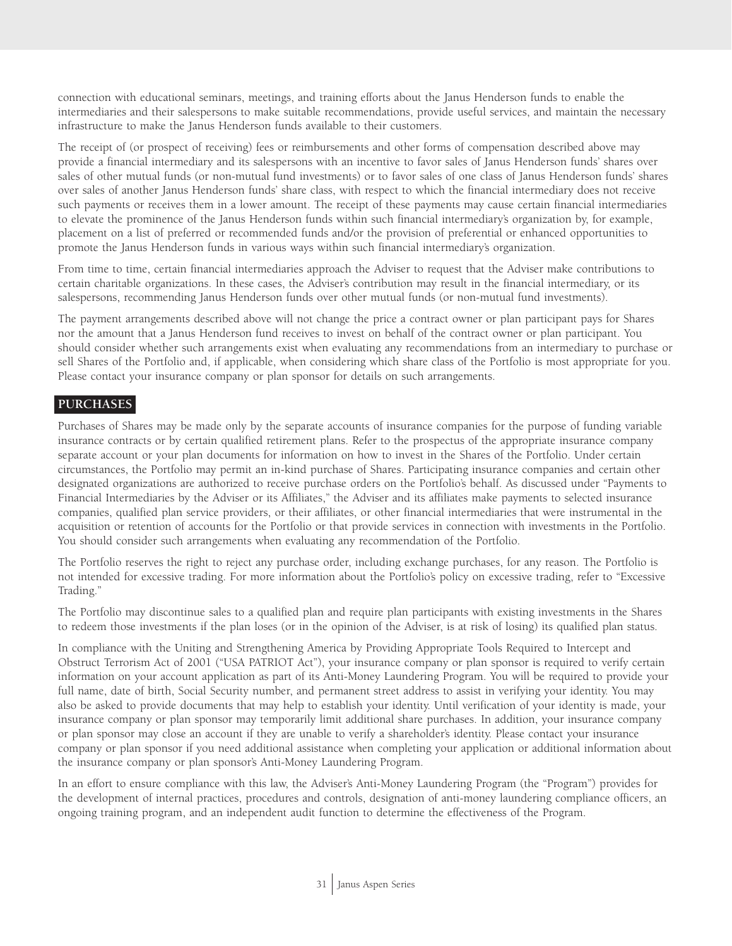connection with educational seminars, meetings, and training efforts about the Janus Henderson funds to enable the intermediaries and their salespersons to make suitable recommendations, provide useful services, and maintain the necessary infrastructure to make the Janus Henderson funds available to their customers.

The receipt of (or prospect of receiving) fees or reimbursements and other forms of compensation described above may provide a financial intermediary and its salespersons with an incentive to favor sales of Janus Henderson funds' shares over sales of other mutual funds (or non-mutual fund investments) or to favor sales of one class of Janus Henderson funds' shares over sales of another Janus Henderson funds' share class, with respect to which the financial intermediary does not receive such payments or receives them in a lower amount. The receipt of these payments may cause certain financial intermediaries to elevate the prominence of the Janus Henderson funds within such financial intermediary's organization by, for example, placement on a list of preferred or recommended funds and/or the provision of preferential or enhanced opportunities to promote the Janus Henderson funds in various ways within such financial intermediary's organization.

From time to time, certain financial intermediaries approach the Adviser to request that the Adviser make contributions to certain charitable organizations. In these cases, the Adviser's contribution may result in the financial intermediary, or its salespersons, recommending Janus Henderson funds over other mutual funds (or non-mutual fund investments).

The payment arrangements described above will not change the price a contract owner or plan participant pays for Shares nor the amount that a Janus Henderson fund receives to invest on behalf of the contract owner or plan participant. You should consider whether such arrangements exist when evaluating any recommendations from an intermediary to purchase or sell Shares of the Portfolio and, if applicable, when considering which share class of the Portfolio is most appropriate for you. Please contact your insurance company or plan sponsor for details on such arrangements.

## **PURCHASES**

Purchases of Shares may be made only by the separate accounts of insurance companies for the purpose of funding variable insurance contracts or by certain qualified retirement plans. Refer to the prospectus of the appropriate insurance company separate account or your plan documents for information on how to invest in the Shares of the Portfolio. Under certain circumstances, the Portfolio may permit an in-kind purchase of Shares. Participating insurance companies and certain other designated organizations are authorized to receive purchase orders on the Portfolio's behalf. As discussed under "Payments to Financial Intermediaries by the Adviser or its Affiliates," the Adviser and its affiliates make payments to selected insurance companies, qualified plan service providers, or their affiliates, or other financial intermediaries that were instrumental in the acquisition or retention of accounts for the Portfolio or that provide services in connection with investments in the Portfolio. You should consider such arrangements when evaluating any recommendation of the Portfolio.

The Portfolio reserves the right to reject any purchase order, including exchange purchases, for any reason. The Portfolio is not intended for excessive trading. For more information about the Portfolio's policy on excessive trading, refer to "Excessive Trading."

The Portfolio may discontinue sales to a qualified plan and require plan participants with existing investments in the Shares to redeem those investments if the plan loses (or in the opinion of the Adviser, is at risk of losing) its qualified plan status.

In compliance with the Uniting and Strengthening America by Providing Appropriate Tools Required to Intercept and Obstruct Terrorism Act of 2001 ("USA PATRIOT Act"), your insurance company or plan sponsor is required to verify certain information on your account application as part of its Anti-Money Laundering Program. You will be required to provide your full name, date of birth, Social Security number, and permanent street address to assist in verifying your identity. You may also be asked to provide documents that may help to establish your identity. Until verification of your identity is made, your insurance company or plan sponsor may temporarily limit additional share purchases. In addition, your insurance company or plan sponsor may close an account if they are unable to verify a shareholder's identity. Please contact your insurance company or plan sponsor if you need additional assistance when completing your application or additional information about the insurance company or plan sponsor's Anti-Money Laundering Program.

In an effort to ensure compliance with this law, the Adviser's Anti-Money Laundering Program (the "Program") provides for the development of internal practices, procedures and controls, designation of anti-money laundering compliance officers, an ongoing training program, and an independent audit function to determine the effectiveness of the Program.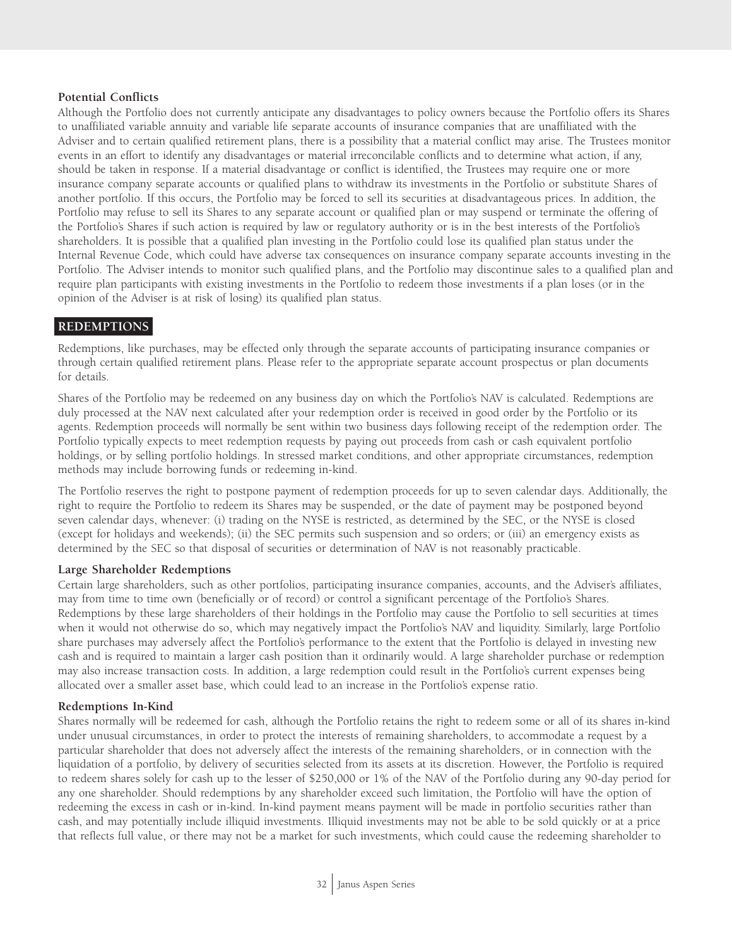#### **Potential Conflicts**

Although the Portfolio does not currently anticipate any disadvantages to policy owners because the Portfolio offers its Shares to unaffiliated variable annuity and variable life separate accounts of insurance companies that are unaffiliated with the Adviser and to certain qualified retirement plans, there is a possibility that a material conflict may arise. The Trustees monitor events in an effort to identify any disadvantages or material irreconcilable conflicts and to determine what action, if any, should be taken in response. If a material disadvantage or conflict is identified, the Trustees may require one or more insurance company separate accounts or qualified plans to withdraw its investments in the Portfolio or substitute Shares of another portfolio. If this occurs, the Portfolio may be forced to sell its securities at disadvantageous prices. In addition, the Portfolio may refuse to sell its Shares to any separate account or qualified plan or may suspend or terminate the offering of the Portfolio's Shares if such action is required by law or regulatory authority or is in the best interests of the Portfolio's shareholders. It is possible that a qualified plan investing in the Portfolio could lose its qualified plan status under the Internal Revenue Code, which could have adverse tax consequences on insurance company separate accounts investing in the Portfolio. The Adviser intends to monitor such qualified plans, and the Portfolio may discontinue sales to a qualified plan and require plan participants with existing investments in the Portfolio to redeem those investments if a plan loses (or in the opinion of the Adviser is at risk of losing) its qualified plan status.

#### **REDEMPTIONS**

Redemptions, like purchases, may be effected only through the separate accounts of participating insurance companies or through certain qualified retirement plans. Please refer to the appropriate separate account prospectus or plan documents for details.

Shares of the Portfolio may be redeemed on any business day on which the Portfolio's NAV is calculated. Redemptions are duly processed at the NAV next calculated after your redemption order is received in good order by the Portfolio or its agents. Redemption proceeds will normally be sent within two business days following receipt of the redemption order. The Portfolio typically expects to meet redemption requests by paying out proceeds from cash or cash equivalent portfolio holdings, or by selling portfolio holdings. In stressed market conditions, and other appropriate circumstances, redemption methods may include borrowing funds or redeeming in-kind.

The Portfolio reserves the right to postpone payment of redemption proceeds for up to seven calendar days. Additionally, the right to require the Portfolio to redeem its Shares may be suspended, or the date of payment may be postponed beyond seven calendar days, whenever: (i) trading on the NYSE is restricted, as determined by the SEC, or the NYSE is closed (except for holidays and weekends); (ii) the SEC permits such suspension and so orders; or (iii) an emergency exists as determined by the SEC so that disposal of securities or determination of NAV is not reasonably practicable.

#### **Large Shareholder Redemptions**

Certain large shareholders, such as other portfolios, participating insurance companies, accounts, and the Adviser's affiliates, may from time to time own (beneficially or of record) or control a significant percentage of the Portfolio's Shares. Redemptions by these large shareholders of their holdings in the Portfolio may cause the Portfolio to sell securities at times when it would not otherwise do so, which may negatively impact the Portfolio's NAV and liquidity. Similarly, large Portfolio share purchases may adversely affect the Portfolio's performance to the extent that the Portfolio is delayed in investing new cash and is required to maintain a larger cash position than it ordinarily would. A large shareholder purchase or redemption may also increase transaction costs. In addition, a large redemption could result in the Portfolio's current expenses being allocated over a smaller asset base, which could lead to an increase in the Portfolio's expense ratio.

#### **Redemptions In-Kind**

Shares normally will be redeemed for cash, although the Portfolio retains the right to redeem some or all of its shares in-kind under unusual circumstances, in order to protect the interests of remaining shareholders, to accommodate a request by a particular shareholder that does not adversely affect the interests of the remaining shareholders, or in connection with the liquidation of a portfolio, by delivery of securities selected from its assets at its discretion. However, the Portfolio is required to redeem shares solely for cash up to the lesser of \$250,000 or 1% of the NAV of the Portfolio during any 90-day period for any one shareholder. Should redemptions by any shareholder exceed such limitation, the Portfolio will have the option of redeeming the excess in cash or in-kind. In-kind payment means payment will be made in portfolio securities rather than cash, and may potentially include illiquid investments. Illiquid investments may not be able to be sold quickly or at a price that reflects full value, or there may not be a market for such investments, which could cause the redeeming shareholder to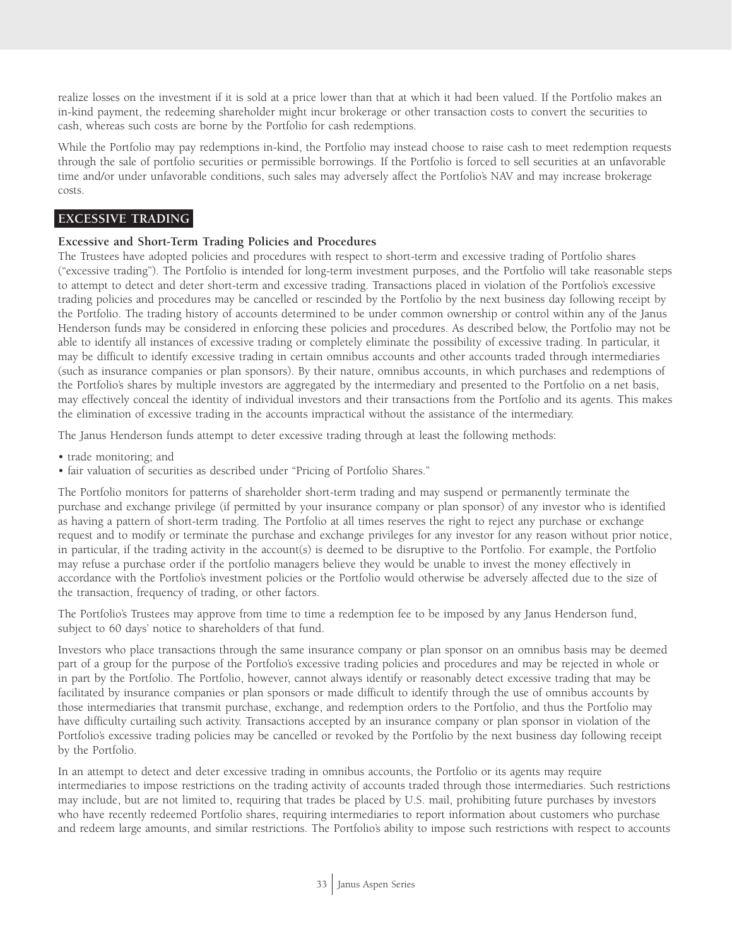realize losses on the investment if it is sold at a price lower than that at which it had been valued. If the Portfolio makes an in-kind payment, the redeeming shareholder might incur brokerage or other transaction costs to convert the securities to cash, whereas such costs are borne by the Portfolio for cash redemptions.

While the Portfolio may pay redemptions in-kind, the Portfolio may instead choose to raise cash to meet redemption requests through the sale of portfolio securities or permissible borrowings. If the Portfolio is forced to sell securities at an unfavorable time and/or under unfavorable conditions, such sales may adversely affect the Portfolio's NAV and may increase brokerage costs.

#### **EXCESSIVE TRADING**

#### **Excessive and Short-Term Trading Policies and Procedures**

The Trustees have adopted policies and procedures with respect to short-term and excessive trading of Portfolio shares ("excessive trading"). The Portfolio is intended for long-term investment purposes, and the Portfolio will take reasonable steps to attempt to detect and deter short-term and excessive trading. Transactions placed in violation of the Portfolio's excessive trading policies and procedures may be cancelled or rescinded by the Portfolio by the next business day following receipt by the Portfolio. The trading history of accounts determined to be under common ownership or control within any of the Janus Henderson funds may be considered in enforcing these policies and procedures. As described below, the Portfolio may not be able to identify all instances of excessive trading or completely eliminate the possibility of excessive trading. In particular, it may be difficult to identify excessive trading in certain omnibus accounts and other accounts traded through intermediaries (such as insurance companies or plan sponsors). By their nature, omnibus accounts, in which purchases and redemptions of the Portfolio's shares by multiple investors are aggregated by the intermediary and presented to the Portfolio on a net basis, may effectively conceal the identity of individual investors and their transactions from the Portfolio and its agents. This makes the elimination of excessive trading in the accounts impractical without the assistance of the intermediary.

The Janus Henderson funds attempt to deter excessive trading through at least the following methods:

- trade monitoring; and
- fair valuation of securities as described under "Pricing of Portfolio Shares."

The Portfolio monitors for patterns of shareholder short-term trading and may suspend or permanently terminate the purchase and exchange privilege (if permitted by your insurance company or plan sponsor) of any investor who is identified as having a pattern of short-term trading. The Portfolio at all times reserves the right to reject any purchase or exchange request and to modify or terminate the purchase and exchange privileges for any investor for any reason without prior notice, in particular, if the trading activity in the account(s) is deemed to be disruptive to the Portfolio. For example, the Portfolio may refuse a purchase order if the portfolio managers believe they would be unable to invest the money effectively in accordance with the Portfolio's investment policies or the Portfolio would otherwise be adversely affected due to the size of the transaction, frequency of trading, or other factors.

The Portfolio's Trustees may approve from time to time a redemption fee to be imposed by any Janus Henderson fund, subject to 60 days' notice to shareholders of that fund.

Investors who place transactions through the same insurance company or plan sponsor on an omnibus basis may be deemed part of a group for the purpose of the Portfolio's excessive trading policies and procedures and may be rejected in whole or in part by the Portfolio. The Portfolio, however, cannot always identify or reasonably detect excessive trading that may be facilitated by insurance companies or plan sponsors or made difficult to identify through the use of omnibus accounts by those intermediaries that transmit purchase, exchange, and redemption orders to the Portfolio, and thus the Portfolio may have difficulty curtailing such activity. Transactions accepted by an insurance company or plan sponsor in violation of the Portfolio's excessive trading policies may be cancelled or revoked by the Portfolio by the next business day following receipt by the Portfolio.

In an attempt to detect and deter excessive trading in omnibus accounts, the Portfolio or its agents may require intermediaries to impose restrictions on the trading activity of accounts traded through those intermediaries. Such restrictions may include, but are not limited to, requiring that trades be placed by U.S. mail, prohibiting future purchases by investors who have recently redeemed Portfolio shares, requiring intermediaries to report information about customers who purchase and redeem large amounts, and similar restrictions. The Portfolio's ability to impose such restrictions with respect to accounts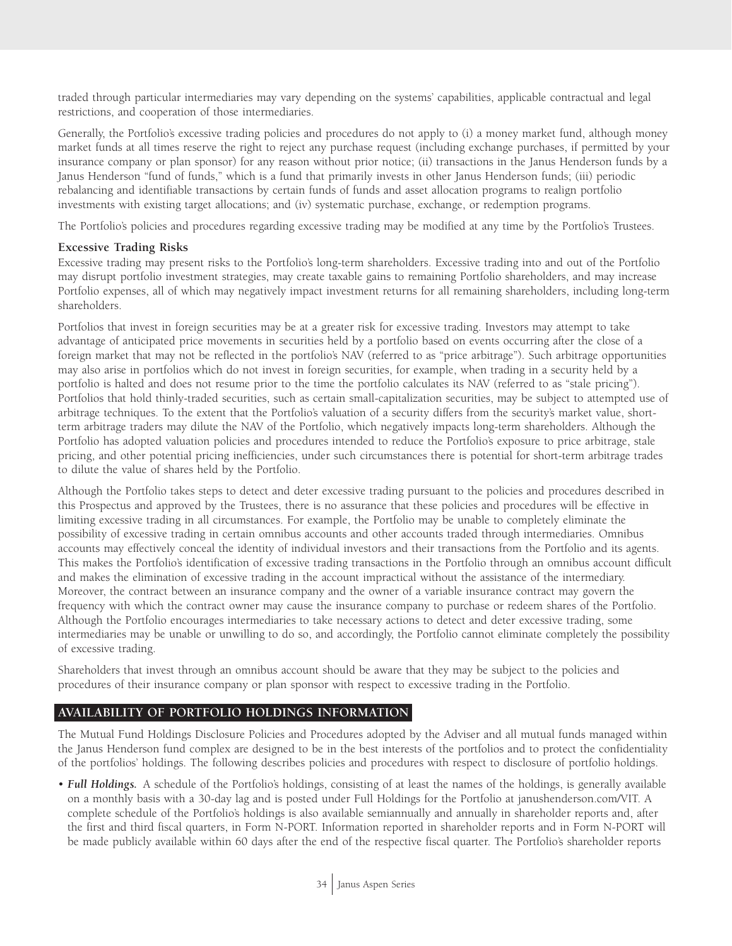traded through particular intermediaries may vary depending on the systems' capabilities, applicable contractual and legal restrictions, and cooperation of those intermediaries.

Generally, the Portfolio's excessive trading policies and procedures do not apply to (i) a money market fund, although money market funds at all times reserve the right to reject any purchase request (including exchange purchases, if permitted by your insurance company or plan sponsor) for any reason without prior notice; (ii) transactions in the Janus Henderson funds by a Janus Henderson "fund of funds," which is a fund that primarily invests in other Janus Henderson funds; (iii) periodic rebalancing and identifiable transactions by certain funds of funds and asset allocation programs to realign portfolio investments with existing target allocations; and (iv) systematic purchase, exchange, or redemption programs.

The Portfolio's policies and procedures regarding excessive trading may be modified at any time by the Portfolio's Trustees.

#### **Excessive Trading Risks**

Excessive trading may present risks to the Portfolio's long-term shareholders. Excessive trading into and out of the Portfolio may disrupt portfolio investment strategies, may create taxable gains to remaining Portfolio shareholders, and may increase Portfolio expenses, all of which may negatively impact investment returns for all remaining shareholders, including long-term shareholders.

Portfolios that invest in foreign securities may be at a greater risk for excessive trading. Investors may attempt to take advantage of anticipated price movements in securities held by a portfolio based on events occurring after the close of a foreign market that may not be reflected in the portfolio's NAV (referred to as "price arbitrage"). Such arbitrage opportunities may also arise in portfolios which do not invest in foreign securities, for example, when trading in a security held by a portfolio is halted and does not resume prior to the time the portfolio calculates its NAV (referred to as "stale pricing"). Portfolios that hold thinly-traded securities, such as certain small-capitalization securities, may be subject to attempted use of arbitrage techniques. To the extent that the Portfolio's valuation of a security differs from the security's market value, shortterm arbitrage traders may dilute the NAV of the Portfolio, which negatively impacts long-term shareholders. Although the Portfolio has adopted valuation policies and procedures intended to reduce the Portfolio's exposure to price arbitrage, stale pricing, and other potential pricing inefficiencies, under such circumstances there is potential for short-term arbitrage trades to dilute the value of shares held by the Portfolio.

Although the Portfolio takes steps to detect and deter excessive trading pursuant to the policies and procedures described in this Prospectus and approved by the Trustees, there is no assurance that these policies and procedures will be effective in limiting excessive trading in all circumstances. For example, the Portfolio may be unable to completely eliminate the possibility of excessive trading in certain omnibus accounts and other accounts traded through intermediaries. Omnibus accounts may effectively conceal the identity of individual investors and their transactions from the Portfolio and its agents. This makes the Portfolio's identification of excessive trading transactions in the Portfolio through an omnibus account difficult and makes the elimination of excessive trading in the account impractical without the assistance of the intermediary. Moreover, the contract between an insurance company and the owner of a variable insurance contract may govern the frequency with which the contract owner may cause the insurance company to purchase or redeem shares of the Portfolio. Although the Portfolio encourages intermediaries to take necessary actions to detect and deter excessive trading, some intermediaries may be unable or unwilling to do so, and accordingly, the Portfolio cannot eliminate completely the possibility of excessive trading.

Shareholders that invest through an omnibus account should be aware that they may be subject to the policies and procedures of their insurance company or plan sponsor with respect to excessive trading in the Portfolio.

#### **AVAILABILITY OF PORTFOLIO HOLDINGS INFORMATION**

The Mutual Fund Holdings Disclosure Policies and Procedures adopted by the Adviser and all mutual funds managed within the Janus Henderson fund complex are designed to be in the best interests of the portfolios and to protect the confidentiality of the portfolios' holdings. The following describes policies and procedures with respect to disclosure of portfolio holdings.

• *Full Holdings.* A schedule of the Portfolio's holdings, consisting of at least the names of the holdings, is generally available on a monthly basis with a 30-day lag and is posted under Full Holdings for the Portfolio at janushenderson.com/VIT. A complete schedule of the Portfolio's holdings is also available semiannually and annually in shareholder reports and, after the first and third fiscal quarters, in Form N-PORT. Information reported in shareholder reports and in Form N-PORT will be made publicly available within 60 days after the end of the respective fiscal quarter. The Portfolio's shareholder reports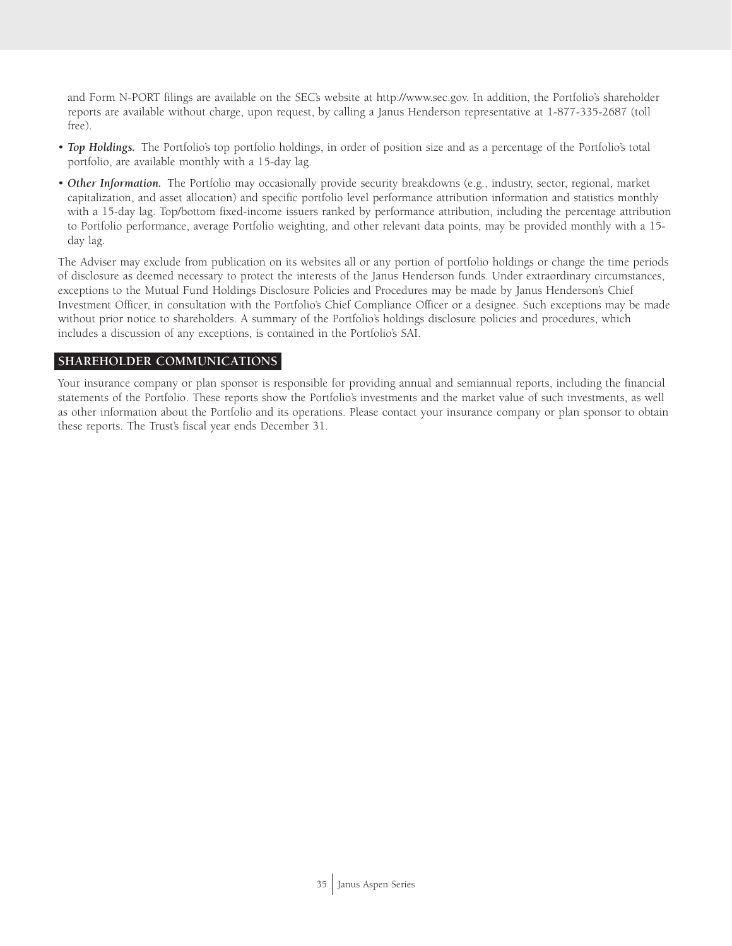and Form N-PORT filings are available on the SEC's website at http://www.sec.gov. In addition, the Portfolio's shareholder reports are available without charge, upon request, by calling a Janus Henderson representative at 1-877-335-2687 (toll free).

- *Top Holdings.* The Portfolio's top portfolio holdings, in order of position size and as a percentage of the Portfolio's total portfolio, are available monthly with a 15-day lag.
- *Other Information.* The Portfolio may occasionally provide security breakdowns (e.g., industry, sector, regional, market capitalization, and asset allocation) and specific portfolio level performance attribution information and statistics monthly with a 15-day lag. Top/bottom fixed-income issuers ranked by performance attribution, including the percentage attribution to Portfolio performance, average Portfolio weighting, and other relevant data points, may be provided monthly with a 15 day lag.

The Adviser may exclude from publication on its websites all or any portion of portfolio holdings or change the time periods of disclosure as deemed necessary to protect the interests of the Janus Henderson funds. Under extraordinary circumstances, exceptions to the Mutual Fund Holdings Disclosure Policies and Procedures may be made by Janus Henderson's Chief Investment Officer, in consultation with the Portfolio's Chief Compliance Officer or a designee. Such exceptions may be made without prior notice to shareholders. A summary of the Portfolio's holdings disclosure policies and procedures, which includes a discussion of any exceptions, is contained in the Portfolio's SAI.

#### **SHAREHOLDER COMMUNICATIONS**

Your insurance company or plan sponsor is responsible for providing annual and semiannual reports, including the financial statements of the Portfolio. These reports show the Portfolio's investments and the market value of such investments, as well as other information about the Portfolio and its operations. Please contact your insurance company or plan sponsor to obtain these reports. The Trust's fiscal year ends December 31.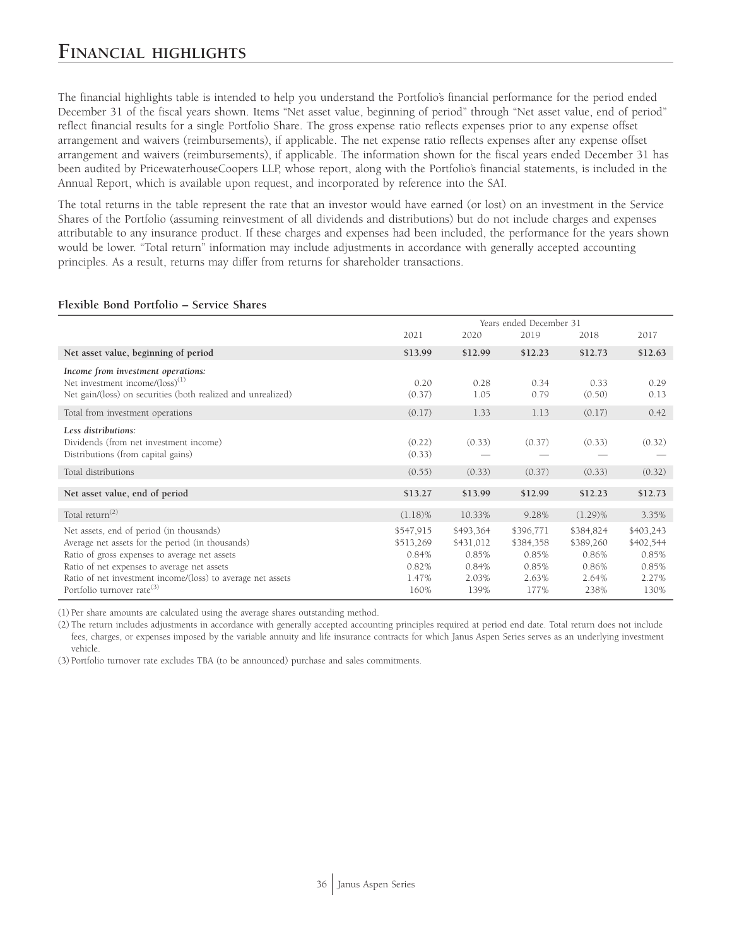## **FINANCIAL HIGHLIGHTS**

The financial highlights table is intended to help you understand the Portfolio's financial performance for the period ended December 31 of the fiscal years shown. Items "Net asset value, beginning of period" through "Net asset value, end of period" reflect financial results for a single Portfolio Share. The gross expense ratio reflects expenses prior to any expense offset arrangement and waivers (reimbursements), if applicable. The net expense ratio reflects expenses after any expense offset arrangement and waivers (reimbursements), if applicable. The information shown for the fiscal years ended December 31 has been audited by PricewaterhouseCoopers LLP, whose report, along with the Portfolio's financial statements, is included in the Annual Report, which is available upon request, and incorporated by reference into the SAI.

The total returns in the table represent the rate that an investor would have earned (or lost) on an investment in the Service Shares of the Portfolio (assuming reinvestment of all dividends and distributions) but do not include charges and expenses attributable to any insurance product. If these charges and expenses had been included, the performance for the years shown would be lower. "Total return" information may include adjustments in accordance with generally accepted accounting principles. As a result, returns may differ from returns for shareholder transactions.

|                                                                                                                                                                                                                                                             | Years ended December 31                           |                                                   |                                                   |                                                   |                                                   |
|-------------------------------------------------------------------------------------------------------------------------------------------------------------------------------------------------------------------------------------------------------------|---------------------------------------------------|---------------------------------------------------|---------------------------------------------------|---------------------------------------------------|---------------------------------------------------|
|                                                                                                                                                                                                                                                             | 2021                                              | 2020                                              | 2019                                              | 2018                                              | 2017                                              |
| Net asset value, beginning of period                                                                                                                                                                                                                        | \$13.99                                           | \$12.99                                           | \$12.23                                           | \$12.73                                           | \$12.63                                           |
| Income from investment operations:<br>Net investment income/(loss) <sup>(1)</sup><br>Net gain/(loss) on securities (both realized and unrealized)                                                                                                           | 0.20<br>(0.37)                                    | 0.28<br>1.05                                      | 0.34<br>0.79                                      | 0.33<br>(0.50)                                    | 0.29<br>0.13                                      |
| Total from investment operations                                                                                                                                                                                                                            | (0.17)                                            | 1.33                                              | 1.13                                              | (0.17)                                            | 0.42                                              |
| Less distributions:<br>Dividends (from net investment income)<br>Distributions (from capital gains)                                                                                                                                                         | (0.22)<br>(0.33)                                  | (0.33)                                            | (0.37)                                            | (0.33)                                            | (0.32)                                            |
| Total distributions                                                                                                                                                                                                                                         | (0.55)                                            | (0.33)                                            | (0.37)                                            | (0.33)                                            | (0.32)                                            |
| Net asset value, end of period                                                                                                                                                                                                                              | \$13.27                                           | \$13.99                                           | \$12.99                                           | \$12.23                                           | \$12.73                                           |
| Total return <sup>(2)</sup>                                                                                                                                                                                                                                 | $(1.18)\%$                                        | 10.33%                                            | 9.28%                                             | $(1.29)\%$                                        | 3.35%                                             |
| Net assets, end of period (in thousands)<br>Average net assets for the period (in thousands)<br>Ratio of gross expenses to average net assets<br>Ratio of net expenses to average net assets<br>Ratio of net investment income/(loss) to average net assets | \$547,915<br>\$513,269<br>0.84%<br>0.82%<br>1.47% | \$493,364<br>\$431,012<br>0.85%<br>0.84%<br>2.03% | \$396,771<br>\$384,358<br>0.85%<br>0.85%<br>2.63% | \$384,824<br>\$389,260<br>0.86%<br>0.86%<br>2.64% | \$403,243<br>\$402,544<br>0.85%<br>0.85%<br>2.27% |
| Portfolio turnover rate <sup>(3)</sup>                                                                                                                                                                                                                      | 160%                                              | 139%                                              | 177%                                              | 238%                                              | 130%                                              |

#### **Flexible Bond Portfolio – Service Shares**

(1) Per share amounts are calculated using the average shares outstanding method.

(2) The return includes adjustments in accordance with generally accepted accounting principles required at period end date. Total return does not include fees, charges, or expenses imposed by the variable annuity and life insurance contracts for which Janus Aspen Series serves as an underlying investment vehicle.

(3) Portfolio turnover rate excludes TBA (to be announced) purchase and sales commitments.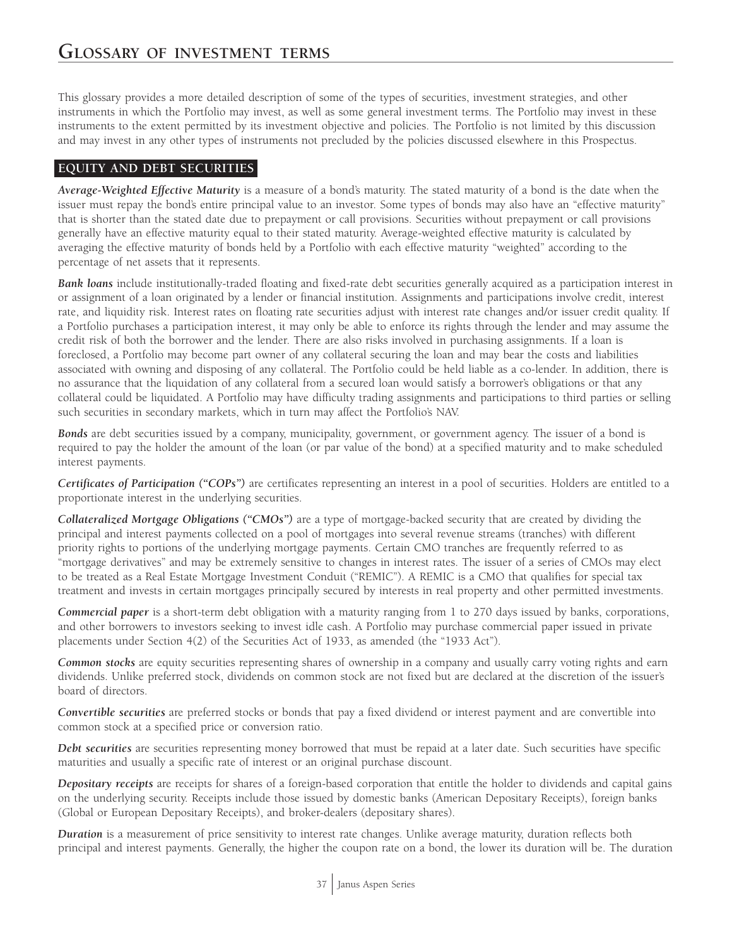This glossary provides a more detailed description of some of the types of securities, investment strategies, and other instruments in which the Portfolio may invest, as well as some general investment terms. The Portfolio may invest in these instruments to the extent permitted by its investment objective and policies. The Portfolio is not limited by this discussion and may invest in any other types of instruments not precluded by the policies discussed elsewhere in this Prospectus.

## **EQUITY AND DEBT SECURITIES**

*Average-Weighted Effective Maturity* is a measure of a bond's maturity. The stated maturity of a bond is the date when the issuer must repay the bond's entire principal value to an investor. Some types of bonds may also have an "effective maturity" that is shorter than the stated date due to prepayment or call provisions. Securities without prepayment or call provisions generally have an effective maturity equal to their stated maturity. Average-weighted effective maturity is calculated by averaging the effective maturity of bonds held by a Portfolio with each effective maturity "weighted" according to the percentage of net assets that it represents.

*Bank loans* include institutionally-traded floating and fixed-rate debt securities generally acquired as a participation interest in or assignment of a loan originated by a lender or financial institution. Assignments and participations involve credit, interest rate, and liquidity risk. Interest rates on floating rate securities adjust with interest rate changes and/or issuer credit quality. If a Portfolio purchases a participation interest, it may only be able to enforce its rights through the lender and may assume the credit risk of both the borrower and the lender. There are also risks involved in purchasing assignments. If a loan is foreclosed, a Portfolio may become part owner of any collateral securing the loan and may bear the costs and liabilities associated with owning and disposing of any collateral. The Portfolio could be held liable as a co-lender. In addition, there is no assurance that the liquidation of any collateral from a secured loan would satisfy a borrower's obligations or that any collateral could be liquidated. A Portfolio may have difficulty trading assignments and participations to third parties or selling such securities in secondary markets, which in turn may affect the Portfolio's NAV.

*Bonds* are debt securities issued by a company, municipality, government, or government agency. The issuer of a bond is required to pay the holder the amount of the loan (or par value of the bond) at a specified maturity and to make scheduled interest payments.

*Certificates of Participation ("COPs")* are certificates representing an interest in a pool of securities. Holders are entitled to a proportionate interest in the underlying securities.

*Collateralized Mortgage Obligations ("CMOs")* are a type of mortgage-backed security that are created by dividing the principal and interest payments collected on a pool of mortgages into several revenue streams (tranches) with different priority rights to portions of the underlying mortgage payments. Certain CMO tranches are frequently referred to as "mortgage derivatives" and may be extremely sensitive to changes in interest rates. The issuer of a series of CMOs may elect to be treated as a Real Estate Mortgage Investment Conduit ("REMIC"). A REMIC is a CMO that qualifies for special tax treatment and invests in certain mortgages principally secured by interests in real property and other permitted investments.

*Commercial paper* is a short-term debt obligation with a maturity ranging from 1 to 270 days issued by banks, corporations, and other borrowers to investors seeking to invest idle cash. A Portfolio may purchase commercial paper issued in private placements under Section 4(2) of the Securities Act of 1933, as amended (the "1933 Act").

*Common stocks* are equity securities representing shares of ownership in a company and usually carry voting rights and earn dividends. Unlike preferred stock, dividends on common stock are not fixed but are declared at the discretion of the issuer's board of directors.

*Convertible securities* are preferred stocks or bonds that pay a fixed dividend or interest payment and are convertible into common stock at a specified price or conversion ratio.

*Debt securities* are securities representing money borrowed that must be repaid at a later date. Such securities have specific maturities and usually a specific rate of interest or an original purchase discount.

*Depositary receipts* are receipts for shares of a foreign-based corporation that entitle the holder to dividends and capital gains on the underlying security. Receipts include those issued by domestic banks (American Depositary Receipts), foreign banks (Global or European Depositary Receipts), and broker-dealers (depositary shares).

*Duration* is a measurement of price sensitivity to interest rate changes. Unlike average maturity, duration reflects both principal and interest payments. Generally, the higher the coupon rate on a bond, the lower its duration will be. The duration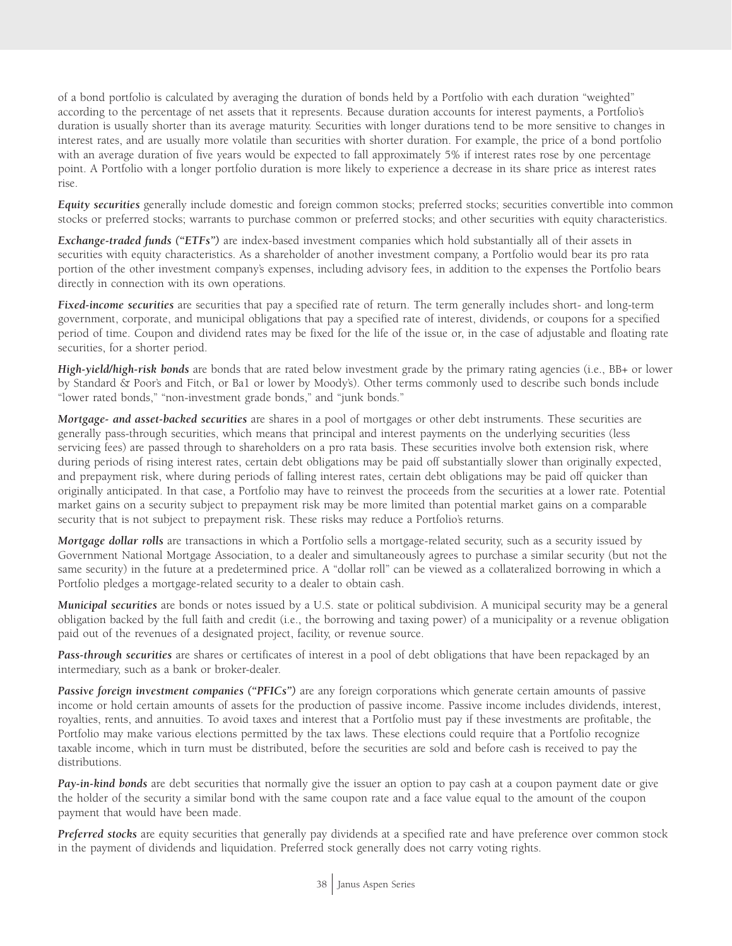of a bond portfolio is calculated by averaging the duration of bonds held by a Portfolio with each duration "weighted" according to the percentage of net assets that it represents. Because duration accounts for interest payments, a Portfolio's duration is usually shorter than its average maturity. Securities with longer durations tend to be more sensitive to changes in interest rates, and are usually more volatile than securities with shorter duration. For example, the price of a bond portfolio with an average duration of five years would be expected to fall approximately 5% if interest rates rose by one percentage point. A Portfolio with a longer portfolio duration is more likely to experience a decrease in its share price as interest rates rise.

*Equity securities* generally include domestic and foreign common stocks; preferred stocks; securities convertible into common stocks or preferred stocks; warrants to purchase common or preferred stocks; and other securities with equity characteristics.

*Exchange-traded funds ("ETFs")* are index-based investment companies which hold substantially all of their assets in securities with equity characteristics. As a shareholder of another investment company, a Portfolio would bear its pro rata portion of the other investment company's expenses, including advisory fees, in addition to the expenses the Portfolio bears directly in connection with its own operations.

*Fixed-income securities* are securities that pay a specified rate of return. The term generally includes short- and long-term government, corporate, and municipal obligations that pay a specified rate of interest, dividends, or coupons for a specified period of time. Coupon and dividend rates may be fixed for the life of the issue or, in the case of adjustable and floating rate securities, for a shorter period.

*High-yield/high-risk bonds* are bonds that are rated below investment grade by the primary rating agencies (i.e., BB+ or lower by Standard & Poor's and Fitch, or Ba1 or lower by Moody's). Other terms commonly used to describe such bonds include "lower rated bonds," "non-investment grade bonds," and "junk bonds."

*Mortgage- and asset-backed securities* are shares in a pool of mortgages or other debt instruments. These securities are generally pass-through securities, which means that principal and interest payments on the underlying securities (less servicing fees) are passed through to shareholders on a pro rata basis. These securities involve both extension risk, where during periods of rising interest rates, certain debt obligations may be paid off substantially slower than originally expected, and prepayment risk, where during periods of falling interest rates, certain debt obligations may be paid off quicker than originally anticipated. In that case, a Portfolio may have to reinvest the proceeds from the securities at a lower rate. Potential market gains on a security subject to prepayment risk may be more limited than potential market gains on a comparable security that is not subject to prepayment risk. These risks may reduce a Portfolio's returns.

*Mortgage dollar rolls* are transactions in which a Portfolio sells a mortgage-related security, such as a security issued by Government National Mortgage Association, to a dealer and simultaneously agrees to purchase a similar security (but not the same security) in the future at a predetermined price. A "dollar roll" can be viewed as a collateralized borrowing in which a Portfolio pledges a mortgage-related security to a dealer to obtain cash.

*Municipal securities* are bonds or notes issued by a U.S. state or political subdivision. A municipal security may be a general obligation backed by the full faith and credit (i.e., the borrowing and taxing power) of a municipality or a revenue obligation paid out of the revenues of a designated project, facility, or revenue source.

*Pass-through securities* are shares or certificates of interest in a pool of debt obligations that have been repackaged by an intermediary, such as a bank or broker-dealer.

*Passive foreign investment companies ("PFICs")* are any foreign corporations which generate certain amounts of passive income or hold certain amounts of assets for the production of passive income. Passive income includes dividends, interest, royalties, rents, and annuities. To avoid taxes and interest that a Portfolio must pay if these investments are profitable, the Portfolio may make various elections permitted by the tax laws. These elections could require that a Portfolio recognize taxable income, which in turn must be distributed, before the securities are sold and before cash is received to pay the distributions.

*Pay-in-kind bonds* are debt securities that normally give the issuer an option to pay cash at a coupon payment date or give the holder of the security a similar bond with the same coupon rate and a face value equal to the amount of the coupon payment that would have been made.

*Preferred stocks* are equity securities that generally pay dividends at a specified rate and have preference over common stock in the payment of dividends and liquidation. Preferred stock generally does not carry voting rights.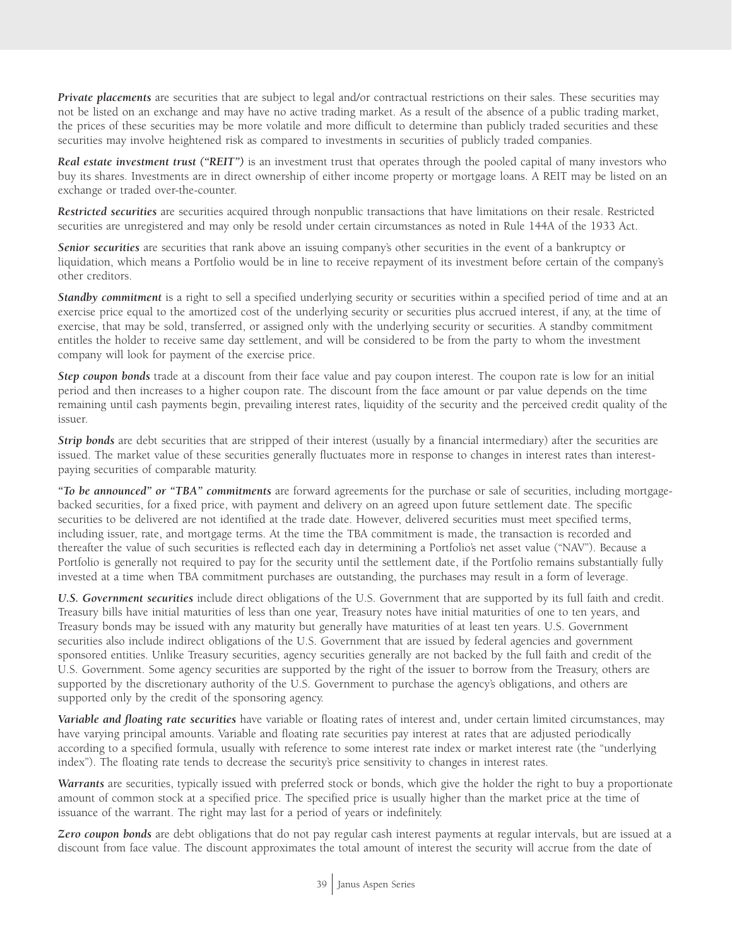*Private placements* are securities that are subject to legal and/or contractual restrictions on their sales. These securities may not be listed on an exchange and may have no active trading market. As a result of the absence of a public trading market, the prices of these securities may be more volatile and more difficult to determine than publicly traded securities and these securities may involve heightened risk as compared to investments in securities of publicly traded companies.

*Real estate investment trust ("REIT")* is an investment trust that operates through the pooled capital of many investors who buy its shares. Investments are in direct ownership of either income property or mortgage loans. A REIT may be listed on an exchange or traded over-the-counter.

*Restricted securities* are securities acquired through nonpublic transactions that have limitations on their resale. Restricted securities are unregistered and may only be resold under certain circumstances as noted in Rule 144A of the 1933 Act.

*Senior securities* are securities that rank above an issuing company's other securities in the event of a bankruptcy or liquidation, which means a Portfolio would be in line to receive repayment of its investment before certain of the company's other creditors.

**Standby commitment** is a right to sell a specified underlying security or securities within a specified period of time and at an exercise price equal to the amortized cost of the underlying security or securities plus accrued interest, if any, at the time of exercise, that may be sold, transferred, or assigned only with the underlying security or securities. A standby commitment entitles the holder to receive same day settlement, and will be considered to be from the party to whom the investment company will look for payment of the exercise price.

*Step coupon bonds* trade at a discount from their face value and pay coupon interest. The coupon rate is low for an initial period and then increases to a higher coupon rate. The discount from the face amount or par value depends on the time remaining until cash payments begin, prevailing interest rates, liquidity of the security and the perceived credit quality of the issuer.

*Strip bonds* are debt securities that are stripped of their interest (usually by a financial intermediary) after the securities are issued. The market value of these securities generally fluctuates more in response to changes in interest rates than interestpaying securities of comparable maturity.

*"To be announced" or "TBA" commitments* are forward agreements for the purchase or sale of securities, including mortgagebacked securities, for a fixed price, with payment and delivery on an agreed upon future settlement date. The specific securities to be delivered are not identified at the trade date. However, delivered securities must meet specified terms, including issuer, rate, and mortgage terms. At the time the TBA commitment is made, the transaction is recorded and thereafter the value of such securities is reflected each day in determining a Portfolio's net asset value ("NAV"). Because a Portfolio is generally not required to pay for the security until the settlement date, if the Portfolio remains substantially fully invested at a time when TBA commitment purchases are outstanding, the purchases may result in a form of leverage.

*U.S. Government securities* include direct obligations of the U.S. Government that are supported by its full faith and credit. Treasury bills have initial maturities of less than one year, Treasury notes have initial maturities of one to ten years, and Treasury bonds may be issued with any maturity but generally have maturities of at least ten years. U.S. Government securities also include indirect obligations of the U.S. Government that are issued by federal agencies and government sponsored entities. Unlike Treasury securities, agency securities generally are not backed by the full faith and credit of the U.S. Government. Some agency securities are supported by the right of the issuer to borrow from the Treasury, others are supported by the discretionary authority of the U.S. Government to purchase the agency's obligations, and others are supported only by the credit of the sponsoring agency.

*Variable and floating rate securities* have variable or floating rates of interest and, under certain limited circumstances, may have varying principal amounts. Variable and floating rate securities pay interest at rates that are adjusted periodically according to a specified formula, usually with reference to some interest rate index or market interest rate (the "underlying index"). The floating rate tends to decrease the security's price sensitivity to changes in interest rates.

*Warrants* are securities, typically issued with preferred stock or bonds, which give the holder the right to buy a proportionate amount of common stock at a specified price. The specified price is usually higher than the market price at the time of issuance of the warrant. The right may last for a period of years or indefinitely.

*Zero coupon bonds* are debt obligations that do not pay regular cash interest payments at regular intervals, but are issued at a discount from face value. The discount approximates the total amount of interest the security will accrue from the date of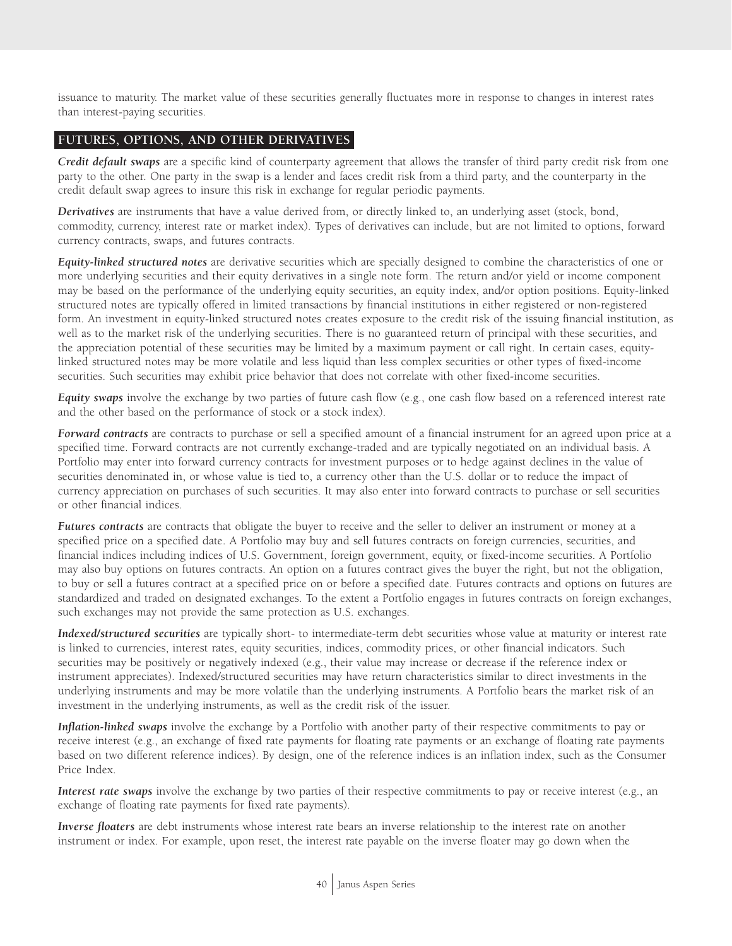issuance to maturity. The market value of these securities generally fluctuates more in response to changes in interest rates than interest-paying securities.

#### **FUTURES, OPTIONS, AND OTHER DERIVATIVES**

*Credit default swaps* are a specific kind of counterparty agreement that allows the transfer of third party credit risk from one party to the other. One party in the swap is a lender and faces credit risk from a third party, and the counterparty in the credit default swap agrees to insure this risk in exchange for regular periodic payments.

*Derivatives* are instruments that have a value derived from, or directly linked to, an underlying asset (stock, bond, commodity, currency, interest rate or market index). Types of derivatives can include, but are not limited to options, forward currency contracts, swaps, and futures contracts.

*Equity-linked structured notes* are derivative securities which are specially designed to combine the characteristics of one or more underlying securities and their equity derivatives in a single note form. The return and/or yield or income component may be based on the performance of the underlying equity securities, an equity index, and/or option positions. Equity-linked structured notes are typically offered in limited transactions by financial institutions in either registered or non-registered form. An investment in equity-linked structured notes creates exposure to the credit risk of the issuing financial institution, as well as to the market risk of the underlying securities. There is no guaranteed return of principal with these securities, and the appreciation potential of these securities may be limited by a maximum payment or call right. In certain cases, equitylinked structured notes may be more volatile and less liquid than less complex securities or other types of fixed-income securities. Such securities may exhibit price behavior that does not correlate with other fixed-income securities.

*Equity swaps* involve the exchange by two parties of future cash flow (e.g., one cash flow based on a referenced interest rate and the other based on the performance of stock or a stock index).

*Forward contracts* are contracts to purchase or sell a specified amount of a financial instrument for an agreed upon price at a specified time. Forward contracts are not currently exchange-traded and are typically negotiated on an individual basis. A Portfolio may enter into forward currency contracts for investment purposes or to hedge against declines in the value of securities denominated in, or whose value is tied to, a currency other than the U.S. dollar or to reduce the impact of currency appreciation on purchases of such securities. It may also enter into forward contracts to purchase or sell securities or other financial indices.

*Futures contracts* are contracts that obligate the buyer to receive and the seller to deliver an instrument or money at a specified price on a specified date. A Portfolio may buy and sell futures contracts on foreign currencies, securities, and financial indices including indices of U.S. Government, foreign government, equity, or fixed-income securities. A Portfolio may also buy options on futures contracts. An option on a futures contract gives the buyer the right, but not the obligation, to buy or sell a futures contract at a specified price on or before a specified date. Futures contracts and options on futures are standardized and traded on designated exchanges. To the extent a Portfolio engages in futures contracts on foreign exchanges, such exchanges may not provide the same protection as U.S. exchanges.

*Indexed/structured securities* are typically short- to intermediate-term debt securities whose value at maturity or interest rate is linked to currencies, interest rates, equity securities, indices, commodity prices, or other financial indicators. Such securities may be positively or negatively indexed (e.g., their value may increase or decrease if the reference index or instrument appreciates). Indexed/structured securities may have return characteristics similar to direct investments in the underlying instruments and may be more volatile than the underlying instruments. A Portfolio bears the market risk of an investment in the underlying instruments, as well as the credit risk of the issuer.

*Inflation-linked swaps* involve the exchange by a Portfolio with another party of their respective commitments to pay or receive interest (e.g., an exchange of fixed rate payments for floating rate payments or an exchange of floating rate payments based on two different reference indices). By design, one of the reference indices is an inflation index, such as the Consumer Price Index.

*Interest rate swaps* involve the exchange by two parties of their respective commitments to pay or receive interest (e.g., an exchange of floating rate payments for fixed rate payments).

*Inverse floaters* are debt instruments whose interest rate bears an inverse relationship to the interest rate on another instrument or index. For example, upon reset, the interest rate payable on the inverse floater may go down when the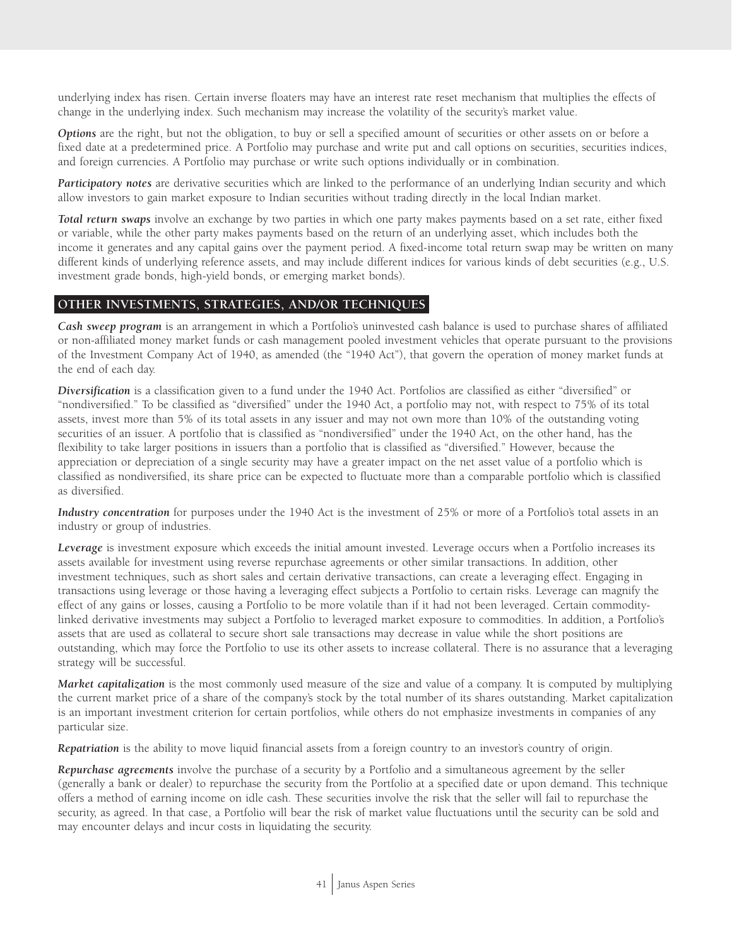underlying index has risen. Certain inverse floaters may have an interest rate reset mechanism that multiplies the effects of change in the underlying index. Such mechanism may increase the volatility of the security's market value.

*Options* are the right, but not the obligation, to buy or sell a specified amount of securities or other assets on or before a fixed date at a predetermined price. A Portfolio may purchase and write put and call options on securities, securities indices, and foreign currencies. A Portfolio may purchase or write such options individually or in combination.

*Participatory notes* are derivative securities which are linked to the performance of an underlying Indian security and which allow investors to gain market exposure to Indian securities without trading directly in the local Indian market.

*Total return swaps* involve an exchange by two parties in which one party makes payments based on a set rate, either fixed or variable, while the other party makes payments based on the return of an underlying asset, which includes both the income it generates and any capital gains over the payment period. A fixed-income total return swap may be written on many different kinds of underlying reference assets, and may include different indices for various kinds of debt securities (e.g., U.S. investment grade bonds, high-yield bonds, or emerging market bonds).

#### **OTHER INVESTMENTS, STRATEGIES, AND/OR TECHNIQUES**

*Cash sweep program* is an arrangement in which a Portfolio's uninvested cash balance is used to purchase shares of affiliated or non-affiliated money market funds or cash management pooled investment vehicles that operate pursuant to the provisions of the Investment Company Act of 1940, as amended (the "1940 Act"), that govern the operation of money market funds at the end of each day.

*Diversification* is a classification given to a fund under the 1940 Act. Portfolios are classified as either "diversified" or "nondiversified." To be classified as "diversified" under the 1940 Act, a portfolio may not, with respect to 75% of its total assets, invest more than 5% of its total assets in any issuer and may not own more than 10% of the outstanding voting securities of an issuer. A portfolio that is classified as "nondiversified" under the 1940 Act, on the other hand, has the flexibility to take larger positions in issuers than a portfolio that is classified as "diversified." However, because the appreciation or depreciation of a single security may have a greater impact on the net asset value of a portfolio which is classified as nondiversified, its share price can be expected to fluctuate more than a comparable portfolio which is classified as diversified.

*Industry concentration* for purposes under the 1940 Act is the investment of 25% or more of a Portfolio's total assets in an industry or group of industries.

*Leverage* is investment exposure which exceeds the initial amount invested. Leverage occurs when a Portfolio increases its assets available for investment using reverse repurchase agreements or other similar transactions. In addition, other investment techniques, such as short sales and certain derivative transactions, can create a leveraging effect. Engaging in transactions using leverage or those having a leveraging effect subjects a Portfolio to certain risks. Leverage can magnify the effect of any gains or losses, causing a Portfolio to be more volatile than if it had not been leveraged. Certain commoditylinked derivative investments may subject a Portfolio to leveraged market exposure to commodities. In addition, a Portfolio's assets that are used as collateral to secure short sale transactions may decrease in value while the short positions are outstanding, which may force the Portfolio to use its other assets to increase collateral. There is no assurance that a leveraging strategy will be successful.

*Market capitalization* is the most commonly used measure of the size and value of a company. It is computed by multiplying the current market price of a share of the company's stock by the total number of its shares outstanding. Market capitalization is an important investment criterion for certain portfolios, while others do not emphasize investments in companies of any particular size.

*Repatriation* is the ability to move liquid financial assets from a foreign country to an investor's country of origin.

*Repurchase agreements* involve the purchase of a security by a Portfolio and a simultaneous agreement by the seller (generally a bank or dealer) to repurchase the security from the Portfolio at a specified date or upon demand. This technique offers a method of earning income on idle cash. These securities involve the risk that the seller will fail to repurchase the security, as agreed. In that case, a Portfolio will bear the risk of market value fluctuations until the security can be sold and may encounter delays and incur costs in liquidating the security.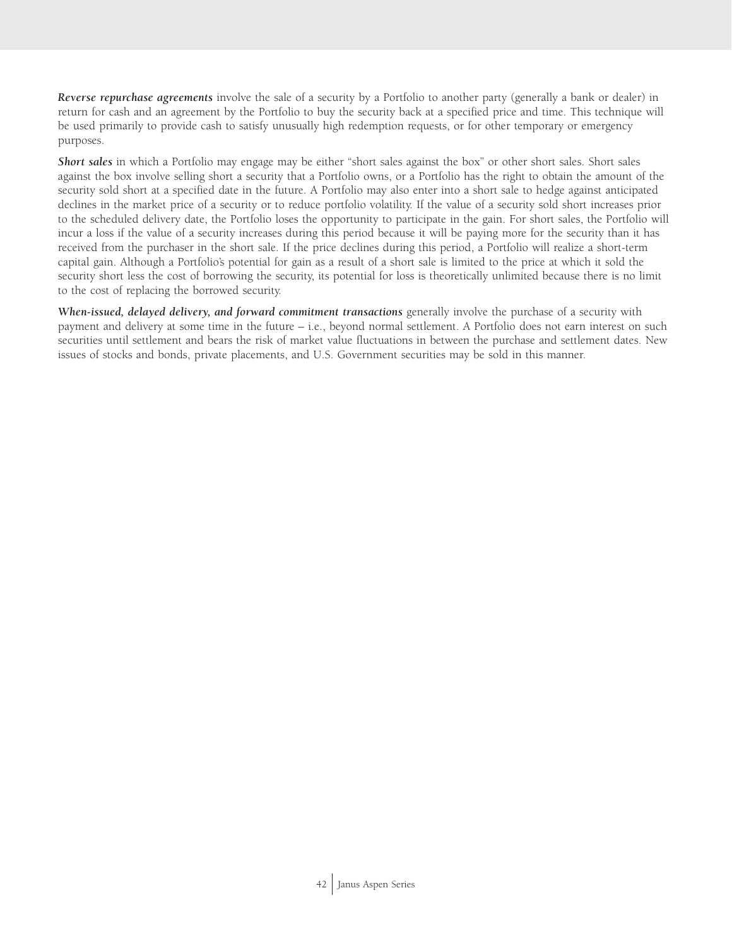*Reverse repurchase agreements* involve the sale of a security by a Portfolio to another party (generally a bank or dealer) in return for cash and an agreement by the Portfolio to buy the security back at a specified price and time. This technique will be used primarily to provide cash to satisfy unusually high redemption requests, or for other temporary or emergency purposes.

*Short sales* in which a Portfolio may engage may be either "short sales against the box" or other short sales. Short sales against the box involve selling short a security that a Portfolio owns, or a Portfolio has the right to obtain the amount of the security sold short at a specified date in the future. A Portfolio may also enter into a short sale to hedge against anticipated declines in the market price of a security or to reduce portfolio volatility. If the value of a security sold short increases prior to the scheduled delivery date, the Portfolio loses the opportunity to participate in the gain. For short sales, the Portfolio will incur a loss if the value of a security increases during this period because it will be paying more for the security than it has received from the purchaser in the short sale. If the price declines during this period, a Portfolio will realize a short-term capital gain. Although a Portfolio's potential for gain as a result of a short sale is limited to the price at which it sold the security short less the cost of borrowing the security, its potential for loss is theoretically unlimited because there is no limit to the cost of replacing the borrowed security.

*When-issued, delayed delivery, and forward commitment transactions generally involve the purchase of a security with* payment and delivery at some time in the future – i.e., beyond normal settlement. A Portfolio does not earn interest on such securities until settlement and bears the risk of market value fluctuations in between the purchase and settlement dates. New issues of stocks and bonds, private placements, and U.S. Government securities may be sold in this manner.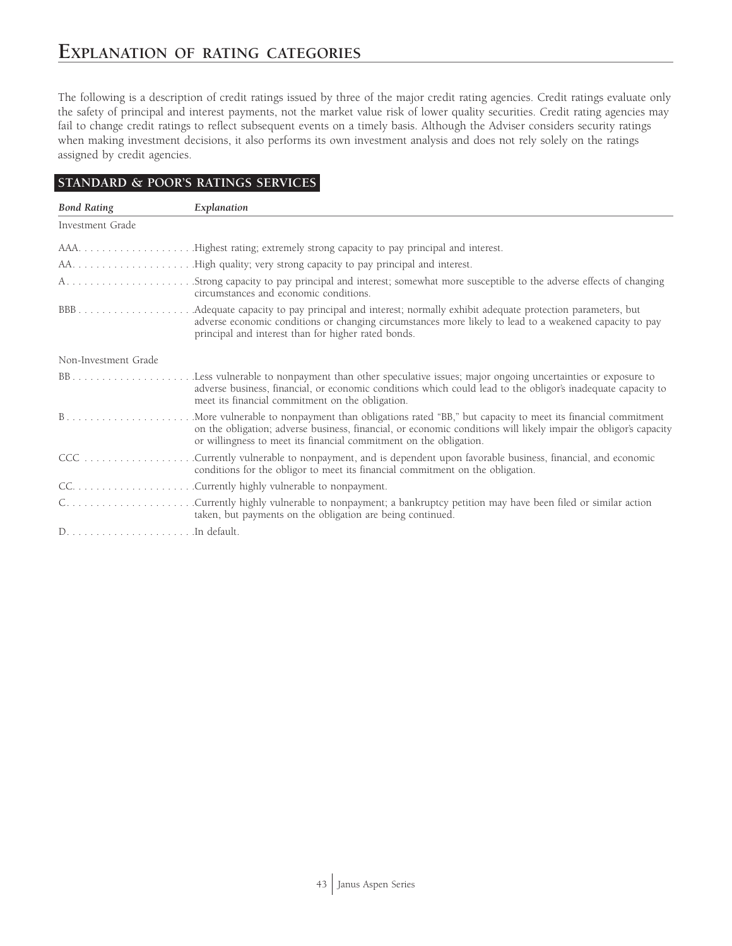The following is a description of credit ratings issued by three of the major credit rating agencies. Credit ratings evaluate only the safety of principal and interest payments, not the market value risk of lower quality securities. Credit rating agencies may fail to change credit ratings to reflect subsequent events on a timely basis. Although the Adviser considers security ratings when making investment decisions, it also performs its own investment analysis and does not rely solely on the ratings assigned by credit agencies.

## **STANDARD & POOR'S RATINGS SERVICES**

| <b>Bond Rating</b>   | Explanation                                                                                                                                                                                                                                                                                         |
|----------------------|-----------------------------------------------------------------------------------------------------------------------------------------------------------------------------------------------------------------------------------------------------------------------------------------------------|
| Investment Grade     |                                                                                                                                                                                                                                                                                                     |
|                      | AAAHighest rating; extremely strong capacity to pay principal and interest.                                                                                                                                                                                                                         |
|                      |                                                                                                                                                                                                                                                                                                     |
|                      | AStrong capacity to pay principal and interest; somewhat more susceptible to the adverse effects of changing<br>circumstances and economic conditions.                                                                                                                                              |
|                      | adverse economic conditions or changing circumstances more likely to lead to a weakened capacity to pay<br>principal and interest than for higher rated bonds.                                                                                                                                      |
| Non-Investment Grade |                                                                                                                                                                                                                                                                                                     |
|                      | adverse business, financial, or economic conditions which could lead to the obligor's inadequate capacity to<br>meet its financial commitment on the obligation.                                                                                                                                    |
|                      | .More vulnerable to nonpayment than obligations rated "BB," but capacity to meet its financial commitment<br>on the obligation; adverse business, financial, or economic conditions will likely impair the obligor's capacity<br>or willingness to meet its financial commitment on the obligation. |
|                      | Currently vulnerable to nonpayment, and is dependent upon favorable business, financial, and economic<br>conditions for the obligor to meet its financial commitment on the obligation.                                                                                                             |
|                      |                                                                                                                                                                                                                                                                                                     |
|                      | taken, but payments on the obligation are being continued.                                                                                                                                                                                                                                          |
|                      |                                                                                                                                                                                                                                                                                                     |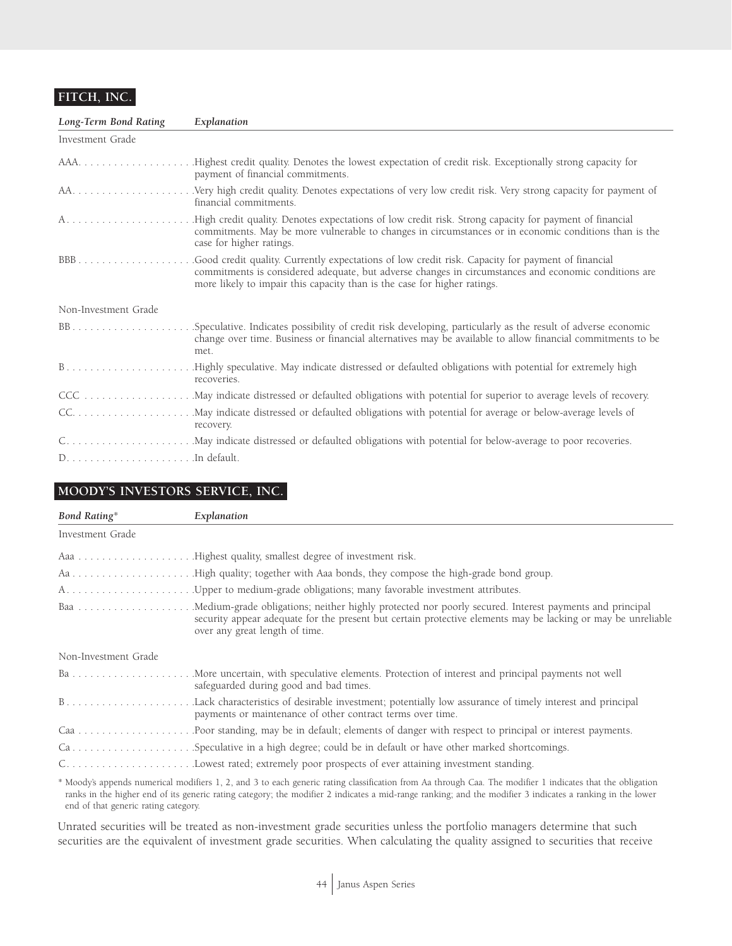## **FITCH, INC.**

| Long-Term Bond Rating | Explanation                                                                                                                                                                                                                                                                           |
|-----------------------|---------------------------------------------------------------------------------------------------------------------------------------------------------------------------------------------------------------------------------------------------------------------------------------|
| Investment Grade      |                                                                                                                                                                                                                                                                                       |
|                       | payment of financial commitments.                                                                                                                                                                                                                                                     |
|                       | .Very high credit quality. Denotes expectations of very low credit risk. Very strong capacity for payment of<br>financial commitments.                                                                                                                                                |
|                       | .High credit quality. Denotes expectations of low credit risk. Strong capacity for payment of financial<br>commitments. May be more vulnerable to changes in circumstances or in economic conditions than is the<br>case for higher ratings.                                          |
|                       | Good credit quality. Currently expectations of low credit risk. Capacity for payment of financial<br>commitments is considered adequate, but adverse changes in circumstances and economic conditions are<br>more likely to impair this capacity than is the case for higher ratings. |
| Non-Investment Grade  |                                                                                                                                                                                                                                                                                       |
|                       | change over time. Business or financial alternatives may be available to allow financial commitments to be<br>met.                                                                                                                                                                    |
|                       | recoveries.                                                                                                                                                                                                                                                                           |
|                       |                                                                                                                                                                                                                                                                                       |
|                       | recovery.                                                                                                                                                                                                                                                                             |
|                       |                                                                                                                                                                                                                                                                                       |
|                       |                                                                                                                                                                                                                                                                                       |

## **MOODY'S INVESTORS SERVICE, INC.**

| <b>Bond Rating*</b>  | Explanation                                                                                                                                    |
|----------------------|------------------------------------------------------------------------------------------------------------------------------------------------|
| Investment Grade     |                                                                                                                                                |
|                      |                                                                                                                                                |
|                      |                                                                                                                                                |
|                      |                                                                                                                                                |
|                      | security appear adequate for the present but certain protective elements may be lacking or may be unreliable<br>over any great length of time. |
| Non-Investment Grade |                                                                                                                                                |
|                      | safeguarded during good and bad times.                                                                                                         |
|                      | payments or maintenance of other contract terms over time.                                                                                     |
|                      |                                                                                                                                                |
|                      |                                                                                                                                                |
|                      |                                                                                                                                                |
|                      | and the trust to an industry the state of the million to the trust the                                                                         |

\* Moody's appends numerical modifiers 1, 2, and 3 to each generic rating classification from Aa through Caa. The modifier 1 indicates that the obligation ranks in the higher end of its generic rating category; the modifier 2 indicates a mid-range ranking; and the modifier 3 indicates a ranking in the lower end of that generic rating category.

Unrated securities will be treated as non-investment grade securities unless the portfolio managers determine that such securities are the equivalent of investment grade securities. When calculating the quality assigned to securities that receive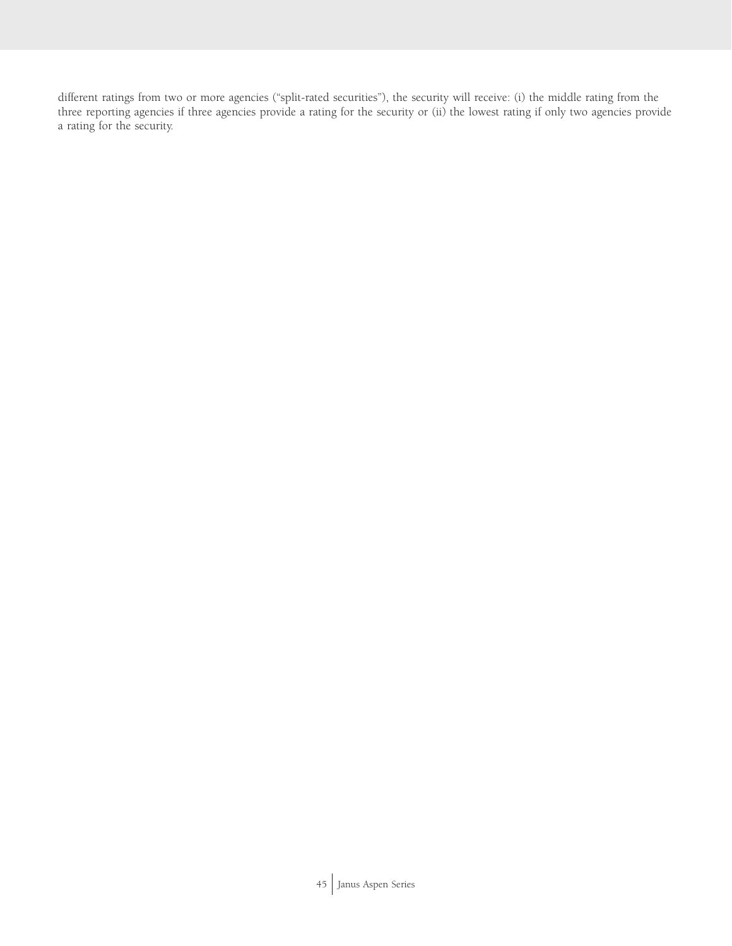different ratings from two or more agencies ("split-rated securities"), the security will receive: (i) the middle rating from the three reporting agencies if three agencies provide a rating for the security or (ii) the lowest rating if only two agencies provide a rating for the security.